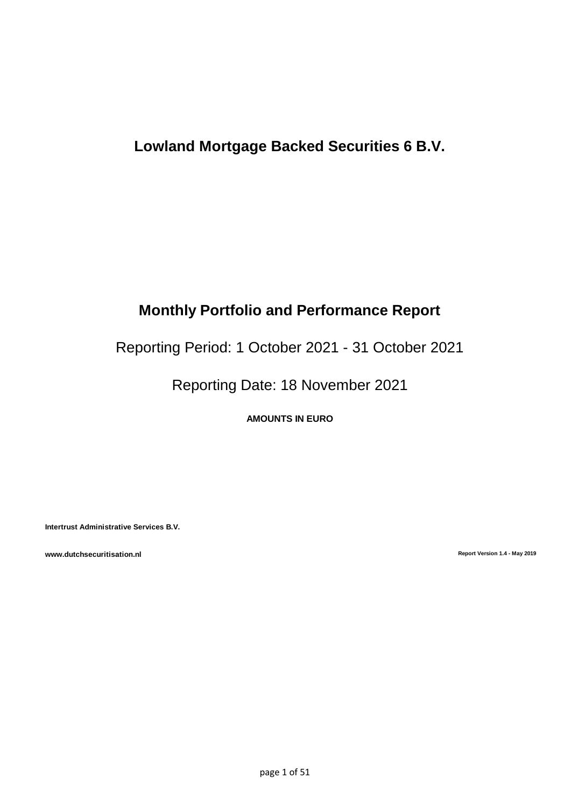## **Lowland Mortgage Backed Securities 6 B.V.**

# **Monthly Portfolio and Performance Report**

Reporting Period: 1 October 2021 - 31 October 2021

Reporting Date: 18 November 2021

**AMOUNTS IN EURO**

**Intertrust Administrative Services B.V.**

**www.dutchsecuritisation.nl Report Version 1.4 - May 2019**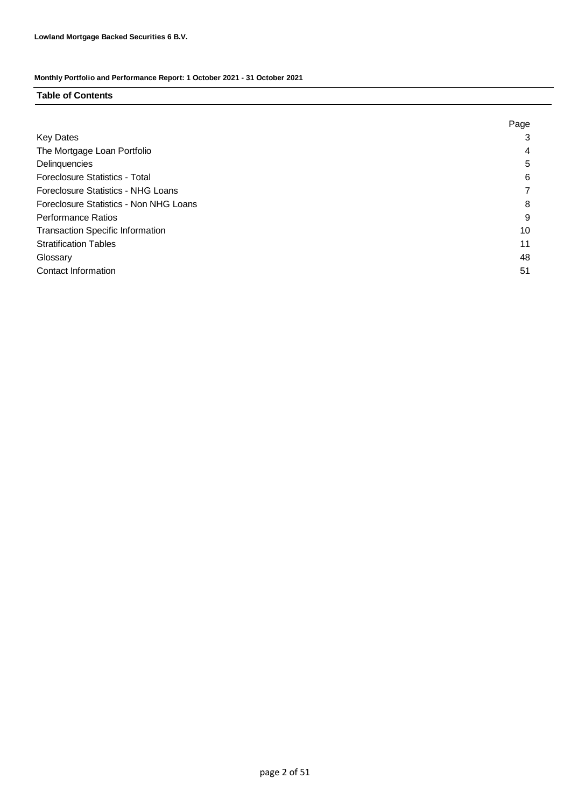### **Table of Contents**

|                                           | Page |
|-------------------------------------------|------|
| <b>Key Dates</b>                          | 3    |
| The Mortgage Loan Portfolio               | 4    |
| Delinquencies                             | 5    |
| <b>Foreclosure Statistics - Total</b>     | 6    |
| <b>Foreclosure Statistics - NHG Loans</b> |      |
| Foreclosure Statistics - Non NHG Loans    | 8    |
| <b>Performance Ratios</b>                 | 9    |
| <b>Transaction Specific Information</b>   | 10   |
| <b>Stratification Tables</b>              | 11   |
| Glossary                                  | 48   |
| Contact Information                       | 51   |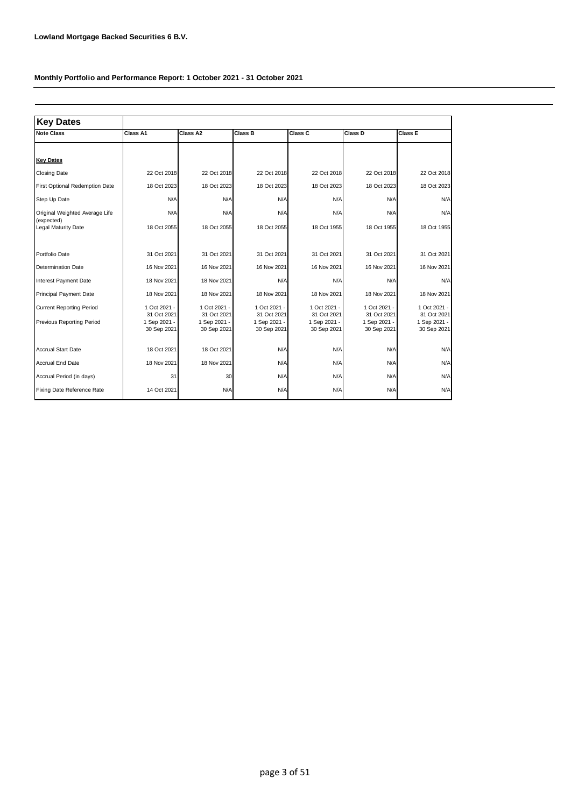| <b>Key Dates</b>                                             |                                                            |                                                            |                                                            |                                                            |                                                            |                                                          |
|--------------------------------------------------------------|------------------------------------------------------------|------------------------------------------------------------|------------------------------------------------------------|------------------------------------------------------------|------------------------------------------------------------|----------------------------------------------------------|
| <b>Note Class</b>                                            | Class A1                                                   | Class A2                                                   | Class B                                                    | Class C                                                    | Class D                                                    | Class E                                                  |
|                                                              |                                                            |                                                            |                                                            |                                                            |                                                            |                                                          |
| <b>Key Dates</b>                                             |                                                            |                                                            |                                                            |                                                            |                                                            |                                                          |
| <b>Closing Date</b>                                          | 22 Oct 2018                                                | 22 Oct 2018                                                | 22 Oct 2018                                                | 22 Oct 2018                                                | 22 Oct 2018                                                | 22 Oct 2018                                              |
| First Optional Redemption Date                               | 18 Oct 2023                                                | 18 Oct 2023                                                | 18 Oct 2023                                                | 18 Oct 2023                                                | 18 Oct 2023                                                | 18 Oct 2023                                              |
| Step Up Date                                                 | N/A                                                        | N/A                                                        | N/A                                                        | N/A                                                        | N/A                                                        | N/A                                                      |
| Original Weighted Average Life                               | N/A                                                        | N/A                                                        | N/A                                                        | N/A                                                        | N/A                                                        | N/A                                                      |
| (expected)<br>Legal Maturity Date                            | 18 Oct 2055                                                | 18 Oct 2055                                                | 18 Oct 2055                                                | 18 Oct 1955                                                | 18 Oct 1955                                                | 18 Oct 1955                                              |
| Portfolio Date                                               | 31 Oct 2021                                                | 31 Oct 2021                                                | 31 Oct 2021                                                | 31 Oct 2021                                                | 31 Oct 2021                                                | 31 Oct 2021                                              |
| <b>Determination Date</b>                                    | 16 Nov 2021                                                | 16 Nov 2021                                                | 16 Nov 2021                                                | 16 Nov 2021                                                | 16 Nov 2021                                                | 16 Nov 2021                                              |
| Interest Payment Date                                        | 18 Nov 2021                                                | 18 Nov 2021                                                | N/A                                                        | N/A                                                        | N/A                                                        | N/A                                                      |
| Principal Payment Date                                       | 18 Nov 2021                                                | 18 Nov 2021                                                | 18 Nov 2021                                                | 18 Nov 2021                                                | 18 Nov 2021                                                | 18 Nov 2021                                              |
| <b>Current Reporting Period</b><br>Previous Reporting Period | 1 Oct 2021 -<br>31 Oct 2021<br>1 Sep 2021 -<br>30 Sep 2021 | 1 Oct 2021 -<br>31 Oct 2021<br>1 Sep 2021 -<br>30 Sep 2021 | 1 Oct 2021 -<br>31 Oct 2021<br>1 Sep 2021 -<br>30 Sep 2021 | 1 Oct 2021 -<br>31 Oct 2021<br>1 Sep 2021 -<br>30 Sep 2021 | 1 Oct 2021 -<br>31 Oct 2021<br>1 Sep 2021 -<br>30 Sep 2021 | 1 Oct 2021<br>31 Oct 2021<br>1 Sep 2021 -<br>30 Sep 2021 |
| <b>Accrual Start Date</b>                                    | 18 Oct 2021                                                | 18 Oct 2021                                                | N/A                                                        | N/A                                                        | N/A                                                        | N/A                                                      |
| <b>Accrual End Date</b>                                      | 18 Nov 2021                                                | 18 Nov 2021                                                | N/A                                                        | N/A                                                        | N/A                                                        | N/A                                                      |
| Accrual Period (in days)                                     | 31                                                         | 30                                                         | N/A                                                        | N/A                                                        | N/A                                                        | N/A                                                      |
| Fixing Date Reference Rate                                   | 14 Oct 2021                                                | N/A                                                        | N/A                                                        | N/A                                                        | N/A                                                        | N/A                                                      |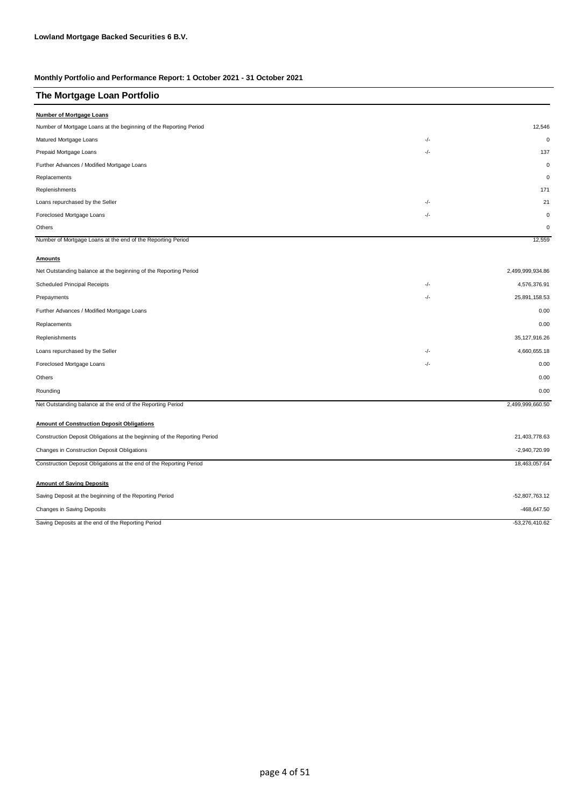| The Mortgage Loan Portfolio                                               |       |                  |
|---------------------------------------------------------------------------|-------|------------------|
| <b>Number of Mortgage Loans</b>                                           |       |                  |
| Number of Mortgage Loans at the beginning of the Reporting Period         |       | 12,546           |
| Matured Mortgage Loans                                                    | -/-   | $\mathbf 0$      |
| Prepaid Mortgage Loans                                                    | -/-   | 137              |
| Further Advances / Modified Mortgage Loans                                |       | $\mathbf 0$      |
| Replacements                                                              |       | $\mathbf 0$      |
| Replenishments                                                            |       | 171              |
| Loans repurchased by the Seller                                           | $-/-$ | 21               |
| Foreclosed Mortgage Loans                                                 | $-/-$ | $\mathbf 0$      |
| Others                                                                    |       | $\mathbf 0$      |
| Number of Mortgage Loans at the end of the Reporting Period               |       | 12,559           |
| <b>Amounts</b>                                                            |       |                  |
| Net Outstanding balance at the beginning of the Reporting Period          |       | 2,499,999,934.86 |
| Scheduled Principal Receipts                                              | -/-   | 4,576,376.91     |
| Prepayments                                                               | -/-   | 25,891,158.53    |
| Further Advances / Modified Mortgage Loans                                |       | 0.00             |
| Replacements                                                              |       | 0.00             |
| Replenishments                                                            |       | 35, 127, 916.26  |
| Loans repurchased by the Seller                                           | -/-   | 4,660,655.18     |
| Foreclosed Mortgage Loans                                                 | -/-   | 0.00             |
| Others                                                                    |       | 0.00             |
| Rounding                                                                  |       | 0.00             |
| Net Outstanding balance at the end of the Reporting Period                |       | 2,499,999,660.50 |
| <b>Amount of Construction Deposit Obligations</b>                         |       |                  |
| Construction Deposit Obligations at the beginning of the Reporting Period |       | 21,403,778.63    |
| Changes in Construction Deposit Obligations                               |       | $-2,940,720.99$  |
| Construction Deposit Obligations at the end of the Reporting Period       |       | 18,463,057.64    |
|                                                                           |       |                  |
| <b>Amount of Saving Deposits</b>                                          |       |                  |
| Saving Deposit at the beginning of the Reporting Period                   |       | $-52,807,763.12$ |
| Changes in Saving Deposits                                                |       | $-468,647.50$    |
| Saving Deposits at the end of the Reporting Period                        |       | $-53,276,410.62$ |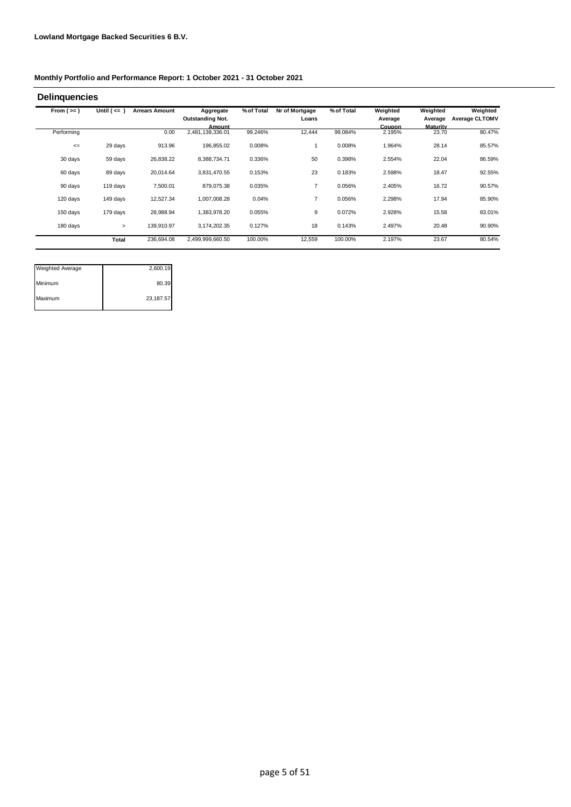| From $(>=)$ | Until $($ <= $)$ | <b>Arrears Amount</b> | Aggregate                  | % of Total | Nr of Mortgage | % of Total | Weighted                | Weighted                 | Weighted              |
|-------------|------------------|-----------------------|----------------------------|------------|----------------|------------|-------------------------|--------------------------|-----------------------|
|             |                  |                       | <b>Outstanding Not.</b>    |            | Loans          |            | Average                 | Average                  | <b>Average CLTOMV</b> |
| Performing  |                  | 0.00                  | Amount<br>2,481,138,336.01 | 99.246%    | 12,444         | 99.084%    | <b>Coupon</b><br>2.195% | <b>Maturity</b><br>23.70 | 80.47%                |
| $\leq$      | 29 days          | 913.96                | 196,855.02                 | 0.008%     |                | 0.008%     | 1.964%                  | 28.14                    | 85.57%                |
| 30 days     | 59 days          | 26,838.22             | 8,388,734.71               | 0.336%     | 50             | 0.398%     | 2.554%                  | 22.04                    | 86.59%                |
| 60 days     | 89 days          | 20,014.64             | 3,831,470.55               | 0.153%     | 23             | 0.183%     | 2.598%                  | 18.47                    | 92.55%                |
| 90 days     | 119 days         | 7,500.01              | 879,075.38                 | 0.035%     | $\overline{7}$ | 0.056%     | 2.405%                  | 16.72                    | 90.57%                |
| 120 days    | 149 days         | 12,527.34             | 1,007,008.28               | 0.04%      | $\overline{7}$ | 0.056%     | 2.298%                  | 17.94                    | 85.90%                |
| 150 days    | 179 days         | 28,988.94             | 1,383,978.20               | 0.055%     | 9              | 0.072%     | 2.928%                  | 15.58                    | 83.01%                |
| 180 days    | $\geq$           | 139,910.97            | 3,174,202.35               | 0.127%     | 18             | 0.143%     | 2.497%                  | 20.48                    | 90.90%                |
|             | Total            | 236,694.08            | 2,499,999,660.50           | 100.00%    | 12,559         | 100.00%    | 2.197%                  | 23.67                    | 80.54%                |

| <b>Weighted Average</b> | 2,600.19  |
|-------------------------|-----------|
| Minimum                 | 80.39     |
| Maximum                 | 23,187.57 |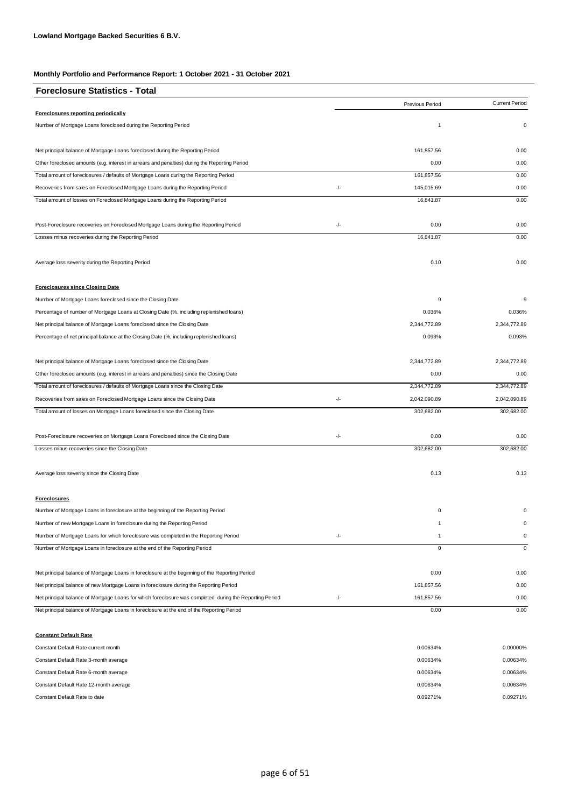| <b>Foreclosure Statistics - Total</b>                                                                   |       |                 |                       |
|---------------------------------------------------------------------------------------------------------|-------|-----------------|-----------------------|
|                                                                                                         |       | Previous Period | <b>Current Period</b> |
| Foreclosures reporting periodically                                                                     |       |                 |                       |
| Number of Mortgage Loans foreclosed during the Reporting Period                                         |       | 1               | 0                     |
| Net principal balance of Mortgage Loans foreclosed during the Reporting Period                          |       | 161,857.56      | 0.00                  |
| Other foreclosed amounts (e.g. interest in arrears and penalties) during the Reporting Period           |       | 0.00            | 0.00                  |
| Total amount of foreclosures / defaults of Mortgage Loans during the Reporting Period                   |       | 161,857.56      | 0.00                  |
| Recoveries from sales on Foreclosed Mortgage Loans during the Reporting Period                          | -/-   | 145,015.69      | 0.00                  |
| Total amount of losses on Foreclosed Mortgage Loans during the Reporting Period                         |       | 16,841.87       | 0.00                  |
| Post-Foreclosure recoveries on Foreclosed Mortgage Loans during the Reporting Period                    | -/-   | 0.00            | 0.00                  |
| Losses minus recoveries during the Reporting Period                                                     |       | 16,841.87       | 0.00                  |
| Average loss severity during the Reporting Period                                                       |       | 0.10            | 0.00                  |
| <b>Foreclosures since Closing Date</b>                                                                  |       |                 |                       |
| Number of Mortgage Loans foreclosed since the Closing Date                                              |       | 9               | 9                     |
| Percentage of number of Mortgage Loans at Closing Date (%, including replenished loans)                 |       | 0.036%          | 0.036%                |
| Net principal balance of Mortgage Loans foreclosed since the Closing Date                               |       | 2,344,772.89    | 2,344,772.89          |
| Percentage of net principal balance at the Closing Date (%, including replenished loans)                |       | 0.093%          | 0.093%                |
| Net principal balance of Mortgage Loans foreclosed since the Closing Date                               |       | 2,344,772.89    | 2,344,772.89          |
| Other foreclosed amounts (e.g. interest in arrears and penalties) since the Closing Date                |       | 0.00            | 0.00                  |
| Total amount of foreclosures / defaults of Mortgage Loans since the Closing Date                        |       | 2,344,772.89    | 2,344,772.89          |
| Recoveries from sales on Foreclosed Mortgage Loans since the Closing Date                               | $-/-$ | 2,042,090.89    | 2,042,090.89          |
| Total amount of losses on Mortgage Loans foreclosed since the Closing Date                              |       | 302,682.00      | 302,682.00            |
| Post-Foreclosure recoveries on Mortgage Loans Foreclosed since the Closing Date                         | -/-   | 0.00            | 0.00                  |
| Losses minus recoveries since the Closing Date                                                          |       | 302,682.00      | 302,682.00            |
| Average loss severity since the Closing Date                                                            |       | 0.13            | 0.13                  |
| <b>Foreclosures</b>                                                                                     |       |                 |                       |
| Number of Mortgage Loans in foreclosure at the beginning of the Reporting Period                        |       | $\mathbf 0$     |                       |
| Number of new Mortgage Loans in foreclosure during the Reporting Period                                 |       | 1               |                       |
| Number of Mortgage Loans for which foreclosure was completed in the Reporting Period                    | -/-   | 1               | 0                     |
| Number of Mortgage Loans in foreclosure at the end of the Reporting Period                              |       | $\mathbf 0$     | $\mathbf 0$           |
| Net principal balance of Mortgage Loans in foreclosure at the beginning of the Reporting Period         |       | 0.00            | 0.00                  |
| Net principal balance of new Mortgage Loans in foreclosure during the Reporting Period                  |       | 161,857.56      | 0.00                  |
| Net principal balance of Mortgage Loans for which foreclosure was completed during the Reporting Period | -/-   | 161,857.56      | 0.00                  |
| Net principal balance of Mortgage Loans in foreclosure at the end of the Reporting Period               |       | 0.00            | 0.00                  |

| <b>Constant Default Rate</b>           |          |          |
|----------------------------------------|----------|----------|
| Constant Default Rate current month    | 0.00634% | 0.00000% |
| Constant Default Rate 3-month average  | 0.00634% | 0.00634% |
| Constant Default Rate 6-month average  | 0.00634% | 0.00634% |
| Constant Default Rate 12-month average | 0.00634% | 0.00634% |
| Constant Default Rate to date          | 0.09271% | 0.09271% |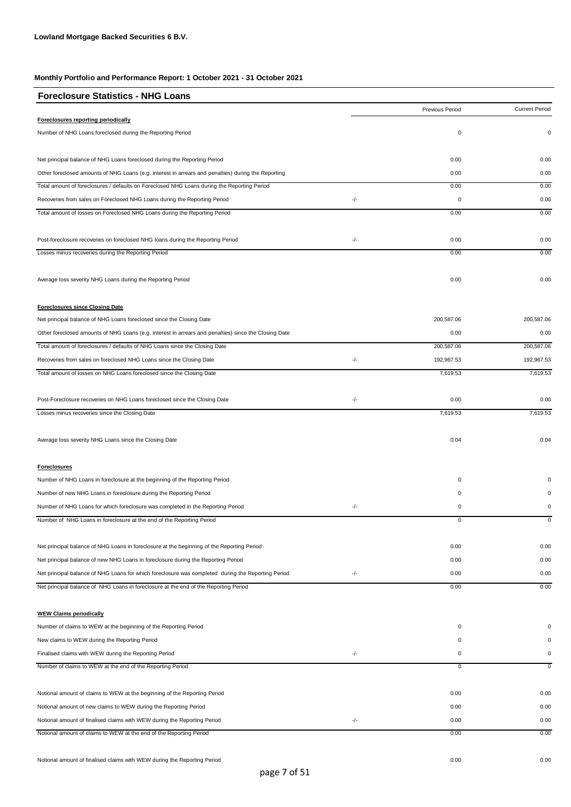| <b>Foreclosure Statistics - NHG Loans</b>                                                             |     |                 |                       |
|-------------------------------------------------------------------------------------------------------|-----|-----------------|-----------------------|
|                                                                                                       |     | Previous Period | <b>Current Period</b> |
| Foreclosures reporting periodically                                                                   |     |                 |                       |
| Number of NHG Loans foreclosed during the Reporting Period                                            |     | 0               | 0                     |
| Net principal balance of NHG Loans foreclosed during the Reporting Period                             |     | 0.00            | 0.00                  |
| Other foreclosed amounts of NHG Loans (e.g. interest in arrears and penalties) during the Reporting   |     | 0.00            | 0.00                  |
| Total amount of foreclosures / defaults on Foreclosed NHG Loans during the Reporting Period           |     | 0.00            | 0.00                  |
| Recoveries from sales on Foreclosed NHG Loans during the Reporting Period                             | -/- | 0               | 0.00                  |
| Total amount of losses on Foreclosed NHG Loans during the Reporting Period                            |     | 0.00            | 0.00                  |
| Post-foreclosure recoveries on foreclosed NHG loans during the Reporting Period                       | -/- | 0.00            | 0.00                  |
| Losses minus recoveries during the Reporting Period                                                   |     | 0.00            | 0.00                  |
| Average loss severity NHG Loans during the Reporting Period                                           |     | 0.00            | 0.00                  |
| <b>Foreclosures since Closing Date</b>                                                                |     |                 |                       |
| Net principal balance of NHG Loans foreclosed since the Closing Date                                  |     | 200,587.06      | 200.587.06            |
| Other foreclosed amounts of NHG Loans (e.g. interest in arrears and penalties) since the Closing Date |     | 0.00            | 0.00                  |
| Total amount of foreclosures / defaults of NHG Loans since the Closing Date                           |     | 200,587.06      | 200,587.06            |
| Recoveries from sales on foreclosed NHG Loans since the Closing Date                                  | -/- | 192,967.53      | 192,967.53            |
| Total amount of losses on NHG Loans foreclosed since the Closing Date                                 |     | 7,619.53        | 7,619.53              |
| Post-Foreclosure recoveries on NHG Loans foreclosed since the Closing Date                            | -/- | 0.00            | 0.00                  |
| Losses minus recoveries since the Closing Date                                                        |     | 7,619.53        | 7,619.53              |
| Average loss severity NHG Loans since the Closing Date                                                |     | 0.04            | 0.04                  |
| <b>Foreclosures</b>                                                                                   |     |                 |                       |
| Number of NHG Loans in foreclosure at the beginning of the Reporting Period                           |     | 0               |                       |
| Number of new NHG Loans in foreclosure during the Reporting Period                                    |     | 0               | $\Omega$              |
| Number of NHG Loans for which foreclosure was completed in the Reporting Period                       | -/- | 0               | 0                     |
| Number of NHG Loans in foreclosure at the end of the Reporting Period                                 |     | 0               | $\mathsf 0$           |
| Net principal balance of NHG Loans in foreclosure at the beginning of the Reporting Period            |     | 0.00            | 0.00                  |
| Net principal balance of new NHG Loans in foreclosure during the Reporting Period                     |     | 0.00            | 0.00                  |
| Net principal balance of NHG Loans for which foreclosure was completed during the Reporting Period    | -/- | 0.00            | 0.00                  |
| Net principal balance of NHG Loans in foreclosure at the end of the Reporting Period                  |     | 0.00            | 0.00                  |
| <b>WEW Claims periodically</b>                                                                        |     |                 |                       |
| Number of claims to WEW at the beginning of the Reporting Period                                      |     | 0               | $\Omega$              |
| New claims to WEW during the Reporting Period                                                         |     | 0               |                       |
| Finalised claims with WEW during the Reporting Period                                                 | -/- | 0               | 0                     |
| Number of claims to WEW at the end of the Reporting Period                                            |     | 0               | 0                     |
| Notional amount of claims to WEW at the beginning of the Reporting Period                             |     | 0.00            | 0.00                  |
| Notional amount of new claims to WEW during the Reporting Period                                      |     | 0.00            | 0.00                  |
| Notional amount of finalised claims with WEW during the Reporting Period                              | -/- | 0.00            | 0.00                  |
| Notional amount of claims to WEW at the end of the Reporting Period                                   |     | 0.00            | 0.00                  |
|                                                                                                       |     |                 |                       |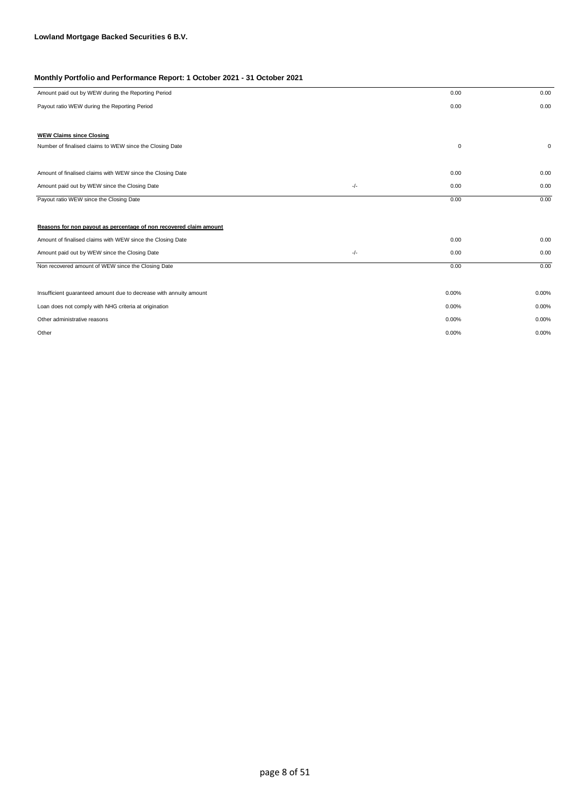| Amount paid out by WEW during the Reporting Period                 |       | 0.00        | 0.00  |
|--------------------------------------------------------------------|-------|-------------|-------|
| Payout ratio WEW during the Reporting Period                       |       | 0.00        | 0.00  |
|                                                                    |       |             |       |
| <b>WEW Claims since Closing</b>                                    |       |             |       |
| Number of finalised claims to WEW since the Closing Date           |       | $\mathsf 0$ | 0     |
|                                                                    |       |             |       |
| Amount of finalised claims with WEW since the Closing Date         |       | 0.00        | 0.00  |
| Amount paid out by WEW since the Closing Date                      | $-/-$ | 0.00        | 0.00  |
| Payout ratio WEW since the Closing Date                            |       | 0.00        | 0.00  |
|                                                                    |       |             |       |
| Reasons for non payout as percentage of non recovered claim amount |       |             |       |
| Amount of finalised claims with WEW since the Closing Date         |       | 0.00        | 0.00  |
| Amount paid out by WEW since the Closing Date                      | $-/-$ | 0.00        | 0.00  |
| Non recovered amount of WEW since the Closing Date                 |       | 0.00        | 0.00  |
|                                                                    |       |             |       |
| Insufficient guaranteed amount due to decrease with annuity amount |       | 0.00%       | 0.00% |
| Loan does not comply with NHG criteria at origination              |       | 0.00%       | 0.00% |
| Other administrative reasons                                       |       | 0.00%       | 0.00% |
| Other                                                              |       | 0.00%       | 0.00% |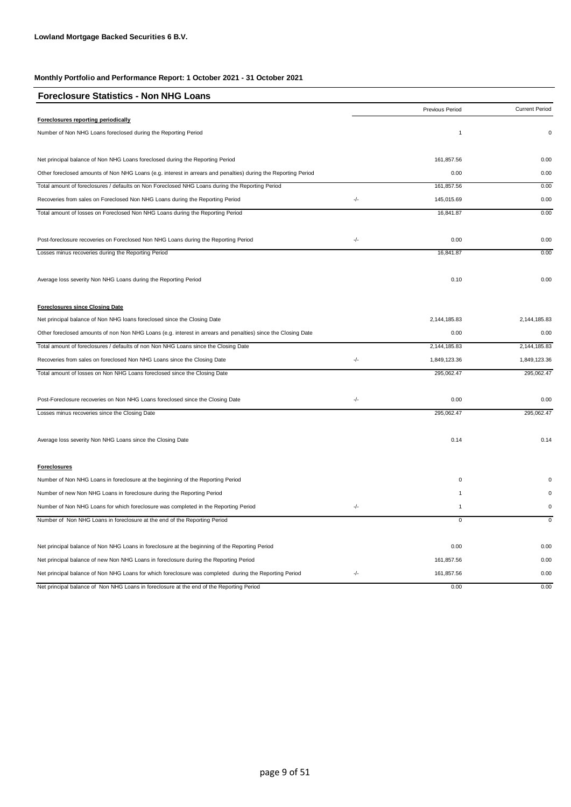| <b>Foreclosure Statistics - Non NHG Loans</b>                                                                  |     |                 |                       |
|----------------------------------------------------------------------------------------------------------------|-----|-----------------|-----------------------|
|                                                                                                                |     | Previous Period | <b>Current Period</b> |
| Foreclosures reporting periodically                                                                            |     |                 |                       |
| Number of Non NHG Loans foreclosed during the Reporting Period                                                 |     | $\overline{1}$  | $\mathbf 0$           |
| Net principal balance of Non NHG Loans foreclosed during the Reporting Period                                  |     | 161,857.56      | 0.00                  |
| Other foreclosed amounts of Non NHG Loans (e.g. interest in arrears and penalties) during the Reporting Period |     | 0.00            | 0.00                  |
| Total amount of foreclosures / defaults on Non Foreclosed NHG Loans during the Reporting Period                |     | 161,857.56      | 0.00                  |
| Recoveries from sales on Foreclosed Non NHG Loans during the Reporting Period                                  | -/- | 145,015.69      | 0.00                  |
| Total amount of losses on Foreclosed Non NHG Loans during the Reporting Period                                 |     | 16,841.87       | 0.00                  |
| Post-foreclosure recoveries on Foreclosed Non NHG Loans during the Reporting Period                            | -/- | 0.00            | 0.00                  |
| Losses minus recoveries during the Reporting Period                                                            |     | 16,841.87       | 0.00                  |
| Average loss severity Non NHG Loans during the Reporting Period                                                |     | 0.10            | 0.00                  |
| <b>Foreclosures since Closing Date</b>                                                                         |     |                 |                       |
| Net principal balance of Non NHG loans foreclosed since the Closing Date                                       |     | 2,144,185.83    | 2,144,185.83          |
| Other foreclosed amounts of non Non NHG Loans (e.g. interest in arrears and penalties) since the Closing Date  |     | 0.00            | 0.00                  |
| Total amount of foreclosures / defaults of non Non NHG Loans since the Closing Date                            |     | 2,144,185.83    | 2,144,185.83          |
| Recoveries from sales on foreclosed Non NHG Loans since the Closing Date                                       | -/- | 1,849,123.36    | 1,849,123.36          |
| Total amount of losses on Non NHG Loans foreclosed since the Closing Date                                      |     | 295,062.47      | 295,062.47            |
| Post-Foreclosure recoveries on Non NHG Loans foreclosed since the Closing Date                                 | -/- | 0.00            | 0.00                  |
| Losses minus recoveries since the Closing Date                                                                 |     | 295,062.47      | 295,062.47            |
| Average loss severity Non NHG Loans since the Closing Date                                                     |     | 0.14            | 0.14                  |
| <b>Foreclosures</b>                                                                                            |     |                 |                       |
| Number of Non NHG Loans in foreclosure at the beginning of the Reporting Period                                |     | 0               |                       |
| Number of new Non NHG Loans in foreclosure during the Reporting Period                                         |     | $\overline{1}$  | $\Omega$              |
| Number of Non NHG Loans for which foreclosure was completed in the Reporting Period                            | -/- | $\mathbf{1}$    | $\mathbf 0$           |
| Number of Non NHG Loans in foreclosure at the end of the Reporting Period                                      |     | $\mathsf 0$     | $\mathsf 0$           |
| Net principal balance of Non NHG Loans in foreclosure at the beginning of the Reporting Period                 |     | 0.00            | 0.00                  |
| Net principal balance of new Non NHG Loans in foreclosure during the Reporting Period                          |     | 161,857.56      | 0.00                  |
| Net principal balance of Non NHG Loans for which foreclosure was completed during the Reporting Period         | -/- | 161,857.56      | 0.00                  |
| Net principal balance of Non NHG Loans in foreclosure at the end of the Reporting Period                       |     | 0.00            | 0.00                  |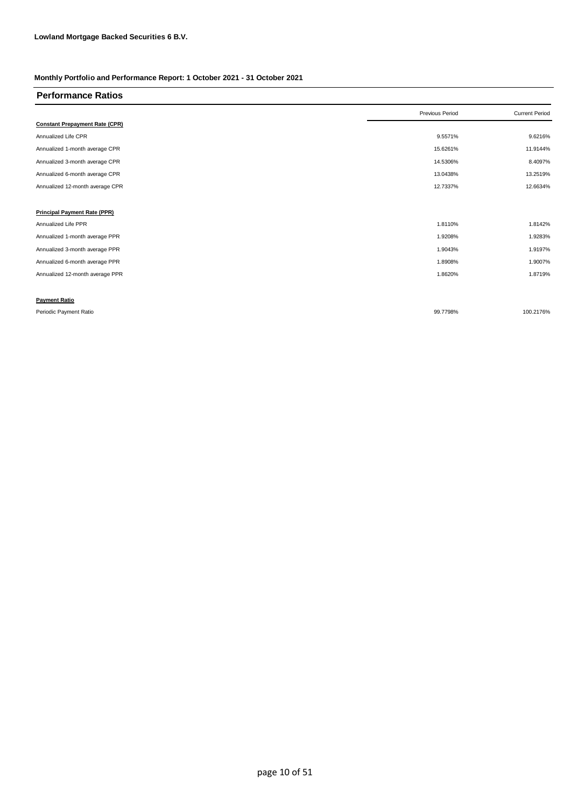| <b>Performance Ratios</b>             |                 |                       |
|---------------------------------------|-----------------|-----------------------|
|                                       | Previous Period | <b>Current Period</b> |
| <b>Constant Prepayment Rate (CPR)</b> |                 |                       |
| Annualized Life CPR                   | 9.5571%         | 9.6216%               |
| Annualized 1-month average CPR        | 15.6261%        | 11.9144%              |
| Annualized 3-month average CPR        | 14.5306%        | 8.4097%               |
| Annualized 6-month average CPR        | 13.0438%        | 13.2519%              |
| Annualized 12-month average CPR       | 12.7337%        | 12.6634%              |
|                                       |                 |                       |
| <b>Principal Payment Rate (PPR)</b>   |                 |                       |
| Annualized Life PPR                   | 1.8110%         | 1.8142%               |
| Annualized 1-month average PPR        | 1.9208%         | 1.9283%               |
| Annualized 3-month average PPR        | 1.9043%         | 1.9197%               |
| Annualized 6-month average PPR        | 1.8908%         | 1.9007%               |
| Annualized 12-month average PPR       | 1.8620%         | 1.8719%               |
|                                       |                 |                       |
| <b>Payment Ratio</b>                  |                 |                       |
| Periodic Payment Ratio                | 99.7798%        | 100.2176%             |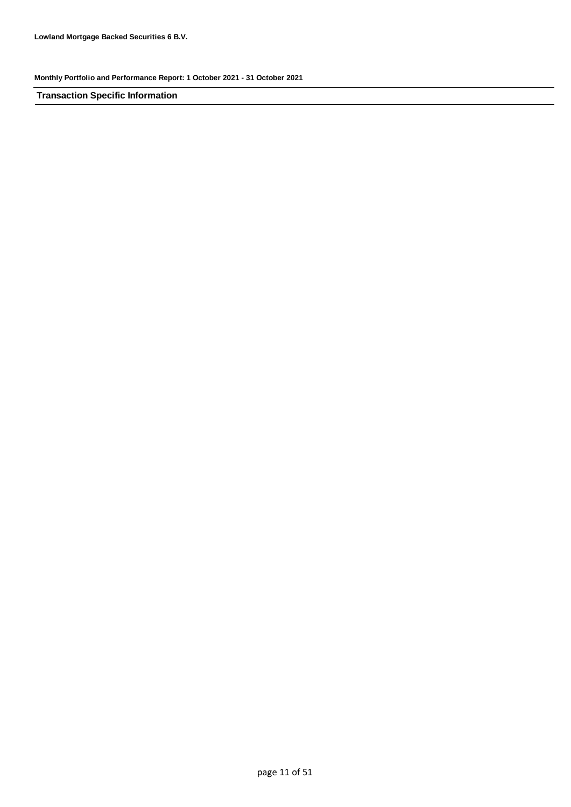**Transaction Specific Information**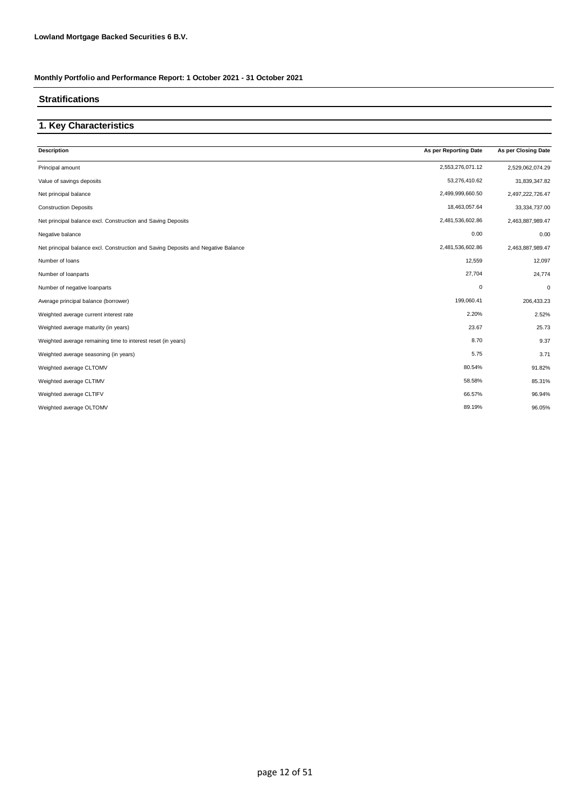### **Stratifications**

## **1. Key Characteristics**

| <b>Description</b>                                                                | As per Reporting Date | As per Closing Date |
|-----------------------------------------------------------------------------------|-----------------------|---------------------|
| Principal amount                                                                  | 2,553,276,071.12      | 2,529,062,074.29    |
| Value of savings deposits                                                         | 53,276,410.62         | 31,839,347.82       |
| Net principal balance                                                             | 2,499,999,660.50      | 2,497,222,726.47    |
| <b>Construction Deposits</b>                                                      | 18,463,057.64         | 33,334,737.00       |
| Net principal balance excl. Construction and Saving Deposits                      | 2,481,536,602.86      | 2,463,887,989.47    |
| Negative balance                                                                  | 0.00                  | 0.00                |
| Net principal balance excl. Construction and Saving Deposits and Negative Balance | 2,481,536,602.86      | 2,463,887,989.47    |
| Number of loans                                                                   | 12,559                | 12,097              |
| Number of loanparts                                                               | 27,704                | 24,774              |
| Number of negative loanparts                                                      | $\mathbf 0$           | 0                   |
| Average principal balance (borrower)                                              | 199,060.41            | 206,433.23          |
| Weighted average current interest rate                                            | 2.20%                 | 2.52%               |
| Weighted average maturity (in years)                                              | 23.67                 | 25.73               |
| Weighted average remaining time to interest reset (in years)                      | 8.70                  | 9.37                |
| Weighted average seasoning (in years)                                             | 5.75                  | 3.71                |
| Weighted average CLTOMV                                                           | 80.54%                | 91.82%              |
| Weighted average CLTIMV                                                           | 58.58%                | 85.31%              |
| Weighted average CLTIFV                                                           | 66.57%                | 96.94%              |
| Weighted average OLTOMV                                                           | 89.19%                | 96.05%              |
|                                                                                   |                       |                     |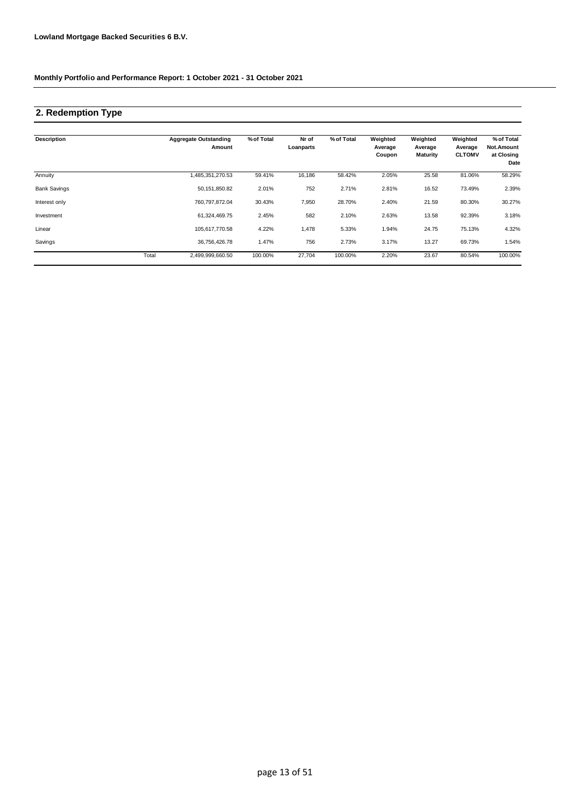## **2. Redemption Type**

| <b>Description</b>  |       | <b>Aggregate Outstanding</b><br>Amount | % of Total | Nr of<br>Loanparts | % of Total | Weighted<br>Average<br>Coupon | Weighted<br>Average<br><b>Maturity</b> | Weighted<br>Average<br><b>CLTOMV</b> | % of Total<br>Not.Amount<br>at Closing<br>Date |
|---------------------|-------|----------------------------------------|------------|--------------------|------------|-------------------------------|----------------------------------------|--------------------------------------|------------------------------------------------|
| Annuity             |       | 485,351,270.53                         | 59.41%     | 16,186             | 58.42%     | 2.05%                         | 25.58                                  | 81.06%                               | 58.29%                                         |
| <b>Bank Savings</b> |       | 50,151,850.82                          | 2.01%      | 752                | 2.71%      | 2.81%                         | 16.52                                  | 73.49%                               | 2.39%                                          |
| Interest only       |       | 760,797,872.04                         | 30.43%     | 7,950              | 28.70%     | 2.40%                         | 21.59                                  | 80.30%                               | 30.27%                                         |
| Investment          |       | 61,324,469.75                          | 2.45%      | 582                | 2.10%      | 2.63%                         | 13.58                                  | 92.39%                               | 3.18%                                          |
| Linear              |       | 105,617,770.58                         | 4.22%      | 1,478              | 5.33%      | 1.94%                         | 24.75                                  | 75.13%                               | 4.32%                                          |
| Savings             |       | 36,756,426.78                          | 1.47%      | 756                | 2.73%      | 3.17%                         | 13.27                                  | 69.73%                               | 1.54%                                          |
|                     | Total | 2,499,999,660.50                       | 100.00%    | 27,704             | 100.00%    | 2.20%                         | 23.67                                  | 80.54%                               | 100.00%                                        |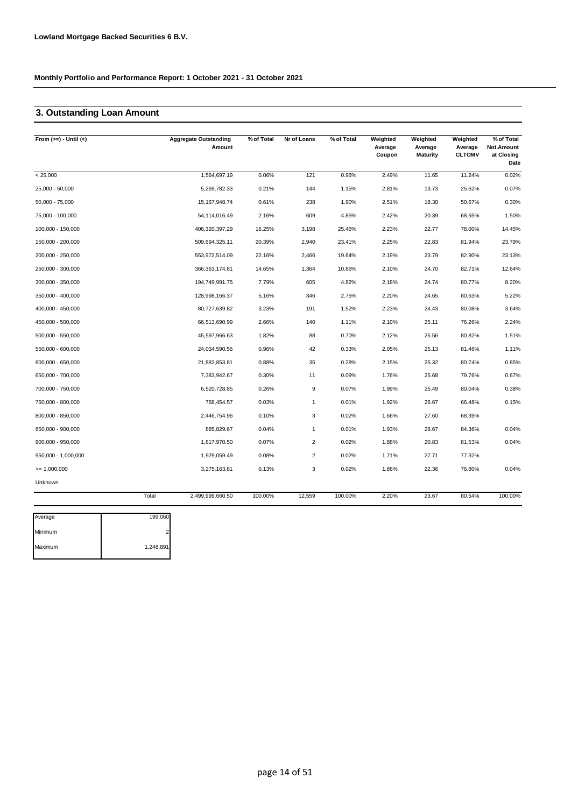## **3. Outstanding Loan Amount**

| From $(>=) -$ Until $(<)$ |       | <b>Aggregate Outstanding</b><br>Amount | % of Total | Nr of Loans    | % of Total | Weighted<br>Average<br>Coupon | Weighted<br>Average<br><b>Maturity</b> | Weighted<br>Average<br><b>CLTOMV</b> | % of Total<br>Not.Amount<br>at Closing<br>Date |
|---------------------------|-------|----------------------------------------|------------|----------------|------------|-------------------------------|----------------------------------------|--------------------------------------|------------------------------------------------|
| < 25.000                  |       | 1,564,697.19                           | 0.06%      | 121            | 0.96%      | 2.49%                         | 11.65                                  | 11.24%                               | 0.02%                                          |
| 25,000 - 50,000           |       | 5,269,782.33                           | 0.21%      | 144            | 1.15%      | 2.81%                         | 13.73                                  | 25.62%                               | 0.07%                                          |
| 50,000 - 75,000           |       | 15, 167, 948. 74                       | 0.61%      | 238            | 1.90%      | 2.51%                         | 18.30                                  | 50.67%                               | 0.30%                                          |
| 75,000 - 100,000          |       | 54,114,016.49                          | 2.16%      | 609            | 4.85%      | 2.42%                         | 20.39                                  | 68.65%                               | 1.50%                                          |
| 100,000 - 150,000         |       | 406,320,397.29                         | 16.25%     | 3,198          | 25.46%     | 2.23%                         | 22.77                                  | 78.00%                               | 14.45%                                         |
| 150,000 - 200,000         |       | 509,694,325.11                         | 20.39%     | 2,940          | 23.41%     | 2.25%                         | 22.83                                  | 81.94%                               | 23.79%                                         |
| 200,000 - 250,000         |       | 553,972,514.09                         | 22.16%     | 2,466          | 19.64%     | 2.19%                         | 23.79                                  | 82.90%                               | 23.13%                                         |
| 250,000 - 300,000         |       | 366, 363, 174.81                       | 14.65%     | 1,364          | 10.86%     | 2.10%                         | 24.70                                  | 82.71%                               | 12.64%                                         |
| 300,000 - 350,000         |       | 194,749,991.75                         | 7.79%      | 605            | 4.82%      | 2.18%                         | 24.74                                  | 80.77%                               | 8.20%                                          |
| 350,000 - 400,000         |       | 128,998,166.37                         | 5.16%      | 346            | 2.75%      | 2.20%                         | 24.65                                  | 80.63%                               | 5.22%                                          |
| 400,000 - 450,000         |       | 80,727,639.82                          | 3.23%      | 191            | 1.52%      | 2.23%                         | 24.43                                  | 80.08%                               | 3.64%                                          |
| 450,000 - 500,000         |       | 66,513,690.99                          | 2.66%      | 140            | 1.11%      | 2.10%                         | 25.11                                  | 76.26%                               | 2.24%                                          |
| 500,000 - 550,000         |       | 45,597,966.63                          | 1.82%      | 88             | 0.70%      | 2.12%                         | 25.56                                  | 80.82%                               | 1.51%                                          |
| 550,000 - 600,000         |       | 24,034,590.56                          | 0.96%      | 42             | 0.33%      | 2.05%                         | 25.13                                  | 81.46%                               | 1.11%                                          |
| 600,000 - 650,000         |       | 21,882,853.81                          | 0.88%      | 35             | 0.28%      | 2.15%                         | 25.32                                  | 80.74%                               | 0.85%                                          |
| 650,000 - 700,000         |       | 7,383,942.67                           | 0.30%      | 11             | 0.09%      | 1.76%                         | 25.68                                  | 79.76%                               | 0.67%                                          |
| 700,000 - 750,000         |       | 6,520,728.85                           | 0.26%      | 9              | 0.07%      | 1.99%                         | 25.49                                  | 80.04%                               | 0.38%                                          |
| 750,000 - 800,000         |       | 768,454.57                             | 0.03%      | $\overline{1}$ | 0.01%      | 1.92%                         | 26.67                                  | 66.48%                               | 0.15%                                          |
| 800,000 - 850,000         |       | 2,446,754.96                           | 0.10%      | 3              | 0.02%      | 1.66%                         | 27.60                                  | 68.39%                               |                                                |
| 850,000 - 900,000         |       | 885,829.67                             | 0.04%      | $\mathbf{1}$   | 0.01%      | 1.93%                         | 28.67                                  | 84.36%                               | 0.04%                                          |
| $900,000 - 950,000$       |       | 1,817,970.50                           | 0.07%      | $\overline{2}$ | 0.02%      | 1.88%                         | 20.83                                  | 81.53%                               | 0.04%                                          |
| 950,000 - 1,000,000       |       | 1,929,059.49                           | 0.08%      | $\overline{2}$ | 0.02%      | 1.71%                         | 27.71                                  | 77.32%                               |                                                |
| $>= 1.000.000$            |       | 3,275,163.81                           | 0.13%      | 3              | 0.02%      | 1.86%                         | 22.36                                  | 76.80%                               | 0.04%                                          |
| Unknown                   |       |                                        |            |                |            |                               |                                        |                                      |                                                |
|                           | Total | 2,499,999,660.50                       | 100.00%    | 12,559         | 100.00%    | 2.20%                         | 23.67                                  | 80.54%                               | 100.00%                                        |

| Average | 199,060   |
|---------|-----------|
| Minimum | ົ         |
| Maximum | 1,248,891 |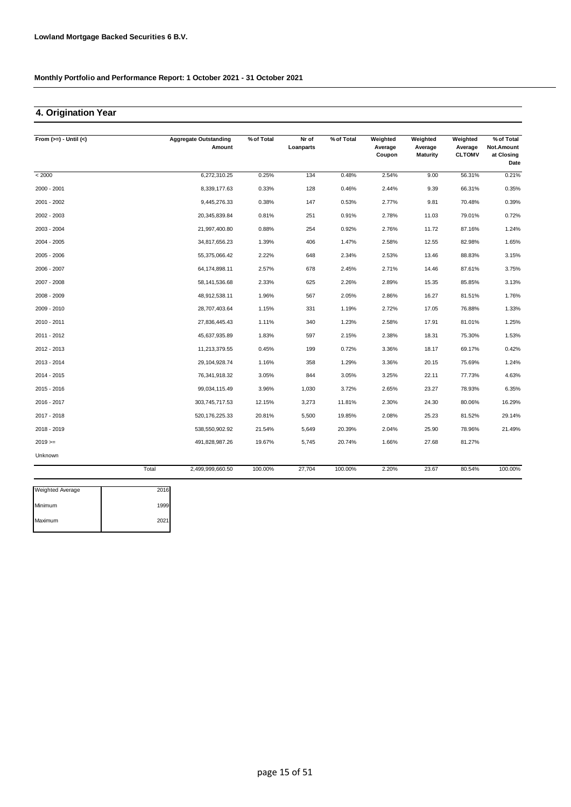## **4. Origination Year**

| From $(>=) -$ Until $(<)$ |       | <b>Aggregate Outstanding</b> | % of Total | Nr of     | % of Total | Weighted          | Weighted                   | Weighted                 | % of Total                       |
|---------------------------|-------|------------------------------|------------|-----------|------------|-------------------|----------------------------|--------------------------|----------------------------------|
|                           |       | Amount                       |            | Loanparts |            | Average<br>Coupon | Average<br><b>Maturity</b> | Average<br><b>CLTOMV</b> | Not.Amount<br>at Closing<br>Date |
| < 2000                    |       | 6,272,310.25                 | 0.25%      | 134       | 0.48%      | 2.54%             | 9.00                       | 56.31%                   | 0.21%                            |
| 2000 - 2001               |       | 8,339,177.63                 | 0.33%      | 128       | 0.46%      | 2.44%             | 9.39                       | 66.31%                   | 0.35%                            |
| 2001 - 2002               |       | 9,445,276.33                 | 0.38%      | 147       | 0.53%      | 2.77%             | 9.81                       | 70.48%                   | 0.39%                            |
| 2002 - 2003               |       | 20,345,839.84                | 0.81%      | 251       | 0.91%      | 2.78%             | 11.03                      | 79.01%                   | 0.72%                            |
| 2003 - 2004               |       | 21,997,400.80                | 0.88%      | 254       | 0.92%      | 2.76%             | 11.72                      | 87.16%                   | 1.24%                            |
| 2004 - 2005               |       | 34,817,656.23                | 1.39%      | 406       | 1.47%      | 2.58%             | 12.55                      | 82.98%                   | 1.65%                            |
| 2005 - 2006               |       | 55,375,066.42                | 2.22%      | 648       | 2.34%      | 2.53%             | 13.46                      | 88.83%                   | 3.15%                            |
| 2006 - 2007               |       | 64,174,898.11                | 2.57%      | 678       | 2.45%      | 2.71%             | 14.46                      | 87.61%                   | 3.75%                            |
| 2007 - 2008               |       | 58,141,536.68                | 2.33%      | 625       | 2.26%      | 2.89%             | 15.35                      | 85.85%                   | 3.13%                            |
| 2008 - 2009               |       | 48,912,538.11                | 1.96%      | 567       | 2.05%      | 2.86%             | 16.27                      | 81.51%                   | 1.76%                            |
| 2009 - 2010               |       | 28,707,403.64                | 1.15%      | 331       | 1.19%      | 2.72%             | 17.05                      | 76.88%                   | 1.33%                            |
| 2010 - 2011               |       | 27,836,445.43                | 1.11%      | 340       | 1.23%      | 2.58%             | 17.91                      | 81.01%                   | 1.25%                            |
| 2011 - 2012               |       | 45.637.935.89                | 1.83%      | 597       | 2.15%      | 2.38%             | 18.31                      | 75.30%                   | 1.53%                            |
| 2012 - 2013               |       | 11,213,379.55                | 0.45%      | 199       | 0.72%      | 3.36%             | 18.17                      | 69.17%                   | 0.42%                            |
| 2013 - 2014               |       | 29,104,928.74                | 1.16%      | 358       | 1.29%      | 3.36%             | 20.15                      | 75.69%                   | 1.24%                            |
| 2014 - 2015               |       | 76,341,918.32                | 3.05%      | 844       | 3.05%      | 3.25%             | 22.11                      | 77.73%                   | 4.63%                            |
| 2015 - 2016               |       | 99,034,115.49                | 3.96%      | 1,030     | 3.72%      | 2.65%             | 23.27                      | 78.93%                   | 6.35%                            |
| 2016 - 2017               |       | 303,745,717.53               | 12.15%     | 3,273     | 11.81%     | 2.30%             | 24.30                      | 80.06%                   | 16.29%                           |
| 2017 - 2018               |       | 520, 176, 225.33             | 20.81%     | 5,500     | 19.85%     | 2.08%             | 25.23                      | 81.52%                   | 29.14%                           |
| 2018 - 2019               |       | 538,550,902.92               | 21.54%     | 5,649     | 20.39%     | 2.04%             | 25.90                      | 78.96%                   | 21.49%                           |
| $2019 ==$                 |       | 491,828,987.26               | 19.67%     | 5,745     | 20.74%     | 1.66%             | 27.68                      | 81.27%                   |                                  |
| Unknown                   |       |                              |            |           |            |                   |                            |                          |                                  |
|                           | Total | 2,499,999,660.50             | 100.00%    | 27,704    | 100.00%    | 2.20%             | 23.67                      | 80.54%                   | 100.00%                          |

| <b>Weighted Average</b> | 2016 |
|-------------------------|------|
| Minimum                 | 1999 |
| Maximum                 | 2021 |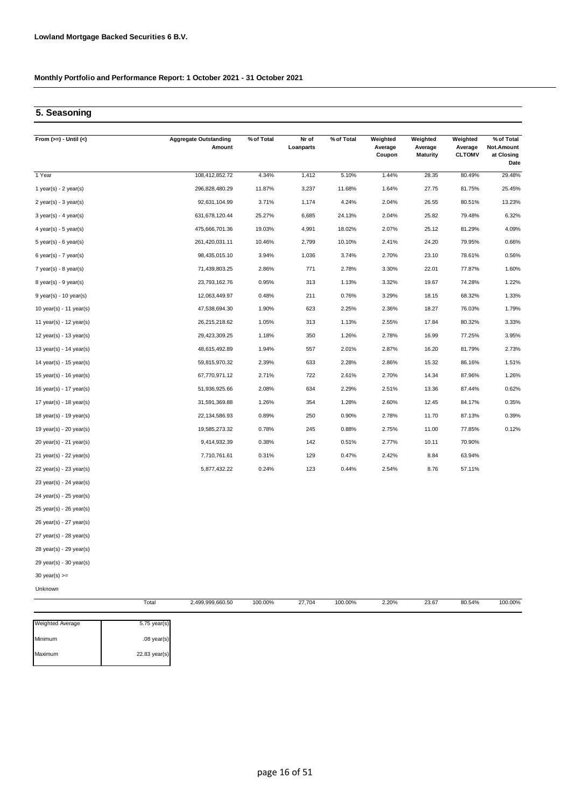## **5. Seasoning**

| From $(>=) -$ Until $(<)$   | <b>Aggregate Outstanding</b><br>Amount | % of Total | Nr of<br>Loanparts | % of Total | Weighted<br>Average<br>Coupon | Weighted<br>Average<br><b>Maturity</b> | Weighted<br>Average<br><b>CLTOMV</b> | % of Total<br>Not.Amount<br>at Closing<br>Date |
|-----------------------------|----------------------------------------|------------|--------------------|------------|-------------------------------|----------------------------------------|--------------------------------------|------------------------------------------------|
| 1 Year                      | 108,412,852.72                         | 4.34%      | 1,412              | 5.10%      | 1.44%                         | 28.35                                  | 80.49%                               | 29.48%                                         |
| 1 year(s) - $2$ year(s)     | 296,828,480.29                         | 11.87%     | 3,237              | 11.68%     | 1.64%                         | 27.75                                  | 81.75%                               | 25.45%                                         |
| $2$ year(s) - $3$ year(s)   | 92,631,104.99                          | 3.71%      | 1,174              | 4.24%      | 2.04%                         | 26.55                                  | 80.51%                               | 13.23%                                         |
| $3$ year(s) - 4 year(s)     | 631,678,120.44                         | 25.27%     | 6,685              | 24.13%     | 2.04%                         | 25.82                                  | 79.48%                               | 6.32%                                          |
| 4 year(s) - 5 year(s)       | 475,666,701.36                         | 19.03%     | 4,991              | 18.02%     | 2.07%                         | 25.12                                  | 81.29%                               | 4.09%                                          |
| $5$ year(s) - $6$ year(s)   | 261,420,031.11                         | 10.46%     | 2,799              | 10.10%     | 2.41%                         | 24.20                                  | 79.95%                               | 0.66%                                          |
| 6 year(s) - 7 year(s)       | 98,435,015.10                          | 3.94%      | 1,036              | 3.74%      | 2.70%                         | 23.10                                  | 78.61%                               | 0.56%                                          |
| $7$ year(s) - 8 year(s)     | 71,439,803.25                          | 2.86%      | 771                | 2.78%      | 3.30%                         | 22.01                                  | 77.87%                               | 1.60%                                          |
| 8 year(s) - 9 year(s)       | 23,793,162.76                          | 0.95%      | 313                | 1.13%      | 3.32%                         | 19.67                                  | 74.28%                               | 1.22%                                          |
| $9$ year(s) - 10 year(s)    | 12,063,449.97                          | 0.48%      | 211                | 0.76%      | 3.29%                         | 18.15                                  | 68.32%                               | 1.33%                                          |
| 10 year(s) - 11 year(s)     | 47,538,694.30                          | 1.90%      | 623                | 2.25%      | 2.36%                         | 18.27                                  | 76.03%                               | 1.79%                                          |
| 11 year(s) - $12$ year(s)   | 26,215,218.62                          | 1.05%      | 313                | 1.13%      | 2.55%                         | 17.84                                  | 80.32%                               | 3.33%                                          |
| 12 year(s) - 13 year(s)     | 29,423,309.25                          | 1.18%      | 350                | 1.26%      | 2.78%                         | 16.99                                  | 77.25%                               | 3.95%                                          |
| 13 year(s) - $14$ year(s)   | 48,615,492.89                          | 1.94%      | 557                | 2.01%      | 2.87%                         | 16.20                                  | 81.79%                               | 2.73%                                          |
| 14 year(s) - 15 year(s)     | 59,815,970.32                          | 2.39%      | 633                | 2.28%      | 2.86%                         | 15.32                                  | 86.16%                               | 1.51%                                          |
| 15 year(s) - 16 year(s)     | 67,770,971.12                          | 2.71%      | 722                | 2.61%      | 2.70%                         | 14.34                                  | 87.96%                               | 1.26%                                          |
| 16 year(s) - 17 year(s)     | 51,936,925.66                          | 2.08%      | 634                | 2.29%      | 2.51%                         | 13.36                                  | 87.44%                               | 0.62%                                          |
| 17 year(s) - $18$ year(s)   | 31,591,369.88                          | 1.26%      | 354                | 1.28%      | 2.60%                         | 12.45                                  | 84.17%                               | 0.35%                                          |
| 18 year(s) - 19 year(s)     | 22,134,586.93                          | 0.89%      | 250                | 0.90%      | 2.78%                         | 11.70                                  | 87.13%                               | 0.39%                                          |
| 19 year(s) - 20 year(s)     | 19,585,273.32                          | 0.78%      | 245                | 0.88%      | 2.75%                         | 11.00                                  | 77.85%                               | 0.12%                                          |
| $20$ year(s) - 21 year(s)   | 9,414,932.39                           | 0.38%      | 142                | 0.51%      | 2.77%                         | 10.11                                  | 70.90%                               |                                                |
| $21$ year(s) - 22 year(s)   | 7,710,761.61                           | 0.31%      | 129                | 0.47%      | 2.42%                         | 8.84                                   | 63.94%                               |                                                |
| 22 year(s) - 23 year(s)     | 5,877,432.22                           | 0.24%      | 123                | 0.44%      | 2.54%                         | 8.76                                   | 57.11%                               |                                                |
| 23 year(s) - 24 year(s)     |                                        |            |                    |            |                               |                                        |                                      |                                                |
| 24 year(s) - 25 year(s)     |                                        |            |                    |            |                               |                                        |                                      |                                                |
| 25 year(s) - 26 year(s)     |                                        |            |                    |            |                               |                                        |                                      |                                                |
| $26$ year(s) - $27$ year(s) |                                        |            |                    |            |                               |                                        |                                      |                                                |
| 27 year(s) - 28 year(s)     |                                        |            |                    |            |                               |                                        |                                      |                                                |
| 28 year(s) - 29 year(s)     |                                        |            |                    |            |                               |                                        |                                      |                                                |
| $29$ year(s) - 30 year(s)   |                                        |            |                    |            |                               |                                        |                                      |                                                |
| $30$ year(s) $>=$           |                                        |            |                    |            |                               |                                        |                                      |                                                |
| Unknown                     |                                        |            |                    |            |                               |                                        |                                      |                                                |

| <b>Weighted Average</b> | $5.75$ year(s) |
|-------------------------|----------------|
| Minimum                 | $.08$ year(s)  |
| Maximum                 | 22.83 year(s)  |

Total 2,499,999,660.50 100.00% 23.67

100.00% 27,704 2.20% 80.54% 100.00%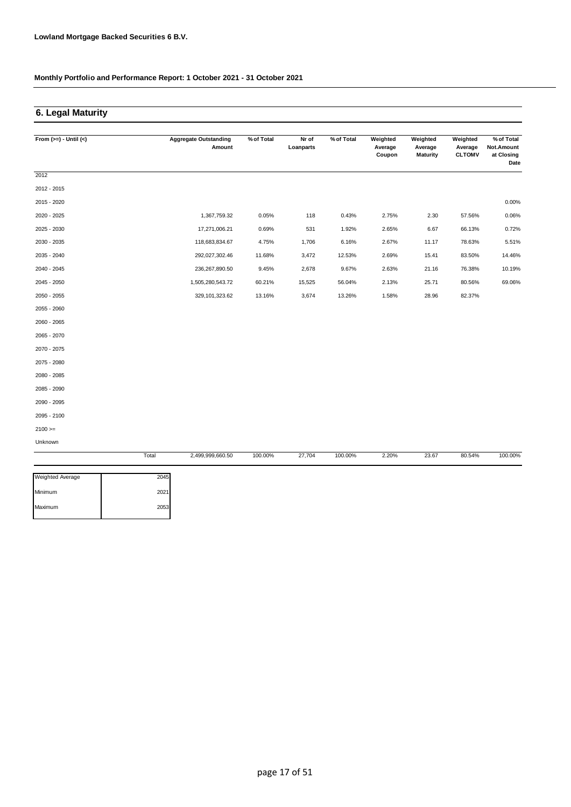### **6. Legal Maturity**

| From $(>=) -$ Until $(<)$ |       | <b>Aggregate Outstanding</b><br>Amount | % of Total | Nr of<br>Loanparts | % of Total | Weighted<br>Average<br>Coupon | Weighted<br>Average<br><b>Maturity</b> | Weighted<br>Average<br><b>CLTOMV</b> | % of Total<br>Not.Amount<br>at Closing<br>Date |
|---------------------------|-------|----------------------------------------|------------|--------------------|------------|-------------------------------|----------------------------------------|--------------------------------------|------------------------------------------------|
| 2012                      |       |                                        |            |                    |            |                               |                                        |                                      |                                                |
| 2012 - 2015               |       |                                        |            |                    |            |                               |                                        |                                      |                                                |
| 2015 - 2020               |       |                                        |            |                    |            |                               |                                        |                                      | 0.00%                                          |
| 2020 - 2025               |       | 1,367,759.32                           | 0.05%      | 118                | 0.43%      | 2.75%                         | 2.30                                   | 57.56%                               | 0.06%                                          |
| 2025 - 2030               |       | 17,271,006.21                          | 0.69%      | 531                | 1.92%      | 2.65%                         | 6.67                                   | 66.13%                               | 0.72%                                          |
| 2030 - 2035               |       | 118,683,834.67                         | 4.75%      | 1,706              | 6.16%      | 2.67%                         | 11.17                                  | 78.63%                               | 5.51%                                          |
| 2035 - 2040               |       | 292,027,302.46                         | 11.68%     | 3,472              | 12.53%     | 2.69%                         | 15.41                                  | 83.50%                               | 14.46%                                         |
| 2040 - 2045               |       | 236,267,890.50                         | 9.45%      | 2,678              | 9.67%      | 2.63%                         | 21.16                                  | 76.38%                               | 10.19%                                         |
| 2045 - 2050               |       | 1,505,280,543.72                       | 60.21%     | 15,525             | 56.04%     | 2.13%                         | 25.71                                  | 80.56%                               | 69.06%                                         |
| 2050 - 2055               |       | 329,101,323.62                         | 13.16%     | 3,674              | 13.26%     | 1.58%                         | 28.96                                  | 82.37%                               |                                                |
| 2055 - 2060               |       |                                        |            |                    |            |                               |                                        |                                      |                                                |
| 2060 - 2065               |       |                                        |            |                    |            |                               |                                        |                                      |                                                |
| 2065 - 2070               |       |                                        |            |                    |            |                               |                                        |                                      |                                                |
| 2070 - 2075               |       |                                        |            |                    |            |                               |                                        |                                      |                                                |
| 2075 - 2080               |       |                                        |            |                    |            |                               |                                        |                                      |                                                |
| 2080 - 2085               |       |                                        |            |                    |            |                               |                                        |                                      |                                                |
| 2085 - 2090               |       |                                        |            |                    |            |                               |                                        |                                      |                                                |
| 2090 - 2095               |       |                                        |            |                    |            |                               |                                        |                                      |                                                |
| 2095 - 2100               |       |                                        |            |                    |            |                               |                                        |                                      |                                                |
| $2100 >=$                 |       |                                        |            |                    |            |                               |                                        |                                      |                                                |
| Unknown                   |       |                                        |            |                    |            |                               |                                        |                                      |                                                |
|                           | Total | 2,499,999,660.50                       | 100.00%    | 27,704             | 100.00%    | 2.20%                         | 23.67                                  | 80.54%                               | 100.00%                                        |

| Weighted Average | 2045 |
|------------------|------|
| Minimum          | 2021 |
| Maximum          | 2053 |
|                  |      |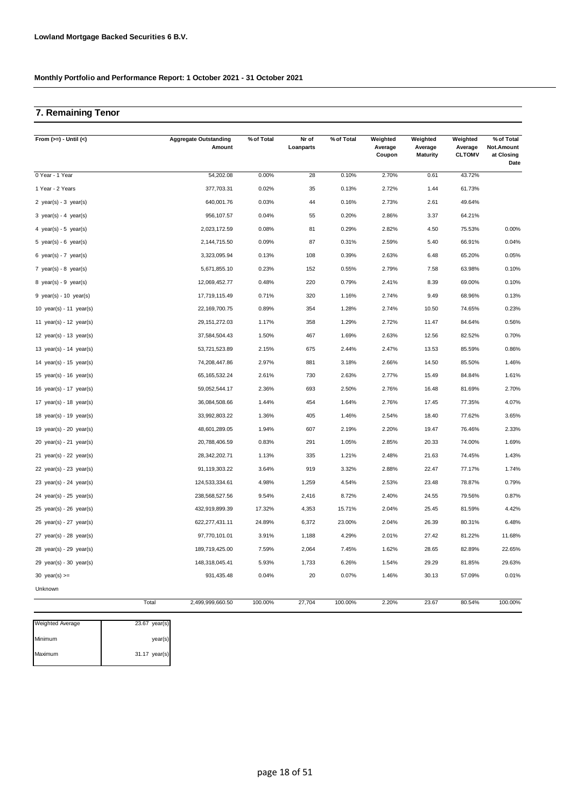## **7. Remaining Tenor**

| From $(>=) -$ Until $(<)$                 | <b>Aggregate Outstanding</b><br>Amount | % of Total | Nr of<br>Loanparts | % of Total | Weighted<br>Average<br>Coupon | Weighted<br>Average<br><b>Maturity</b> | Weighted<br>Average<br><b>CLTOMV</b> | % of Total<br>Not.Amount<br>at Closing<br>Date |
|-------------------------------------------|----------------------------------------|------------|--------------------|------------|-------------------------------|----------------------------------------|--------------------------------------|------------------------------------------------|
| 0 Year - 1 Year                           | 54,202.08                              | 0.00%      | 28                 | 0.10%      | 2.70%                         | 0.61                                   | 43.72%                               |                                                |
| 1 Year - 2 Years                          | 377,703.31                             | 0.02%      | 35                 | 0.13%      | 2.72%                         | 1.44                                   | 61.73%                               |                                                |
| 2 $year(s) - 3 year(s)$                   | 640,001.76                             | 0.03%      | 44                 | 0.16%      | 2.73%                         | 2.61                                   | 49.64%                               |                                                |
| $3 \text{ year(s)} - 4 \text{ year(s)}$   | 956,107.57                             | 0.04%      | 55                 | 0.20%      | 2.86%                         | 3.37                                   | 64.21%                               |                                                |
| 4 year(s) - 5 year(s)                     | 2,023,172.59                           | 0.08%      | 81                 | 0.29%      | 2.82%                         | 4.50                                   | 75.53%                               | 0.00%                                          |
| 5 year(s) - 6 year(s)                     | 2,144,715.50                           | 0.09%      | 87                 | 0.31%      | 2.59%                         | 5.40                                   | 66.91%                               | 0.04%                                          |
| 6 year(s) - 7 year(s)                     | 3,323,095.94                           | 0.13%      | 108                | 0.39%      | 2.63%                         | 6.48                                   | 65.20%                               | 0.05%                                          |
| 7 year(s) - 8 year(s)                     | 5,671,855.10                           | 0.23%      | 152                | 0.55%      | 2.79%                         | 7.58                                   | 63.98%                               | 0.10%                                          |
| $8 \text{ year(s)} - 9 \text{ year(s)}$   | 12,069,452.77                          | 0.48%      | 220                | 0.79%      | 2.41%                         | 8.39                                   | 69.00%                               | 0.10%                                          |
| 9 year(s) - 10 year(s)                    | 17,719,115.49                          | 0.71%      | 320                | 1.16%      | 2.74%                         | 9.49                                   | 68.96%                               | 0.13%                                          |
| 10 $year(s) - 11$ $year(s)$               | 22,169,700.75                          | 0.89%      | 354                | 1.28%      | 2.74%                         | 10.50                                  | 74.65%                               | 0.23%                                          |
| 11 year(s) - 12 year(s)                   | 29, 151, 272.03                        | 1.17%      | 358                | 1.29%      | 2.72%                         | 11.47                                  | 84.64%                               | 0.56%                                          |
| 12 year(s) - 13 year(s)                   | 37,584,504.43                          | 1.50%      | 467                | 1.69%      | 2.63%                         | 12.56                                  | 82.52%                               | 0.70%                                          |
| 13 year(s) - 14 year(s)                   | 53,721,523.89                          | 2.15%      | 675                | 2.44%      | 2.47%                         | 13.53                                  | 85.59%                               | 0.86%                                          |
| 14 year(s) - 15 year(s)                   | 74,208,447.86                          | 2.97%      | 881                | 3.18%      | 2.66%                         | 14.50                                  | 85.50%                               | 1.46%                                          |
| 15 year(s) - 16 year(s)                   | 65, 165, 532. 24                       | 2.61%      | 730                | 2.63%      | 2.77%                         | 15.49                                  | 84.84%                               | 1.61%                                          |
| 16 year(s) - 17 year(s)                   | 59,052,544.17                          | 2.36%      | 693                | 2.50%      | 2.76%                         | 16.48                                  | 81.69%                               | 2.70%                                          |
| 17 year(s) - 18 year(s)                   | 36,084,508.66                          | 1.44%      | 454                | 1.64%      | 2.76%                         | 17.45                                  | 77.35%                               | 4.07%                                          |
| 18 year(s) - 19 year(s)                   | 33,992,803.22                          | 1.36%      | 405                | 1.46%      | 2.54%                         | 18.40                                  | 77.62%                               | 3.65%                                          |
| 19 year(s) - 20 year(s)                   | 48,601,289.05                          | 1.94%      | 607                | 2.19%      | 2.20%                         | 19.47                                  | 76.46%                               | 2.33%                                          |
| $20 \text{ year(s)} - 21 \text{ year(s)}$ | 20,788,406.59                          | 0.83%      | 291                | 1.05%      | 2.85%                         | 20.33                                  | 74.00%                               | 1.69%                                          |
| 21 year(s) - 22 year(s)                   | 28,342,202.71                          | 1.13%      | 335                | 1.21%      | 2.48%                         | 21.63                                  | 74.45%                               | 1.43%                                          |
| 22 year(s) - 23 year(s)                   | 91,119,303.22                          | 3.64%      | 919                | 3.32%      | 2.88%                         | 22.47                                  | 77.17%                               | 1.74%                                          |
| 23 year(s) - 24 year(s)                   | 124,533,334.61                         | 4.98%      | 1,259              | 4.54%      | 2.53%                         | 23.48                                  | 78.87%                               | 0.79%                                          |
| 24 year(s) - 25 year(s)                   | 238,568,527.56                         | 9.54%      | 2,416              | 8.72%      | 2.40%                         | 24.55                                  | 79.56%                               | 0.87%                                          |
| $25$ year(s) - $26$ year(s)               | 432,919,899.39                         | 17.32%     | 4,353              | 15.71%     | 2.04%                         | 25.45                                  | 81.59%                               | 4.42%                                          |
| $26 \text{ year(s)} - 27 \text{ year(s)}$ | 622, 277, 431.11                       | 24.89%     | 6,372              | 23.00%     | 2.04%                         | 26.39                                  | 80.31%                               | 6.48%                                          |
| 27 year(s) - 28 year(s)                   | 97,770,101.01                          | 3.91%      | 1,188              | 4.29%      | 2.01%                         | 27.42                                  | 81.22%                               | 11.68%                                         |
| $28$ year(s) - 29 year(s)                 | 189,719,425.00                         | 7.59%      | 2,064              | 7.45%      | 1.62%                         | 28.65                                  | 82.89%                               | 22.65%                                         |
| $29$ year(s) - 30 year(s)                 | 148,318,045.41                         | 5.93%      | 1,733              | 6.26%      | 1.54%                         | 29.29                                  | 81.85%                               | 29.63%                                         |
| 30 year(s) $>=$                           | 931,435.48                             | 0.04%      | 20                 | 0.07%      | 1.46%                         | 30.13                                  | 57.09%                               | 0.01%                                          |
| Unknown                                   |                                        |            |                    |            |                               |                                        |                                      |                                                |
|                                           | Total<br>2,499,999,660.50              | 100.00%    | 27,704             | 100.00%    | 2.20%                         | 23.67                                  | 80.54%                               | 100.00%                                        |

| <b>Weighted Average</b> | 23.67 year(s) |
|-------------------------|---------------|
| Minimum                 | year(s)       |
| Maximum                 | 31.17 year(s) |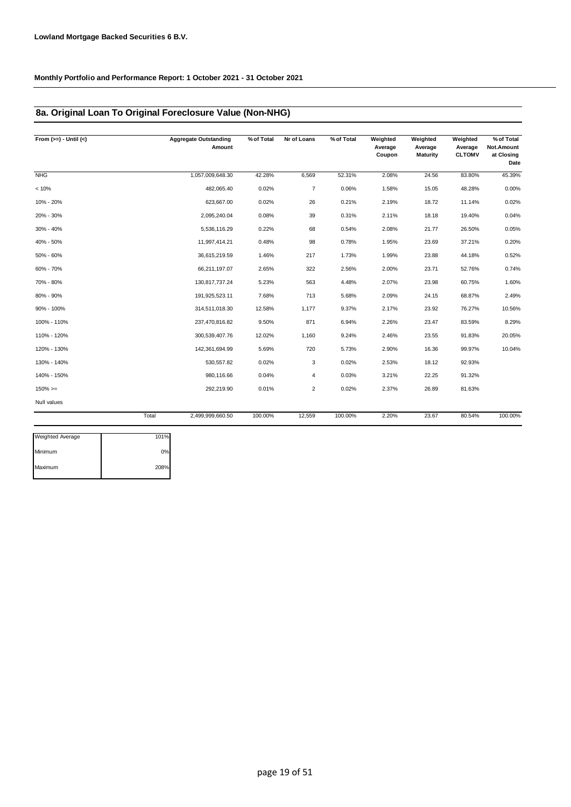### **8a. Original Loan To Original Foreclosure Value (Non-NHG)**

| From $(>=) -$ Until $(<)$ |       | <b>Aggregate Outstanding</b><br>Amount | % of Total | Nr of Loans    | % of Total | Weighted<br>Average<br>Coupon | Weighted<br>Average<br>Maturity | Weighted<br>Average<br><b>CLTOMV</b> | $%$ of Total<br>Not.Amount<br>at Closing<br>Date |
|---------------------------|-------|----------------------------------------|------------|----------------|------------|-------------------------------|---------------------------------|--------------------------------------|--------------------------------------------------|
| <b>NHG</b>                |       | 1,057,009,648.30                       | 42.28%     | 6,569          | 52.31%     | 2.08%                         | 24.56                           | 83.80%                               | 45.39%                                           |
| < 10%                     |       | 482,065.40                             | 0.02%      | $\overline{7}$ | 0.06%      | 1.58%                         | 15.05                           | 48.28%                               | 0.00%                                            |
| 10% - 20%                 |       | 623,667.00                             | 0.02%      | 26             | 0.21%      | 2.19%                         | 18.72                           | 11.14%                               | 0.02%                                            |
| 20% - 30%                 |       | 2,095,240.04                           | 0.08%      | 39             | 0.31%      | 2.11%                         | 18.18                           | 19.40%                               | 0.04%                                            |
| 30% - 40%                 |       | 5,536,116.29                           | 0.22%      | 68             | 0.54%      | 2.08%                         | 21.77                           | 26.50%                               | 0.05%                                            |
| 40% - 50%                 |       | 11,997,414.21                          | 0.48%      | 98             | 0.78%      | 1.95%                         | 23.69                           | 37.21%                               | 0.20%                                            |
| 50% - 60%                 |       | 36,615,219.59                          | 1.46%      | 217            | 1.73%      | 1.99%                         | 23.88                           | 44.18%                               | 0.52%                                            |
| 60% - 70%                 |       | 66,211,197.07                          | 2.65%      | 322            | 2.56%      | 2.00%                         | 23.71                           | 52.76%                               | 0.74%                                            |
| 70% - 80%                 |       | 130,817,737.24                         | 5.23%      | 563            | 4.48%      | 2.07%                         | 23.98                           | 60.75%                               | 1.60%                                            |
| 80% - 90%                 |       | 191,925,523.11                         | 7.68%      | 713            | 5.68%      | 2.09%                         | 24.15                           | 68.87%                               | 2.49%                                            |
| 90% - 100%                |       | 314,511,018.30                         | 12.58%     | 1,177          | 9.37%      | 2.17%                         | 23.92                           | 76.27%                               | 10.56%                                           |
| 100% - 110%               |       | 237,470,816.82                         | 9.50%      | 871            | 6.94%      | 2.26%                         | 23.47                           | 83.59%                               | 8.29%                                            |
| 110% - 120%               |       | 300,539,407.76                         | 12.02%     | 1,160          | 9.24%      | 2.46%                         | 23.55                           | 91.83%                               | 20.05%                                           |
| 120% - 130%               |       | 142,361,694.99                         | 5.69%      | 720            | 5.73%      | 2.90%                         | 16.36                           | 99.97%                               | 10.04%                                           |
| 130% - 140%               |       | 530, 557.82                            | 0.02%      | 3              | 0.02%      | 2.53%                         | 18.12                           | 92.93%                               |                                                  |
| 140% - 150%               |       | 980,116.66                             | 0.04%      | 4              | 0.03%      | 3.21%                         | 22.25                           | 91.32%                               |                                                  |
| $150\%>=$                 |       | 292,219.90                             | 0.01%      | $\overline{2}$ | 0.02%      | 2.37%                         | 26.89                           | 81.63%                               |                                                  |
| Null values               |       |                                        |            |                |            |                               |                                 |                                      |                                                  |
|                           | Total | 2,499,999,660.50                       | 100.00%    | 12,559         | 100.00%    | 2.20%                         | 23.67                           | 80.54%                               | 100.00%                                          |

| <b>Weighted Average</b> | 101% |
|-------------------------|------|
| Minimum                 | 0%   |
| Maximum                 | 208% |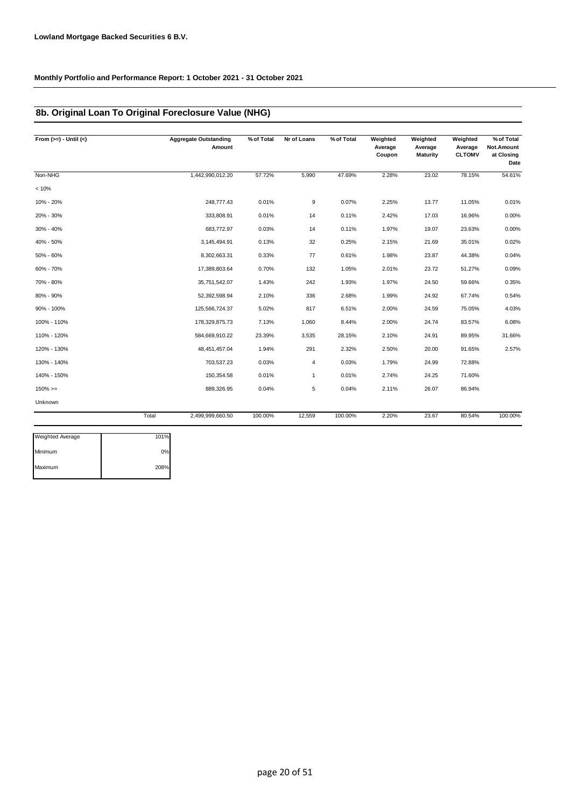### **8b. Original Loan To Original Foreclosure Value (NHG)**

| From $(>=) -$ Until $(<)$ |       | <b>Aggregate Outstanding</b><br>Amount | % of Total | Nr of Loans | % of Total | Weighted<br>Average<br>Coupon | Weighted<br>Average<br>Maturity | Weighted<br>Average<br><b>CLTOMV</b> | % of Total<br>Not.Amount<br>at Closing<br>Date |
|---------------------------|-------|----------------------------------------|------------|-------------|------------|-------------------------------|---------------------------------|--------------------------------------|------------------------------------------------|
| Non-NHG                   |       | 1,442,990,012.20                       | 57.72%     | 5,990       | 47.69%     | 2.28%                         | 23.02                           | 78.15%                               | 54.61%                                         |
| < 10%                     |       |                                        |            |             |            |                               |                                 |                                      |                                                |
| 10% - 20%                 |       | 248,777.43                             | 0.01%      | 9           | 0.07%      | 2.25%                         | 13.77                           | 11.05%                               | 0.01%                                          |
| 20% - 30%                 |       | 333,808.91                             | 0.01%      | 14          | 0.11%      | 2.42%                         | 17.03                           | 16.96%                               | 0.00%                                          |
| 30% - 40%                 |       | 683,772.97                             | 0.03%      | 14          | 0.11%      | 1.97%                         | 19.07                           | 23.63%                               | 0.00%                                          |
| 40% - 50%                 |       | 3,145,494.91                           | 0.13%      | 32          | 0.25%      | 2.15%                         | 21.69                           | 35.01%                               | 0.02%                                          |
| 50% - 60%                 |       | 8,302,663.31                           | 0.33%      | 77          | 0.61%      | 1.98%                         | 23.87                           | 44.38%                               | 0.04%                                          |
| 60% - 70%                 |       | 17,389,803.64                          | 0.70%      | 132         | 1.05%      | 2.01%                         | 23.72                           | 51.27%                               | 0.09%                                          |
| 70% - 80%                 |       | 35,751,542.07                          | 1.43%      | 242         | 1.93%      | 1.97%                         | 24.50                           | 59.66%                               | 0.35%                                          |
| 80% - 90%                 |       | 52,392,598.94                          | 2.10%      | 336         | 2.68%      | 1.99%                         | 24.92                           | 67.74%                               | 0.54%                                          |
| 90% - 100%                |       | 125,566,724.37                         | 5.02%      | 817         | 6.51%      | 2.00%                         | 24.59                           | 75.05%                               | 4.03%                                          |
| 100% - 110%               |       | 178,329,875.73                         | 7.13%      | 1,060       | 8.44%      | 2.00%                         | 24.74                           | 83.57%                               | 6.08%                                          |
| 110% - 120%               |       | 584,669,910.22                         | 23.39%     | 3,535       | 28.15%     | 2.10%                         | 24.91                           | 89.95%                               | 31.66%                                         |
| 120% - 130%               |       | 48,451,457.04                          | 1.94%      | 291         | 2.32%      | 2.50%                         | 20.00                           | 91.65%                               | 2.57%                                          |
| 130% - 140%               |       | 703,537.23                             | 0.03%      | 4           | 0.03%      | 1.79%                         | 24.99                           | 72.88%                               |                                                |
| 140% - 150%               |       | 150,354.58                             | 0.01%      | 1           | 0.01%      | 2.74%                         | 24.25                           | 71.60%                               |                                                |
| $150\%>=$                 |       | 889,326.95                             | 0.04%      | 5           | 0.04%      | 2.11%                         | 26.07                           | 86.94%                               |                                                |
| Unknown                   |       |                                        |            |             |            |                               |                                 |                                      |                                                |
|                           | Total | 2,499,999,660.50                       | 100.00%    | 12,559      | 100.00%    | 2.20%                         | 23.67                           | 80.54%                               | 100.00%                                        |
| <b>Weighted Average</b>   | 101%  |                                        |            |             |            |                               |                                 |                                      |                                                |

| <b>Weighted Average</b> | 101% |
|-------------------------|------|
| Minimum                 | ሰ%   |
| Maximum                 | 208% |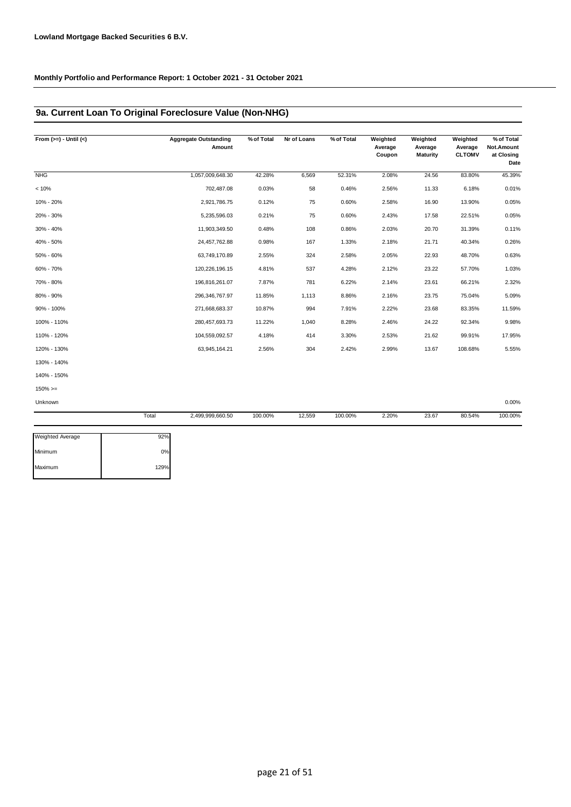## **9a. Current Loan To Original Foreclosure Value (Non-NHG)**

| From $(>=) -$ Until $(<)$ |       | <b>Aggregate Outstanding</b><br>Amount | % of Total | Nr of Loans | % of Total | Weighted<br>Average<br>Coupon | Weighted<br>Average<br><b>Maturity</b> | Weighted<br>Average<br><b>CLTOMV</b> | % of Total<br>Not.Amount<br>at Closing<br>Date |
|---------------------------|-------|----------------------------------------|------------|-------------|------------|-------------------------------|----------------------------------------|--------------------------------------|------------------------------------------------|
| <b>NHG</b>                |       | 1,057,009,648.30                       | 42.28%     | 6,569       | 52.31%     | 2.08%                         | 24.56                                  | 83.80%                               | 45.39%                                         |
| < 10%                     |       | 702,487.08                             | 0.03%      | 58          | 0.46%      | 2.56%                         | 11.33                                  | 6.18%                                | 0.01%                                          |
| 10% - 20%                 |       | 2,921,786.75                           | 0.12%      | 75          | 0.60%      | 2.58%                         | 16.90                                  | 13.90%                               | 0.05%                                          |
| 20% - 30%                 |       | 5,235,596.03                           | 0.21%      | 75          | 0.60%      | 2.43%                         | 17.58                                  | 22.51%                               | 0.05%                                          |
| 30% - 40%                 |       | 11,903,349.50                          | 0.48%      | 108         | 0.86%      | 2.03%                         | 20.70                                  | 31.39%                               | 0.11%                                          |
| 40% - 50%                 |       | 24,457,762.88                          | 0.98%      | 167         | 1.33%      | 2.18%                         | 21.71                                  | 40.34%                               | 0.26%                                          |
| 50% - 60%                 |       | 63,749,170.89                          | 2.55%      | 324         | 2.58%      | 2.05%                         | 22.93                                  | 48.70%                               | 0.63%                                          |
| 60% - 70%                 |       | 120,226,196.15                         | 4.81%      | 537         | 4.28%      | 2.12%                         | 23.22                                  | 57.70%                               | 1.03%                                          |
| 70% - 80%                 |       | 196,816,261.07                         | 7.87%      | 781         | 6.22%      | 2.14%                         | 23.61                                  | 66.21%                               | 2.32%                                          |
| 80% - 90%                 |       | 296,346,767.97                         | 11.85%     | 1,113       | 8.86%      | 2.16%                         | 23.75                                  | 75.04%                               | 5.09%                                          |
| 90% - 100%                |       | 271,668,683.37                         | 10.87%     | 994         | 7.91%      | 2.22%                         | 23.68                                  | 83.35%                               | 11.59%                                         |
| 100% - 110%               |       | 280, 457, 693. 73                      | 11.22%     | 1,040       | 8.28%      | 2.46%                         | 24.22                                  | 92.34%                               | 9.98%                                          |
| 110% - 120%               |       | 104,559,092.57                         | 4.18%      | 414         | 3.30%      | 2.53%                         | 21.62                                  | 99.91%                               | 17.95%                                         |
| 120% - 130%               |       | 63,945,164.21                          | 2.56%      | 304         | 2.42%      | 2.99%                         | 13.67                                  | 108.68%                              | 5.55%                                          |
| 130% - 140%               |       |                                        |            |             |            |                               |                                        |                                      |                                                |
| 140% - 150%               |       |                                        |            |             |            |                               |                                        |                                      |                                                |
| $150\%>=$                 |       |                                        |            |             |            |                               |                                        |                                      |                                                |
| Unknown                   |       |                                        |            |             |            |                               |                                        |                                      | 0.00%                                          |
|                           | Total | 2,499,999,660.50                       | 100.00%    | 12,559      | 100.00%    | 2.20%                         | 23.67                                  | 80.54%                               | 100.00%                                        |

| <b>Weighted Average</b> | 92%  |
|-------------------------|------|
| Minimum                 | 0%   |
| Maximum                 | 129% |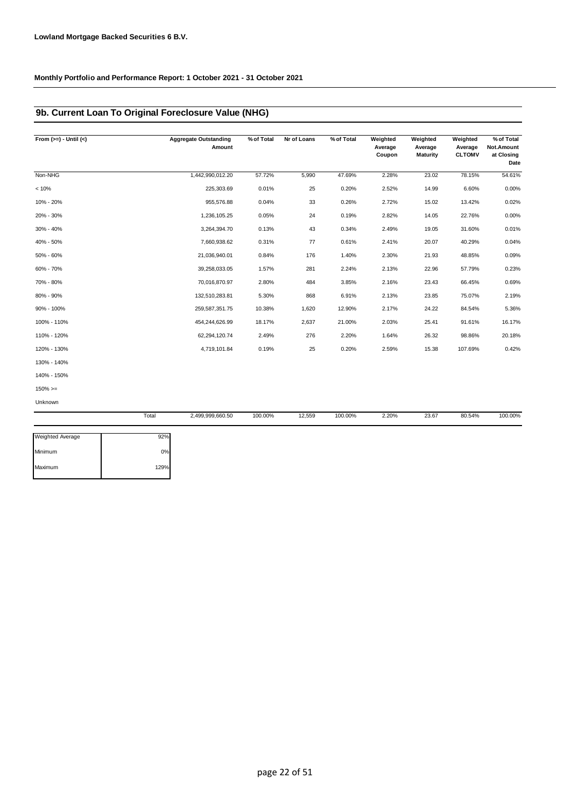### **9b. Current Loan To Original Foreclosure Value (NHG)**

| From $(>=) -$ Until $(<)$ | <b>Aggregate Outstanding</b><br>Amount | % of Total | Nr of Loans | % of Total | Weighted<br>Average<br>Coupon | Weighted<br>Average<br><b>Maturity</b> | Weighted<br>Average<br><b>CLTOMV</b> | % of Total<br>Not.Amount<br>at Closing<br>Date |
|---------------------------|----------------------------------------|------------|-------------|------------|-------------------------------|----------------------------------------|--------------------------------------|------------------------------------------------|
| Non-NHG                   | 1,442,990,012.20                       | 57.72%     | 5,990       | 47.69%     | 2.28%                         | 23.02                                  | 78.15%                               | 54.61%                                         |
| < 10%                     | 225,303.69                             | 0.01%      | 25          | 0.20%      | 2.52%                         | 14.99                                  | 6.60%                                | 0.00%                                          |
| 10% - 20%                 | 955,576.88                             | 0.04%      | 33          | 0.26%      | 2.72%                         | 15.02                                  | 13.42%                               | 0.02%                                          |
| 20% - 30%                 | 1,236,105.25                           | 0.05%      | 24          | 0.19%      | 2.82%                         | 14.05                                  | 22.76%                               | 0.00%                                          |
| 30% - 40%                 | 3,264,394.70                           | 0.13%      | 43          | 0.34%      | 2.49%                         | 19.05                                  | 31.60%                               | 0.01%                                          |
| 40% - 50%                 | 7,660,938.62                           | 0.31%      | 77          | 0.61%      | 2.41%                         | 20.07                                  | 40.29%                               | 0.04%                                          |
| 50% - 60%                 | 21,036,940.01                          | 0.84%      | 176         | 1.40%      | 2.30%                         | 21.93                                  | 48.85%                               | 0.09%                                          |
| 60% - 70%                 | 39,258,033.05                          | 1.57%      | 281         | 2.24%      | 2.13%                         | 22.96                                  | 57.79%                               | 0.23%                                          |
| 70% - 80%                 | 70,016,870.97                          | 2.80%      | 484         | 3.85%      | 2.16%                         | 23.43                                  | 66.45%                               | 0.69%                                          |
| 80% - 90%                 | 132,510,283.81                         | 5.30%      | 868         | 6.91%      | 2.13%                         | 23.85                                  | 75.07%                               | 2.19%                                          |
| 90% - 100%                | 259,587,351.75                         | 10.38%     | 1,620       | 12.90%     | 2.17%                         | 24.22                                  | 84.54%                               | 5.36%                                          |
| 100% - 110%               | 454,244,626.99                         | 18.17%     | 2,637       | 21.00%     | 2.03%                         | 25.41                                  | 91.61%                               | 16.17%                                         |
| 110% - 120%               | 62,294,120.74                          | 2.49%      | 276         | 2.20%      | 1.64%                         | 26.32                                  | 98.86%                               | 20.18%                                         |
| 120% - 130%               | 4,719,101.84                           | 0.19%      | 25          | 0.20%      | 2.59%                         | 15.38                                  | 107.69%                              | 0.42%                                          |
| 130% - 140%               |                                        |            |             |            |                               |                                        |                                      |                                                |
| 140% - 150%               |                                        |            |             |            |                               |                                        |                                      |                                                |
| $150\%>=$                 |                                        |            |             |            |                               |                                        |                                      |                                                |
| <b>Unknown</b>            |                                        |            |             |            |                               |                                        |                                      |                                                |

|                         | Total | 2,499,999,660.50 | 100.00% | 12,559 | 100.00% | 2.20% | 23.67 | 80.54% | 100.00% |
|-------------------------|-------|------------------|---------|--------|---------|-------|-------|--------|---------|
| <b>Weighted Average</b> | 92%   |                  |         |        |         |       |       |        |         |
| Minimum                 | 0%    |                  |         |        |         |       |       |        |         |
| Maximum                 | 129%  |                  |         |        |         |       |       |        |         |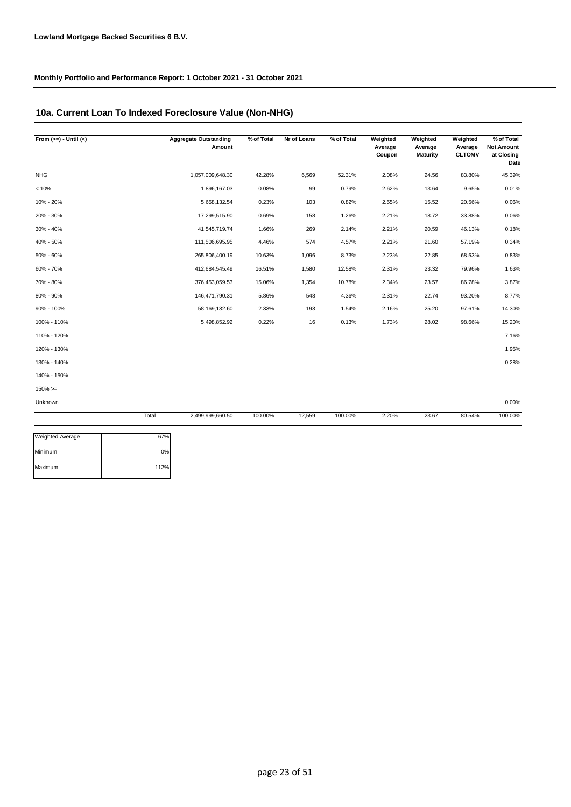### **10a. Current Loan To Indexed Foreclosure Value (Non-NHG)**

| <b>NHG</b><br>< 10% | 1,057,009,648.30<br>1,896,167.03 | 42.28%  | 6,569  | 52.31%  |       |       |        |         |
|---------------------|----------------------------------|---------|--------|---------|-------|-------|--------|---------|
|                     |                                  |         |        |         | 2.08% | 24.56 | 83.80% | 45.39%  |
|                     |                                  | 0.08%   | 99     | 0.79%   | 2.62% | 13.64 | 9.65%  | 0.01%   |
| 10% - 20%           | 5,658,132.54                     | 0.23%   | 103    | 0.82%   | 2.55% | 15.52 | 20.56% | 0.06%   |
| 20% - 30%           | 17,299,515.90                    | 0.69%   | 158    | 1.26%   | 2.21% | 18.72 | 33.88% | 0.06%   |
| 30% - 40%           | 41,545,719.74                    | 1.66%   | 269    | 2.14%   | 2.21% | 20.59 | 46.13% | 0.18%   |
| 40% - 50%           | 111,506,695.95                   | 4.46%   | 574    | 4.57%   | 2.21% | 21.60 | 57.19% | 0.34%   |
| 50% - 60%           | 265,806,400.19                   | 10.63%  | 1,096  | 8.73%   | 2.23% | 22.85 | 68.53% | 0.83%   |
| 60% - 70%           | 412,684,545.49                   | 16.51%  | 1,580  | 12.58%  | 2.31% | 23.32 | 79.96% | 1.63%   |
| 70% - 80%           | 376,453,059.53                   | 15.06%  | 1,354  | 10.78%  | 2.34% | 23.57 | 86.78% | 3.87%   |
| 80% - 90%           | 146,471,790.31                   | 5.86%   | 548    | 4.36%   | 2.31% | 22.74 | 93.20% | 8.77%   |
| 90% - 100%          | 58, 169, 132.60                  | 2.33%   | 193    | 1.54%   | 2.16% | 25.20 | 97.61% | 14.30%  |
| 100% - 110%         | 5,498,852.92                     | 0.22%   | 16     | 0.13%   | 1.73% | 28.02 | 98.66% | 15.20%  |
| 110% - 120%         |                                  |         |        |         |       |       |        | 7.16%   |
| 120% - 130%         |                                  |         |        |         |       |       |        | 1.95%   |
| 130% - 140%         |                                  |         |        |         |       |       |        | 0.28%   |
| 140% - 150%         |                                  |         |        |         |       |       |        |         |
| $150\%>=$           |                                  |         |        |         |       |       |        |         |
| Unknown             |                                  |         |        |         |       |       |        | 0.00%   |
|                     | Total<br>2,499,999,660.50        | 100.00% | 12,559 | 100.00% | 2.20% | 23.67 | 80.54% | 100.00% |

| <b>Weighted Average</b> | 67%  |
|-------------------------|------|
| Minimum                 | 0%   |
| Maximum                 | 112% |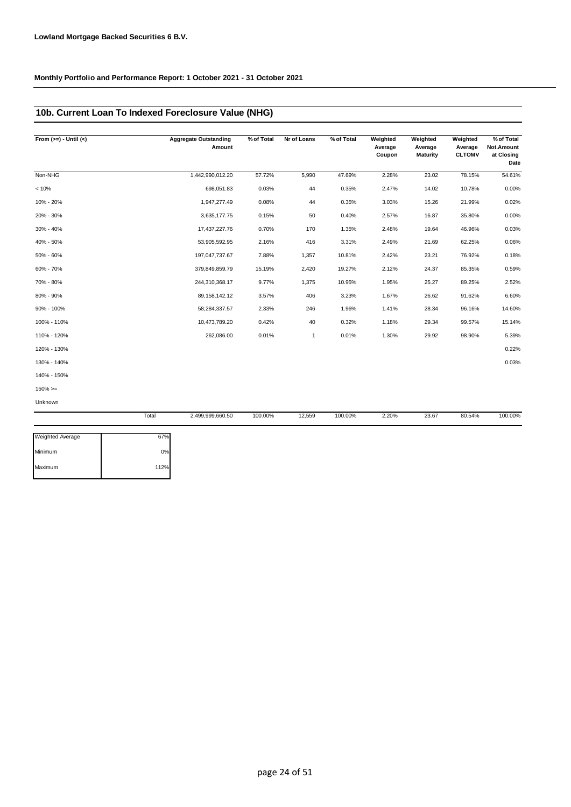## **10b. Current Loan To Indexed Foreclosure Value (NHG)**

| From $(>=) -$ Until $(<)$ |       | <b>Aggregate Outstanding</b><br>Amount | % of Total | Nr of Loans  | % of Total | Weighted<br>Average<br>Coupon | Weighted<br>Average<br>Maturity | Weighted<br>Average<br><b>CLTOMV</b> | % of Total<br>Not.Amount<br>at Closing<br>Date |
|---------------------------|-------|----------------------------------------|------------|--------------|------------|-------------------------------|---------------------------------|--------------------------------------|------------------------------------------------|
| Non-NHG                   |       | 1,442,990,012.20                       | 57.72%     | 5,990        | 47.69%     | 2.28%                         | 23.02                           | 78.15%                               | 54.61%                                         |
| < 10%                     |       | 698,051.83                             | 0.03%      | 44           | 0.35%      | 2.47%                         | 14.02                           | 10.78%                               | 0.00%                                          |
| 10% - 20%                 |       | 1,947,277.49                           | 0.08%      | 44           | 0.35%      | 3.03%                         | 15.26                           | 21.99%                               | 0.02%                                          |
| 20% - 30%                 |       | 3,635,177.75                           | 0.15%      | 50           | 0.40%      | 2.57%                         | 16.87                           | 35.80%                               | 0.00%                                          |
| 30% - 40%                 |       | 17,437,227.76                          | 0.70%      | 170          | 1.35%      | 2.48%                         | 19.64                           | 46.96%                               | 0.03%                                          |
| 40% - 50%                 |       | 53,905,592.95                          | 2.16%      | 416          | 3.31%      | 2.49%                         | 21.69                           | 62.25%                               | 0.06%                                          |
| 50% - 60%                 |       | 197,047,737.67                         | 7.88%      | 1,357        | 10.81%     | 2.42%                         | 23.21                           | 76.92%                               | 0.18%                                          |
| 60% - 70%                 |       | 379,849,859.79                         | 15.19%     | 2,420        | 19.27%     | 2.12%                         | 24.37                           | 85.35%                               | 0.59%                                          |
| 70% - 80%                 |       | 244,310,368.17                         | 9.77%      | 1,375        | 10.95%     | 1.95%                         | 25.27                           | 89.25%                               | 2.52%                                          |
| 80% - 90%                 |       | 89, 158, 142. 12                       | 3.57%      | 406          | 3.23%      | 1.67%                         | 26.62                           | 91.62%                               | 6.60%                                          |
| 90% - 100%                |       | 58,284,337.57                          | 2.33%      | 246          | 1.96%      | 1.41%                         | 28.34                           | 96.16%                               | 14.60%                                         |
| 100% - 110%               |       | 10,473,789.20                          | 0.42%      | 40           | 0.32%      | 1.18%                         | 29.34                           | 99.57%                               | 15.14%                                         |
| 110% - 120%               |       | 262,086.00                             | 0.01%      | $\mathbf{1}$ | 0.01%      | 1.30%                         | 29.92                           | 98.90%                               | 5.39%                                          |
| 120% - 130%               |       |                                        |            |              |            |                               |                                 |                                      | 0.22%                                          |
| 130% - 140%               |       |                                        |            |              |            |                               |                                 |                                      | 0.03%                                          |
| 140% - 150%               |       |                                        |            |              |            |                               |                                 |                                      |                                                |
| $150\%>=$                 |       |                                        |            |              |            |                               |                                 |                                      |                                                |
| Unknown                   |       |                                        |            |              |            |                               |                                 |                                      |                                                |
|                           | Total | 2,499,999,660.50                       | 100.00%    | 12,559       | 100.00%    | 2.20%                         | 23.67                           | 80.54%                               | 100.00%                                        |

| 67%  |
|------|
| 0%   |
| 112% |
|      |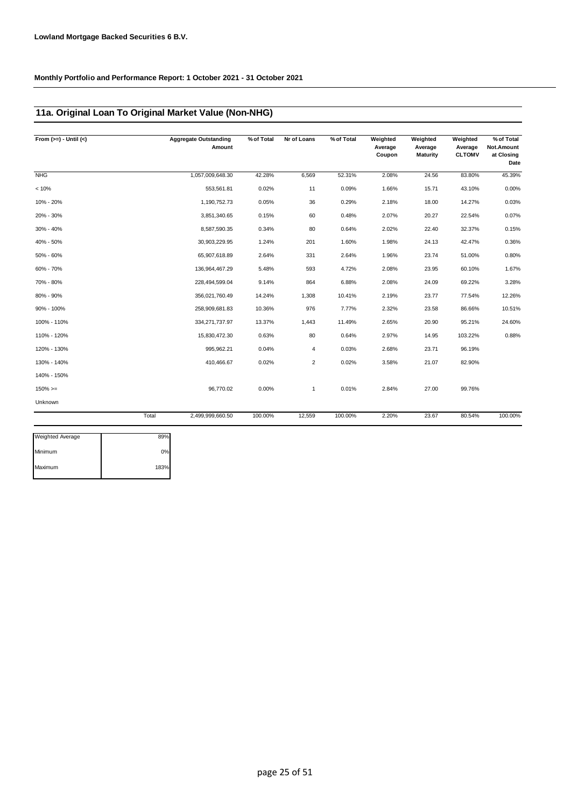## **11a. Original Loan To Original Market Value (Non-NHG)**

| From $(>=) -$ Until $(<)$ |       | <b>Aggregate Outstanding</b><br>Amount | % of Total | Nr of Loans    | % of Total | Weighted<br>Average<br>Coupon | Weighted<br>Average<br><b>Maturity</b> | Weighted<br>Average<br><b>CLTOMV</b> | % of Total<br>Not.Amount<br>at Closing<br>Date |
|---------------------------|-------|----------------------------------------|------------|----------------|------------|-------------------------------|----------------------------------------|--------------------------------------|------------------------------------------------|
| <b>NHG</b>                |       | 1,057,009,648.30                       | 42.28%     | 6,569          | 52.31%     | 2.08%                         | 24.56                                  | 83.80%                               | 45.39%                                         |
| < 10%                     |       | 553,561.81                             | 0.02%      | 11             | 0.09%      | 1.66%                         | 15.71                                  | 43.10%                               | 0.00%                                          |
| 10% - 20%                 |       | 1,190,752.73                           | 0.05%      | 36             | 0.29%      | 2.18%                         | 18.00                                  | 14.27%                               | 0.03%                                          |
| 20% - 30%                 |       | 3,851,340.65                           | 0.15%      | 60             | 0.48%      | 2.07%                         | 20.27                                  | 22.54%                               | 0.07%                                          |
| 30% - 40%                 |       | 8,587,590.35                           | 0.34%      | 80             | 0.64%      | 2.02%                         | 22.40                                  | 32.37%                               | 0.15%                                          |
| 40% - 50%                 |       | 30,903,229.95                          | 1.24%      | 201            | 1.60%      | 1.98%                         | 24.13                                  | 42.47%                               | 0.36%                                          |
| 50% - 60%                 |       | 65,907,618.89                          | 2.64%      | 331            | 2.64%      | 1.96%                         | 23.74                                  | 51.00%                               | 0.80%                                          |
| 60% - 70%                 |       | 136,964,467.29                         | 5.48%      | 593            | 4.72%      | 2.08%                         | 23.95                                  | 60.10%                               | 1.67%                                          |
| 70% - 80%                 |       | 228,494,599.04                         | 9.14%      | 864            | 6.88%      | 2.08%                         | 24.09                                  | 69.22%                               | 3.28%                                          |
| 80% - 90%                 |       | 356,021,760.49                         | 14.24%     | 1,308          | 10.41%     | 2.19%                         | 23.77                                  | 77.54%                               | 12.26%                                         |
| 90% - 100%                |       | 258,909,681.83                         | 10.36%     | 976            | 7.77%      | 2.32%                         | 23.58                                  | 86.66%                               | 10.51%                                         |
| 100% - 110%               |       | 334,271,737.97                         | 13.37%     | 1,443          | 11.49%     | 2.65%                         | 20.90                                  | 95.21%                               | 24.60%                                         |
| 110% - 120%               |       | 15,830,472.30                          | 0.63%      | 80             | 0.64%      | 2.97%                         | 14.95                                  | 103.22%                              | 0.88%                                          |
| 120% - 130%               |       | 995,962.21                             | 0.04%      | 4              | 0.03%      | 2.68%                         | 23.71                                  | 96.19%                               |                                                |
| 130% - 140%               |       | 410,466.67                             | 0.02%      | $\overline{2}$ | 0.02%      | 3.58%                         | 21.07                                  | 82.90%                               |                                                |
| 140% - 150%               |       |                                        |            |                |            |                               |                                        |                                      |                                                |
| $150\%>=$                 |       | 96,770.02                              | 0.00%      | $\mathbf{1}$   | 0.01%      | 2.84%                         | 27.00                                  | 99.76%                               |                                                |
| Unknown                   |       |                                        |            |                |            |                               |                                        |                                      |                                                |
|                           | Total | 2,499,999,660.50                       | 100.00%    | 12,559         | 100.00%    | 2.20%                         | 23.67                                  | 80.54%                               | 100.00%                                        |

| <b>Weighted Average</b> | 89%  |
|-------------------------|------|
| Minimum                 | 0%   |
| Maximum                 | 183% |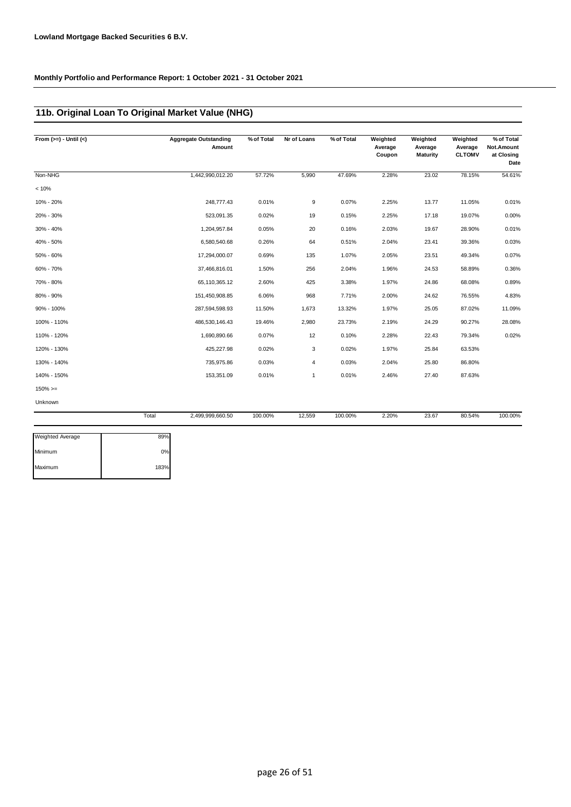### **11b. Original Loan To Original Market Value (NHG)**

| From $(>=) -$ Until $(<)$ |       | <b>Aggregate Outstanding</b><br>Amount | % of Total | Nr of Loans | % of Total | Weighted<br>Average<br>Coupon | Weighted<br>Average<br><b>Maturity</b> | Weighted<br>Average<br><b>CLTOMV</b> | % of Total<br>Not.Amount<br>at Closing<br>Date |
|---------------------------|-------|----------------------------------------|------------|-------------|------------|-------------------------------|----------------------------------------|--------------------------------------|------------------------------------------------|
| Non-NHG                   |       | 1,442,990,012.20                       | 57.72%     | 5,990       | 47.69%     | 2.28%                         | 23.02                                  | 78.15%                               | 54.61%                                         |
| < 10%                     |       |                                        |            |             |            |                               |                                        |                                      |                                                |
| 10% - 20%                 |       | 248,777.43                             | 0.01%      | 9           | 0.07%      | 2.25%                         | 13.77                                  | 11.05%                               | 0.01%                                          |
| 20% - 30%                 |       | 523,091.35                             | 0.02%      | 19          | 0.15%      | 2.25%                         | 17.18                                  | 19.07%                               | 0.00%                                          |
| 30% - 40%                 |       | 1,204,957.84                           | 0.05%      | 20          | 0.16%      | 2.03%                         | 19.67                                  | 28.90%                               | 0.01%                                          |
| 40% - 50%                 |       | 6,580,540.68                           | 0.26%      | 64          | 0.51%      | 2.04%                         | 23.41                                  | 39.36%                               | 0.03%                                          |
| 50% - 60%                 |       | 17,294,000.07                          | 0.69%      | 135         | 1.07%      | 2.05%                         | 23.51                                  | 49.34%                               | 0.07%                                          |
| 60% - 70%                 |       | 37,466,816.01                          | 1.50%      | 256         | 2.04%      | 1.96%                         | 24.53                                  | 58.89%                               | 0.36%                                          |
| 70% - 80%                 |       | 65,110,365.12                          | 2.60%      | 425         | 3.38%      | 1.97%                         | 24.86                                  | 68.08%                               | 0.89%                                          |
| 80% - 90%                 |       | 151,450,908.85                         | 6.06%      | 968         | 7.71%      | 2.00%                         | 24.62                                  | 76.55%                               | 4.83%                                          |
| 90% - 100%                |       | 287,594,598.93                         | 11.50%     | 1,673       | 13.32%     | 1.97%                         | 25.05                                  | 87.02%                               | 11.09%                                         |
| 100% - 110%               |       | 486,530,146.43                         | 19.46%     | 2,980       | 23.73%     | 2.19%                         | 24.29                                  | 90.27%                               | 28.08%                                         |
| 110% - 120%               |       | 1,690,890.66                           | 0.07%      | 12          | 0.10%      | 2.28%                         | 22.43                                  | 79.34%                               | 0.02%                                          |
| 120% - 130%               |       | 425,227.98                             | 0.02%      | 3           | 0.02%      | 1.97%                         | 25.84                                  | 63.53%                               |                                                |
| 130% - 140%               |       | 735,975.86                             | 0.03%      | 4           | 0.03%      | 2.04%                         | 25.80                                  | 86.80%                               |                                                |
| 140% - 150%               |       | 153,351.09                             | 0.01%      | 1           | 0.01%      | 2.46%                         | 27.40                                  | 87.63%                               |                                                |
| $150\%>=$                 |       |                                        |            |             |            |                               |                                        |                                      |                                                |
| Unknown                   |       |                                        |            |             |            |                               |                                        |                                      |                                                |
|                           | Total | 2,499,999,660.50                       | 100.00%    | 12,559      | 100.00%    | 2.20%                         | 23.67                                  | 80.54%                               | 100.00%                                        |

| 89%  |
|------|
| 0%   |
| 183% |
|      |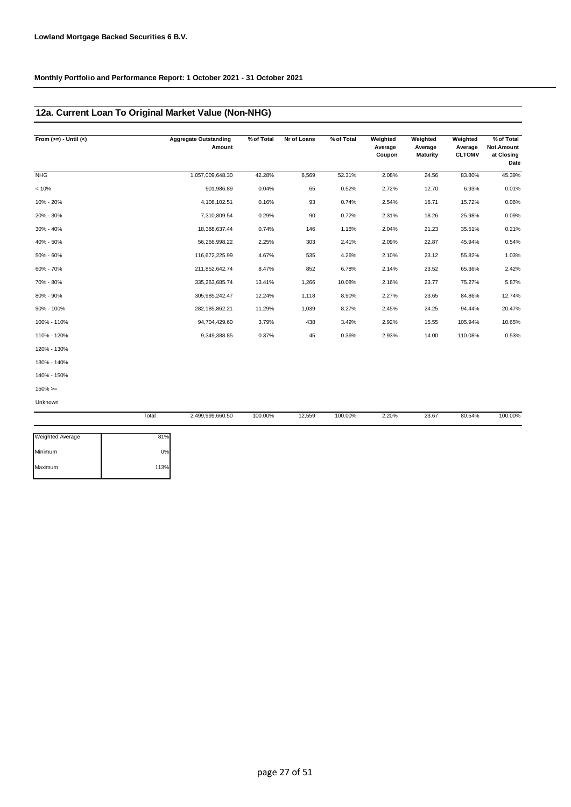### **12a. Current Loan To Original Market Value (Non-NHG)**

| From $(>=) -$ Until $(<)$ |       | <b>Aggregate Outstanding</b><br>Amount | % of Total | Nr of Loans | % of Total | Weighted<br>Average<br>Coupon | Weighted<br>Average<br><b>Maturity</b> | Weighted<br>Average<br><b>CLTOMV</b> | % of Total<br>Not.Amount<br>at Closing<br>Date |
|---------------------------|-------|----------------------------------------|------------|-------------|------------|-------------------------------|----------------------------------------|--------------------------------------|------------------------------------------------|
| NHG                       |       | 1,057,009,648.30                       | 42.28%     | 6,569       | 52.31%     | 2.08%                         | 24.56                                  | 83.80%                               | 45.39%                                         |
| < 10%                     |       | 901,986.89                             | 0.04%      | 65          | 0.52%      | 2.72%                         | 12.70                                  | 6.93%                                | 0.01%                                          |
| 10% - 20%                 |       | 4,108,102.51                           | 0.16%      | 93          | 0.74%      | 2.54%                         | 16.71                                  | 15.72%                               | 0.06%                                          |
| 20% - 30%                 |       | 7,310,809.54                           | 0.29%      | 90          | 0.72%      | 2.31%                         | 18.26                                  | 25.98%                               | 0.09%                                          |
| 30% - 40%                 |       | 18,388,637.44                          | 0.74%      | 146         | 1.16%      | 2.04%                         | 21.23                                  | 35.51%                               | 0.21%                                          |
| 40% - 50%                 |       | 56,266,998.22                          | 2.25%      | 303         | 2.41%      | 2.09%                         | 22.87                                  | 45.94%                               | 0.54%                                          |
| 50% - 60%                 |       | 116,672,225.99                         | 4.67%      | 535         | 4.26%      | 2.10%                         | 23.12                                  | 55.82%                               | 1.03%                                          |
| 60% - 70%                 |       | 211,852,642.74                         | 8.47%      | 852         | 6.78%      | 2.14%                         | 23.52                                  | 65.36%                               | 2.42%                                          |
| 70% - 80%                 |       | 335,263,685.74                         | 13.41%     | 1,266       | 10.08%     | 2.16%                         | 23.77                                  | 75.27%                               | 5.87%                                          |
| 80% - 90%                 |       | 305,985,242.47                         | 12.24%     | 1,118       | 8.90%      | 2.27%                         | 23.65                                  | 84.86%                               | 12.74%                                         |
| 90% - 100%                |       | 282, 185, 862. 21                      | 11.29%     | 1,039       | 8.27%      | 2.45%                         | 24.25                                  | 94.44%                               | 20.47%                                         |
| 100% - 110%               |       | 94,704,429.60                          | 3.79%      | 438         | 3.49%      | 2.92%                         | 15.55                                  | 105.94%                              | 10.65%                                         |
| 110% - 120%               |       | 9,349,388.85                           | 0.37%      | 45          | 0.36%      | 2.93%                         | 14.00                                  | 110.08%                              | 0.53%                                          |
| 120% - 130%               |       |                                        |            |             |            |                               |                                        |                                      |                                                |
| 130% - 140%               |       |                                        |            |             |            |                               |                                        |                                      |                                                |
| 140% - 150%               |       |                                        |            |             |            |                               |                                        |                                      |                                                |
| $150\%>=$                 |       |                                        |            |             |            |                               |                                        |                                      |                                                |
| Unknown                   |       |                                        |            |             |            |                               |                                        |                                      |                                                |
|                           | Total | 2,499,999,660.50                       | 100.00%    | 12,559      | 100.00%    | 2.20%                         | 23.67                                  | 80.54%                               | 100.00%                                        |

| Weighted Average | 81%  |
|------------------|------|
| Minimum          | 0%   |
| Maximum          | 113% |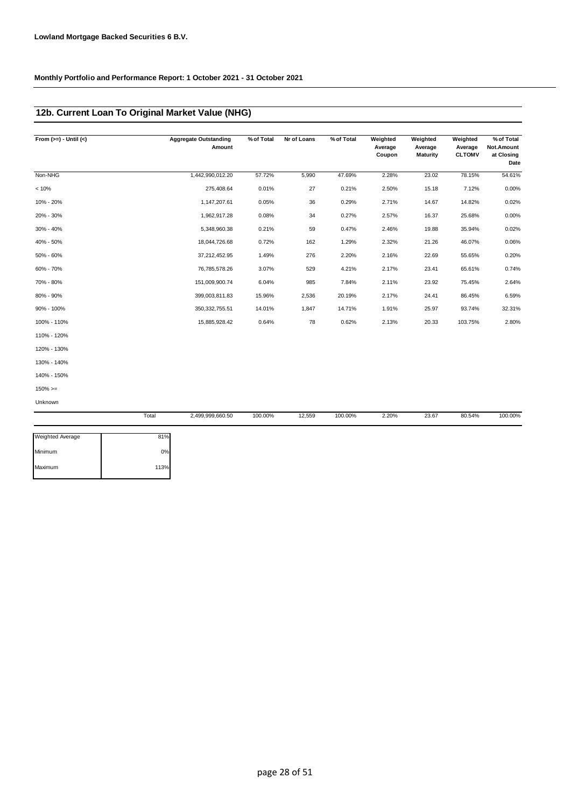## **12b. Current Loan To Original Market Value (NHG)**

| From $(>=) -$ Until $(<)$ | <b>Aggregate Outstanding</b><br>Amount | % of Total | Nr of Loans | % of Total | Weighted<br>Average<br>Coupon | Weighted<br>Average<br>Maturity | Weighted<br>Average<br><b>CLTOMV</b> | % of Total<br>Not.Amount<br>at Closing<br>Date |
|---------------------------|----------------------------------------|------------|-------------|------------|-------------------------------|---------------------------------|--------------------------------------|------------------------------------------------|
| Non-NHG                   | 1,442,990,012.20                       | 57.72%     | 5,990       | 47.69%     | 2.28%                         | 23.02                           | 78.15%                               | 54.61%                                         |
| < 10%                     | 275,408.64                             | 0.01%      | 27          | 0.21%      | 2.50%                         | 15.18                           | 7.12%                                | 0.00%                                          |
| 10% - 20%                 | 1,147,207.61                           | 0.05%      | 36          | 0.29%      | 2.71%                         | 14.67                           | 14.82%                               | 0.02%                                          |
| 20% - 30%                 | 1,962,917.28                           | 0.08%      | 34          | 0.27%      | 2.57%                         | 16.37                           | 25.68%                               | 0.00%                                          |
| 30% - 40%                 | 5,348,960.38                           | 0.21%      | 59          | 0.47%      | 2.46%                         | 19.88                           | 35.94%                               | 0.02%                                          |
| 40% - 50%                 | 18,044,726.68                          | 0.72%      | 162         | 1.29%      | 2.32%                         | 21.26                           | 46.07%                               | 0.06%                                          |
| 50% - 60%                 | 37,212,452.95                          | 1.49%      | 276         | 2.20%      | 2.16%                         | 22.69                           | 55.65%                               | 0.20%                                          |
| 60% - 70%                 | 76,785,578.26                          | 3.07%      | 529         | 4.21%      | 2.17%                         | 23.41                           | 65.61%                               | 0.74%                                          |
| 70% - 80%                 | 151,009,900.74                         | 6.04%      | 985         | 7.84%      | 2.11%                         | 23.92                           | 75.45%                               | 2.64%                                          |
| 80% - 90%                 | 399,003,811.83                         | 15.96%     | 2,536       | 20.19%     | 2.17%                         | 24.41                           | 86.45%                               | 6.59%                                          |
| 90% - 100%                | 350, 332, 755.51                       | 14.01%     | 1,847       | 14.71%     | 1.91%                         | 25.97                           | 93.74%                               | 32.31%                                         |
| 100% - 110%               | 15,885,928.42                          | 0.64%      | 78          | 0.62%      | 2.13%                         | 20.33                           | 103.75%                              | 2.80%                                          |
| 110% - 120%               |                                        |            |             |            |                               |                                 |                                      |                                                |
| 120% - 130%               |                                        |            |             |            |                               |                                 |                                      |                                                |
| 130% - 140%               |                                        |            |             |            |                               |                                 |                                      |                                                |
| 140% - 150%               |                                        |            |             |            |                               |                                 |                                      |                                                |
| $150\%>=$                 |                                        |            |             |            |                               |                                 |                                      |                                                |
| Unknown                   |                                        |            |             |            |                               |                                 |                                      |                                                |

|                         | Total | 2,499,999,660.50 | 100.00% | 12,559 | 100.00% | 2.20% | 23.67 | 80.54% | 100.00% |
|-------------------------|-------|------------------|---------|--------|---------|-------|-------|--------|---------|
|                         |       |                  |         |        |         |       |       |        |         |
| <b>Weighted Average</b> | 81%   |                  |         |        |         |       |       |        |         |
| Minimum                 | 0%    |                  |         |        |         |       |       |        |         |
| Maximum                 | 113%  |                  |         |        |         |       |       |        |         |
|                         |       |                  |         |        |         |       |       |        |         |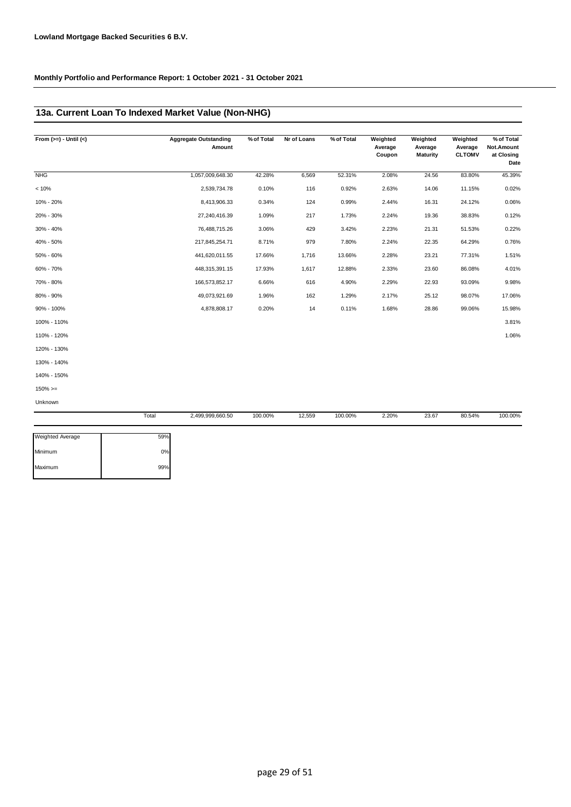## **13a. Current Loan To Indexed Market Value (Non-NHG)**

| From $(>=) -$ Until $(<)$ |       | <b>Aggregate Outstanding</b><br>Amount | % of Total | Nr of Loans | % of Total | Weighted<br>Average<br>Coupon | Weighted<br>Average<br>Maturity | Weighted<br>Average<br><b>CLTOMV</b> | % of Total<br>Not.Amount<br>at Closing<br>Date |
|---------------------------|-------|----------------------------------------|------------|-------------|------------|-------------------------------|---------------------------------|--------------------------------------|------------------------------------------------|
| <b>NHG</b>                |       | 1,057,009,648.30                       | 42.28%     | 6,569       | 52.31%     | 2.08%                         | 24.56                           | 83.80%                               | 45.39%                                         |
| < 10%                     |       | 2,539,734.78                           | 0.10%      | 116         | 0.92%      | 2.63%                         | 14.06                           | 11.15%                               | 0.02%                                          |
| 10% - 20%                 |       | 8,413,906.33                           | 0.34%      | 124         | 0.99%      | 2.44%                         | 16.31                           | 24.12%                               | 0.06%                                          |
| 20% - 30%                 |       | 27,240,416.39                          | 1.09%      | 217         | 1.73%      | 2.24%                         | 19.36                           | 38.83%                               | 0.12%                                          |
| 30% - 40%                 |       | 76,488,715.26                          | 3.06%      | 429         | 3.42%      | 2.23%                         | 21.31                           | 51.53%                               | 0.22%                                          |
| 40% - 50%                 |       | 217,845,254.71                         | 8.71%      | 979         | 7.80%      | 2.24%                         | 22.35                           | 64.29%                               | 0.76%                                          |
| 50% - 60%                 |       | 441,620,011.55                         | 17.66%     | 1,716       | 13.66%     | 2.28%                         | 23.21                           | 77.31%                               | 1.51%                                          |
| 60% - 70%                 |       | 448,315,391.15                         | 17.93%     | 1,617       | 12.88%     | 2.33%                         | 23.60                           | 86.08%                               | 4.01%                                          |
| 70% - 80%                 |       | 166,573,852.17                         | 6.66%      | 616         | 4.90%      | 2.29%                         | 22.93                           | 93.09%                               | 9.98%                                          |
| 80% - 90%                 |       | 49,073,921.69                          | 1.96%      | 162         | 1.29%      | 2.17%                         | 25.12                           | 98.07%                               | 17.06%                                         |
| 90% - 100%                |       | 4,878,808.17                           | 0.20%      | 14          | 0.11%      | 1.68%                         | 28.86                           | 99.06%                               | 15.98%                                         |
| 100% - 110%               |       |                                        |            |             |            |                               |                                 |                                      | 3.81%                                          |
| 110% - 120%               |       |                                        |            |             |            |                               |                                 |                                      | 1.06%                                          |
| 120% - 130%               |       |                                        |            |             |            |                               |                                 |                                      |                                                |
| 130% - 140%               |       |                                        |            |             |            |                               |                                 |                                      |                                                |
| 140% - 150%               |       |                                        |            |             |            |                               |                                 |                                      |                                                |
| $150\%>=$                 |       |                                        |            |             |            |                               |                                 |                                      |                                                |
| Unknown                   |       |                                        |            |             |            |                               |                                 |                                      |                                                |
|                           | Total | 2,499,999,660.50                       | 100.00%    | 12,559      | 100.00%    | 2.20%                         | 23.67                           | 80.54%                               | 100.00%                                        |

| <b>Weighted Average</b> | 59% |
|-------------------------|-----|
| Minimum                 | 0%  |
| Maximum                 | 99% |
|                         |     |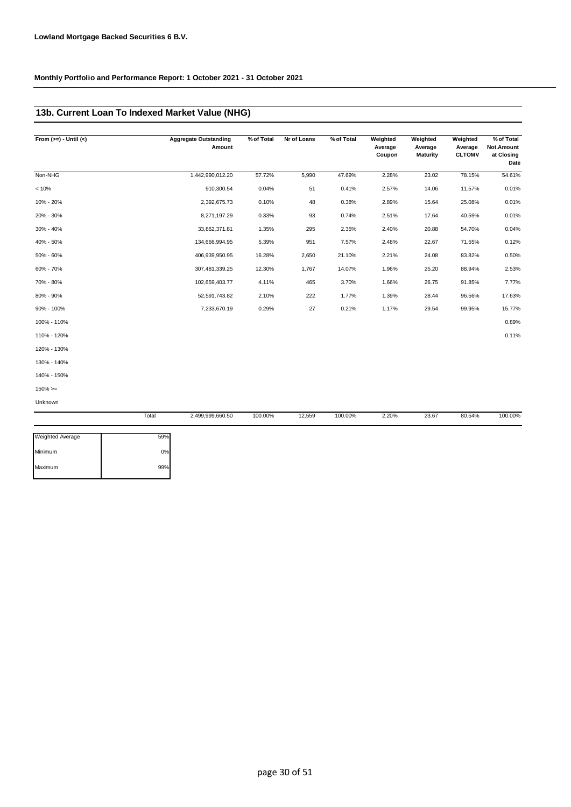## **13b. Current Loan To Indexed Market Value (NHG)**

| From $(>=) -$ Until $($ |       | <b>Aggregate Outstanding</b><br>Amount | % of Total | Nr of Loans | % of Total | Weighted<br>Average<br>Coupon | Weighted<br>Average<br><b>Maturity</b> | Weighted<br>Average<br><b>CLTOMV</b> | % of Total<br>Not.Amount<br>at Closing<br>Date |
|-------------------------|-------|----------------------------------------|------------|-------------|------------|-------------------------------|----------------------------------------|--------------------------------------|------------------------------------------------|
| Non-NHG                 |       | 1,442,990,012.20                       | 57.72%     | 5,990       | 47.69%     | 2.28%                         | 23.02                                  | 78.15%                               | 54.61%                                         |
| < 10%                   |       | 910,300.54                             | 0.04%      | 51          | 0.41%      | 2.57%                         | 14.06                                  | 11.57%                               | 0.01%                                          |
| 10% - 20%               |       | 2,392,675.73                           | 0.10%      | 48          | 0.38%      | 2.89%                         | 15.64                                  | 25.08%                               | 0.01%                                          |
| 20% - 30%               |       | 8,271,197.29                           | 0.33%      | 93          | 0.74%      | 2.51%                         | 17.64                                  | 40.59%                               | 0.01%                                          |
| 30% - 40%               |       | 33,862,371.81                          | 1.35%      | 295         | 2.35%      | 2.40%                         | 20.88                                  | 54.70%                               | 0.04%                                          |
| 40% - 50%               |       | 134,666,994.95                         | 5.39%      | 951         | 7.57%      | 2.48%                         | 22.67                                  | 71.55%                               | 0.12%                                          |
| 50% - 60%               |       | 406,939,950.95                         | 16.28%     | 2,650       | 21.10%     | 2.21%                         | 24.08                                  | 83.82%                               | 0.50%                                          |
| 60% - 70%               |       | 307,481,339.25                         | 12.30%     | 1,767       | 14.07%     | 1.96%                         | 25.20                                  | 88.94%                               | 2.53%                                          |
| 70% - 80%               |       | 102,659,403.77                         | 4.11%      | 465         | 3.70%      | 1.66%                         | 26.75                                  | 91.85%                               | 7.77%                                          |
| 80% - 90%               |       | 52,591,743.82                          | 2.10%      | 222         | 1.77%      | 1.39%                         | 28.44                                  | 96.56%                               | 17.63%                                         |
| 90% - 100%              |       | 7,233,670.19                           | 0.29%      | 27          | 0.21%      | 1.17%                         | 29.54                                  | 99.95%                               | 15.77%                                         |
| 100% - 110%             |       |                                        |            |             |            |                               |                                        |                                      | 0.89%                                          |
| 110% - 120%             |       |                                        |            |             |            |                               |                                        |                                      | 0.11%                                          |
| 120% - 130%             |       |                                        |            |             |            |                               |                                        |                                      |                                                |
| 130% - 140%             |       |                                        |            |             |            |                               |                                        |                                      |                                                |
| 140% - 150%             |       |                                        |            |             |            |                               |                                        |                                      |                                                |
| $150\%>=$               |       |                                        |            |             |            |                               |                                        |                                      |                                                |
| Unknown                 |       |                                        |            |             |            |                               |                                        |                                      |                                                |
|                         | Total | 2,499,999,660.50                       | 100.00%    | 12,559      | 100.00%    | 2.20%                         | 23.67                                  | 80.54%                               | 100.00%                                        |

| <b>Weighted Average</b> | 59% |
|-------------------------|-----|
| Minimum                 | 0%  |
| Maximum                 | 99% |
|                         |     |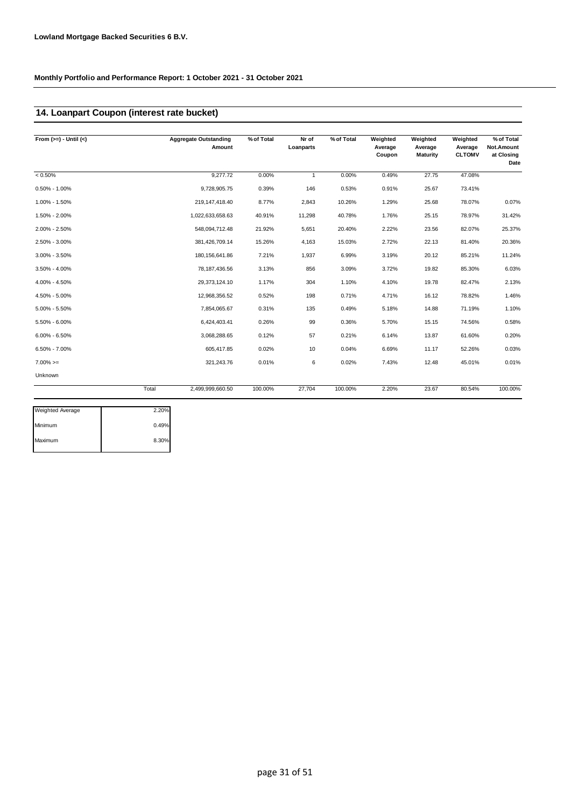## **14. Loanpart Coupon (interest rate bucket)**

| From $(>=) -$ Until $(<)$ |       | <b>Aggregate Outstanding</b><br>Amount | % of Total | Nr of<br>Loanparts | % of Total | Weighted<br>Average<br>Coupon | Weighted<br>Average<br>Maturity | Weighted<br>Average<br><b>CLTOMV</b> | % of Total<br>Not.Amount<br>at Closing<br>Date |
|---------------------------|-------|----------------------------------------|------------|--------------------|------------|-------------------------------|---------------------------------|--------------------------------------|------------------------------------------------|
| $< 0.50\%$                |       | 9.277.72                               | 0.00%      | $\mathbf{1}$       | 0.00%      | 0.49%                         | 27.75                           | 47.08%                               |                                                |
| $0.50\% - 1.00\%$         |       | 9,728,905.75                           | 0.39%      | 146                | 0.53%      | 0.91%                         | 25.67                           | 73.41%                               |                                                |
| 1.00% - 1.50%             |       | 219, 147, 418.40                       | 8.77%      | 2,843              | 10.26%     | 1.29%                         | 25.68                           | 78.07%                               | 0.07%                                          |
| 1.50% - 2.00%             |       | 1,022,633,658.63                       | 40.91%     | 11,298             | 40.78%     | 1.76%                         | 25.15                           | 78.97%                               | 31.42%                                         |
| 2.00% - 2.50%             |       | 548,094,712.48                         | 21.92%     | 5,651              | 20.40%     | 2.22%                         | 23.56                           | 82.07%                               | 25.37%                                         |
| 2.50% - 3.00%             |       | 381,426,709.14                         | 15.26%     | 4,163              | 15.03%     | 2.72%                         | 22.13                           | 81.40%                               | 20.36%                                         |
| $3.00\% - 3.50\%$         |       | 180, 156, 641.86                       | 7.21%      | 1,937              | 6.99%      | 3.19%                         | 20.12                           | 85.21%                               | 11.24%                                         |
| $3.50\% - 4.00\%$         |       | 78, 187, 436.56                        | 3.13%      | 856                | 3.09%      | 3.72%                         | 19.82                           | 85.30%                               | 6.03%                                          |
| 4.00% - 4.50%             |       | 29,373,124.10                          | 1.17%      | 304                | 1.10%      | 4.10%                         | 19.78                           | 82.47%                               | 2.13%                                          |
| 4.50% - 5.00%             |       | 12,968,356.52                          | 0.52%      | 198                | 0.71%      | 4.71%                         | 16.12                           | 78.82%                               | 1.46%                                          |
| $5.00\% - 5.50\%$         |       | 7,854,065.67                           | 0.31%      | 135                | 0.49%      | 5.18%                         | 14.88                           | 71.19%                               | 1.10%                                          |
| 5.50% - 6.00%             |       | 6.424.403.41                           | 0.26%      | 99                 | 0.36%      | 5.70%                         | 15.15                           | 74.56%                               | 0.58%                                          |
| $6.00\% - 6.50\%$         |       | 3,068,288.65                           | 0.12%      | 57                 | 0.21%      | 6.14%                         | 13.87                           | 61.60%                               | 0.20%                                          |
| 6.50% - 7.00%             |       | 605,417.85                             | 0.02%      | 10                 | 0.04%      | 6.69%                         | 11.17                           | 52.26%                               | 0.03%                                          |
| $7.00\%>=$                |       | 321,243.76                             | 0.01%      | 6                  | 0.02%      | 7.43%                         | 12.48                           | 45.01%                               | 0.01%                                          |
| Unknown                   |       |                                        |            |                    |            |                               |                                 |                                      |                                                |
|                           | Total | 2,499,999,660.50                       | 100.00%    | 27,704             | 100.00%    | 2.20%                         | 23.67                           | 80.54%                               | 100.00%                                        |

| 2.20% |
|-------|
| 0.49% |
| 8.30% |
|       |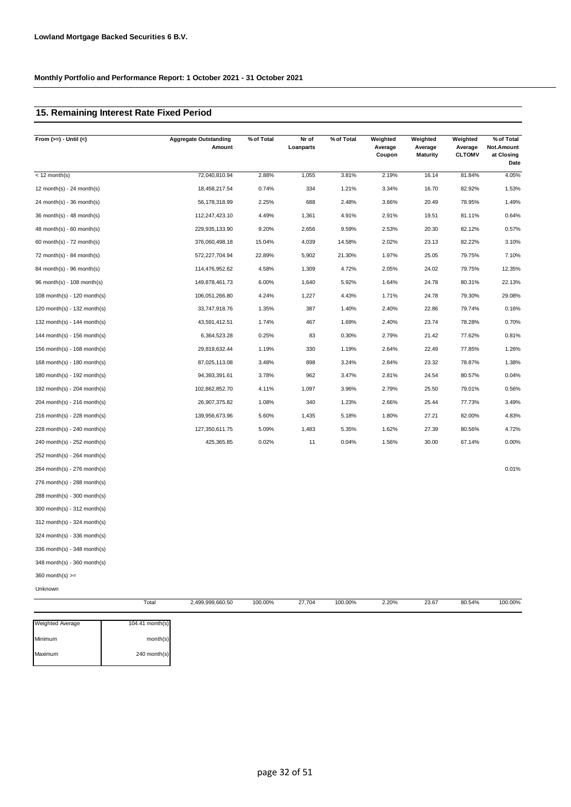## **15. Remaining Interest Rate Fixed Period**

| From $(>=) -$ Until $(<)$   | <b>Aggregate Outstanding</b><br>Amount | % of Total | Nr of<br>Loanparts | % of Total | Weighted<br>Average<br>Coupon | Weighted<br>Average<br>Maturity | Weighted<br>Average<br><b>CLTOMV</b> | % of Total<br>Not.Amount<br>at Closing<br>Date |
|-----------------------------|----------------------------------------|------------|--------------------|------------|-------------------------------|---------------------------------|--------------------------------------|------------------------------------------------|
| $\sqrt{2}$ month(s)         | 72,040,810.94                          | 2.88%      | 1,055              | 3.81%      | 2.19%                         | 16.14                           | 81.84%                               | 4.05%                                          |
| 12 month(s) - 24 month(s)   | 18,458,217.54                          | 0.74%      | 334                | 1.21%      | 3.34%                         | 16.70                           | 82.92%                               | 1.53%                                          |
| $24$ month(s) - 36 month(s) | 56,178,318.99                          | 2.25%      | 688                | 2.48%      | 3.66%                         | 20.49                           | 78.95%                               | 1.49%                                          |
| 36 month(s) - 48 month(s)   | 112,247,423.10                         | 4.49%      | 1,361              | 4.91%      | 2.91%                         | 19.51                           | 81.11%                               | 0.64%                                          |
| $48$ month(s) - 60 month(s) | 229,935,133.90                         | 9.20%      | 2,656              | 9.59%      | 2.53%                         | 20.30                           | 82.12%                               | 0.57%                                          |
| 60 month(s) - 72 month(s)   | 376,060,498.18                         | 15.04%     | 4,039              | 14.58%     | 2.02%                         | 23.13                           | 82.22%                               | 3.10%                                          |
| 72 month(s) - 84 month(s)   | 572,227,704.94                         | 22.89%     | 5,902              | 21.30%     | 1.97%                         | 25.05                           | 79.75%                               | 7.10%                                          |
| 84 month(s) - 96 month(s)   | 114,476,952.62                         | 4.58%      | 1,309              | 4.72%      | 2.05%                         | 24.02                           | 79.75%                               | 12.35%                                         |
| 96 month(s) - 108 month(s)  | 149,878,461.73                         | 6.00%      | 1,640              | 5.92%      | 1.64%                         | 24.78                           | 80.31%                               | 22.13%                                         |
| 108 month(s) - 120 month(s) | 106,051,266.80                         | 4.24%      | 1,227              | 4.43%      | 1.71%                         | 24.78                           | 79.30%                               | 29.08%                                         |
| 120 month(s) - 132 month(s) | 33,747,918.76                          | 1.35%      | 387                | 1.40%      | 2.40%                         | 22.86                           | 79.74%                               | 0.16%                                          |
| 132 month(s) - 144 month(s) | 43,591,412.51                          | 1.74%      | 467                | 1.69%      | 2.40%                         | 23.74                           | 78.28%                               | 0.70%                                          |
| 144 month(s) - 156 month(s) | 6,364,523.28                           | 0.25%      | 83                 | 0.30%      | 2.79%                         | 21.42                           | 77.62%                               | 0.81%                                          |
| 156 month(s) - 168 month(s) | 29,819,632.44                          | 1.19%      | 330                | 1.19%      | 2.64%                         | 22.49                           | 77.85%                               | 1.26%                                          |
| 168 month(s) - 180 month(s) | 87,025,113.08                          | 3.48%      | 898                | 3.24%      | 2.84%                         | 23.32                           | 78.87%                               | 1.38%                                          |
| 180 month(s) - 192 month(s) | 94,393,391.61                          | 3.78%      | 962                | 3.47%      | 2.81%                         | 24.54                           | 80.57%                               | 0.04%                                          |
| 192 month(s) - 204 month(s) | 102,862,852.70                         | 4.11%      | 1,097              | 3.96%      | 2.79%                         | 25.50                           | 79.01%                               | 0.56%                                          |
| 204 month(s) - 216 month(s) | 26,907,375.82                          | 1.08%      | 340                | 1.23%      | 2.66%                         | 25.44                           | 77.73%                               | 3.49%                                          |
| 216 month(s) - 228 month(s) | 139,956,673.96                         | 5.60%      | 1,435              | 5.18%      | 1.80%                         | 27.21                           | 82.00%                               | 4.83%                                          |
| 228 month(s) - 240 month(s) | 127,350,611.75                         | 5.09%      | 1,483              | 5.35%      | 1.62%                         | 27.39                           | 80.56%                               | 4.72%                                          |
| 240 month(s) - 252 month(s) | 425,365.85                             | 0.02%      | 11                 | 0.04%      | 1.56%                         | 30.00                           | 67.14%                               | 0.00%                                          |
| 252 month(s) - 264 month(s) |                                        |            |                    |            |                               |                                 |                                      |                                                |
| 264 month(s) - 276 month(s) |                                        |            |                    |            |                               |                                 |                                      | 0.01%                                          |
| 276 month(s) - 288 month(s) |                                        |            |                    |            |                               |                                 |                                      |                                                |
| 288 month(s) - 300 month(s) |                                        |            |                    |            |                               |                                 |                                      |                                                |
| 300 month(s) - 312 month(s) |                                        |            |                    |            |                               |                                 |                                      |                                                |
| 312 month(s) - 324 month(s) |                                        |            |                    |            |                               |                                 |                                      |                                                |
| 324 month(s) - 336 month(s) |                                        |            |                    |            |                               |                                 |                                      |                                                |
| 336 month(s) - 348 month(s) |                                        |            |                    |            |                               |                                 |                                      |                                                |
| 348 month(s) - 360 month(s) |                                        |            |                    |            |                               |                                 |                                      |                                                |
| $360$ month(s) $>=$         |                                        |            |                    |            |                               |                                 |                                      |                                                |
| Unknown                     |                                        |            |                    |            |                               |                                 |                                      |                                                |
|                             | Total<br>2,499,999,660.50              | 100.00%    | 27,704             | 100.00%    | 2.20%                         | 23.67                           | 80.54%                               | 100.00%                                        |

| <b>Weighted Average</b> | 104.41 month(s) |
|-------------------------|-----------------|
| Minimum                 | month(s)        |
| Maximum                 | 240 month(s)    |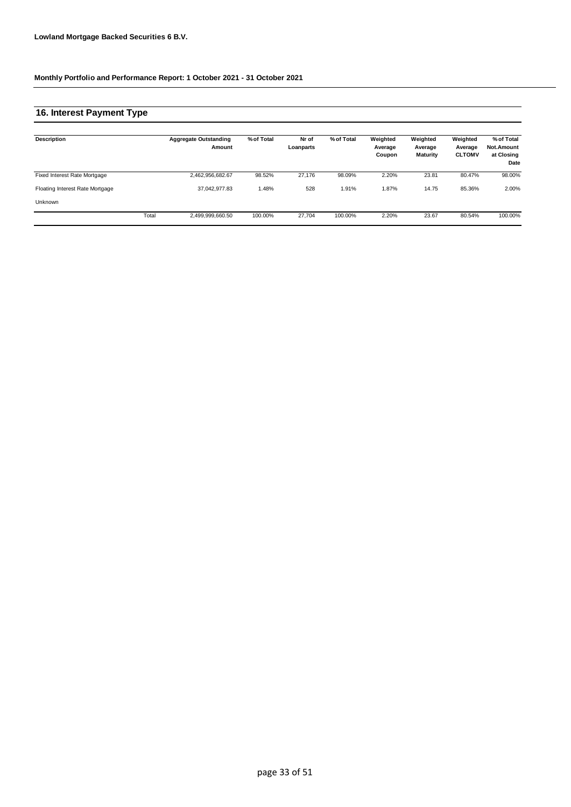### **16. Interest Payment Type**

| Description                     |       | <b>Aggregate Outstanding</b><br>Amount | % of Total | Nr of<br>Loanparts | % of Total | Weighted<br>Average<br>Coupon | Weighted<br>Average<br><b>Maturity</b> | Weighted<br>Average<br><b>CLTOMV</b> | % of Total<br><b>Not.Amount</b><br>at Closing<br>Date |
|---------------------------------|-------|----------------------------------------|------------|--------------------|------------|-------------------------------|----------------------------------------|--------------------------------------|-------------------------------------------------------|
| Fixed Interest Rate Mortgage    |       | 2,462,956,682.67                       | 98.52%     | 27.176             | 98.09%     | 2.20%                         | 23.81                                  | 80.47%                               | 98.00%                                                |
| Floating Interest Rate Mortgage |       | 37.042.977.83                          | 1.48%      | 528                | 1.91%      | 1.87%                         | 14.75                                  | 85.36%                               | 2.00%                                                 |
| Unknown                         |       |                                        |            |                    |            |                               |                                        |                                      |                                                       |
|                                 | Total | 2,499,999,660.50                       | 100.00%    | 27.704             | 100.00%    | 2.20%                         | 23.67                                  | 80.54%                               | 100.00%                                               |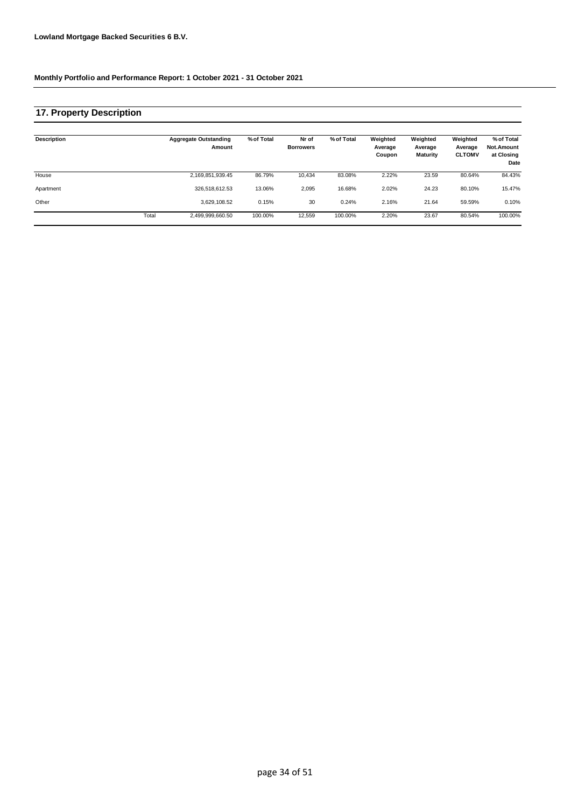## **17. Property Description**

| <b>Description</b> |       | <b>Aggregate Outstanding</b><br>Amount | % of Total | Nr of<br><b>Borrowers</b> | % of Total | Weighted<br>Average<br>Coupon | Weighted<br>Average<br>Maturity | Weighted<br>Average<br><b>CLTOMV</b> | % of Total<br>Not.Amount<br>at Closing<br>Date |
|--------------------|-------|----------------------------------------|------------|---------------------------|------------|-------------------------------|---------------------------------|--------------------------------------|------------------------------------------------|
| House              |       | 2,169,851,939.45                       | 86.79%     | 10,434                    | 83.08%     | 2.22%                         | 23.59                           | 80.64%                               | 84.43%                                         |
| Apartment          |       | 326.518.612.53                         | 13.06%     | 2,095                     | 16.68%     | 2.02%                         | 24.23                           | 80.10%                               | 15.47%                                         |
| Other              |       | 3.629.108.52                           | 0.15%      | 30                        | 0.24%      | 2.16%                         | 21.64                           | 59.59%                               | 0.10%                                          |
|                    | Total | 2,499,999,660.50                       | 100.00%    | 12,559                    | 100.00%    | 2.20%                         | 23.67                           | 80.54%                               | 100.00%                                        |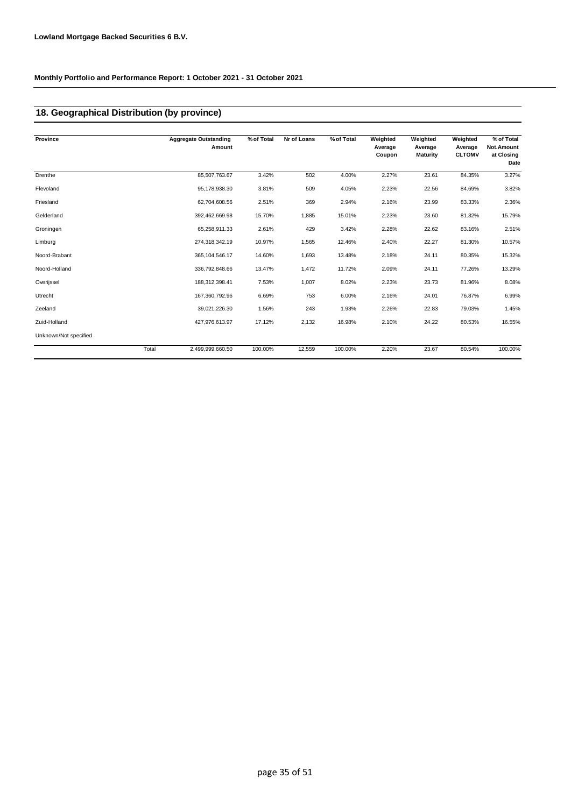## **18. Geographical Distribution (by province)**

| Province              |       | <b>Aggregate Outstanding</b><br>Amount | % of Total | Nr of Loans | % of Total | Weighted<br>Average<br>Coupon | Weighted<br>Average<br><b>Maturity</b> | Weighted<br>Average<br><b>CLTOMV</b> | % of Total<br>Not.Amount<br>at Closing<br>Date |
|-----------------------|-------|----------------------------------------|------------|-------------|------------|-------------------------------|----------------------------------------|--------------------------------------|------------------------------------------------|
| Drenthe               |       | 85,507,763.67                          | 3.42%      | 502         | 4.00%      | 2.27%                         | 23.61                                  | 84.35%                               | 3.27%                                          |
| Flevoland             |       | 95,178,938.30                          | 3.81%      | 509         | 4.05%      | 2.23%                         | 22.56                                  | 84.69%                               | 3.82%                                          |
| Friesland             |       | 62,704,608.56                          | 2.51%      | 369         | 2.94%      | 2.16%                         | 23.99                                  | 83.33%                               | 2.36%                                          |
| Gelderland            |       | 392,462,669.98                         | 15.70%     | 1,885       | 15.01%     | 2.23%                         | 23.60                                  | 81.32%                               | 15.79%                                         |
| Groningen             |       | 65,258,911.33                          | 2.61%      | 429         | 3.42%      | 2.28%                         | 22.62                                  | 83.16%                               | 2.51%                                          |
| Limburg               |       | 274,318,342.19                         | 10.97%     | 1,565       | 12.46%     | 2.40%                         | 22.27                                  | 81.30%                               | 10.57%                                         |
| Noord-Brabant         |       | 365, 104, 546.17                       | 14.60%     | 1,693       | 13.48%     | 2.18%                         | 24.11                                  | 80.35%                               | 15.32%                                         |
| Noord-Holland         |       | 336,792,848.66                         | 13.47%     | 1,472       | 11.72%     | 2.09%                         | 24.11                                  | 77.26%                               | 13.29%                                         |
| Overijssel            |       | 188,312,398.41                         | 7.53%      | 1,007       | 8.02%      | 2.23%                         | 23.73                                  | 81.96%                               | 8.08%                                          |
| Utrecht               |       | 167,360,792.96                         | 6.69%      | 753         | 6.00%      | 2.16%                         | 24.01                                  | 76.87%                               | 6.99%                                          |
| Zeeland               |       | 39,021,226.30                          | 1.56%      | 243         | 1.93%      | 2.26%                         | 22.83                                  | 79.03%                               | 1.45%                                          |
| Zuid-Holland          |       | 427,976,613.97                         | 17.12%     | 2,132       | 16.98%     | 2.10%                         | 24.22                                  | 80.53%                               | 16.55%                                         |
| Unknown/Not specified |       |                                        |            |             |            |                               |                                        |                                      |                                                |
|                       | Total | 2,499,999,660.50                       | 100.00%    | 12,559      | 100.00%    | 2.20%                         | 23.67                                  | 80.54%                               | 100.00%                                        |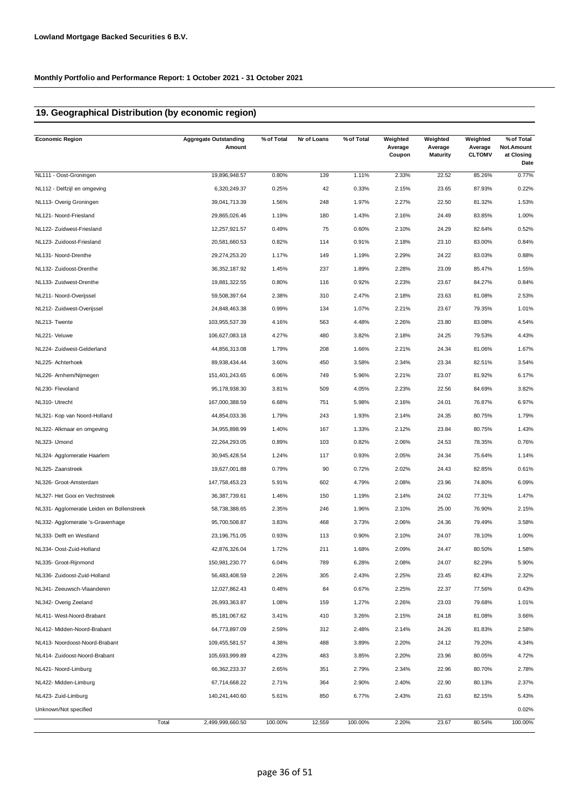## **19. Geographical Distribution (by economic region)**

| <b>Economic Region</b>                     | <b>Aggregate Outstanding</b><br>Amount | % of Total | Nr of Loans | % of Total | Weighted<br>Average<br>Coupon | Weighted<br>Average<br><b>Maturity</b> | Weighted<br>Average<br><b>CLTOMV</b> | % of Total<br>Not.Amount<br>at Closing<br>Date |
|--------------------------------------------|----------------------------------------|------------|-------------|------------|-------------------------------|----------------------------------------|--------------------------------------|------------------------------------------------|
| NL111 - Oost-Groningen                     | 19,896,948.57                          | 0.80%      | 139         | 1.11%      | 2.33%                         | 22.52                                  | 85.26%                               | 0.77%                                          |
| NL112 - Delfzijl en omgeving               | 6,320,249.37                           | 0.25%      | 42          | 0.33%      | 2.15%                         | 23.65                                  | 87.93%                               | 0.22%                                          |
| NL113- Overig Groningen                    | 39,041,713.39                          | 1.56%      | 248         | 1.97%      | 2.27%                         | 22.50                                  | 81.32%                               | 1.53%                                          |
| NL121- Noord-Friesland                     | 29,865,026.46                          | 1.19%      | 180         | 1.43%      | 2.16%                         | 24.49                                  | 83.85%                               | 1.00%                                          |
| NL122- Zuidwest-Friesland                  | 12,257,921.57                          | 0.49%      | 75          | 0.60%      | 2.10%                         | 24.29                                  | 82.64%                               | 0.52%                                          |
| NL123- Zuidoost-Friesland                  | 20,581,660.53                          | 0.82%      | 114         | 0.91%      | 2.18%                         | 23.10                                  | 83.00%                               | 0.84%                                          |
| NL131- Noord-Drenthe                       | 29,274,253.20                          | 1.17%      | 149         | 1.19%      | 2.29%                         | 24.22                                  | 83.03%                               | 0.88%                                          |
| NL132- Zuidoost-Drenthe                    | 36, 352, 187.92                        | 1.45%      | 237         | 1.89%      | 2.28%                         | 23.09                                  | 85.47%                               | 1.55%                                          |
| NL133- Zuidwest-Drenthe                    | 19,881,322.55                          | 0.80%      | 116         | 0.92%      | 2.23%                         | 23.67                                  | 84.27%                               | 0.84%                                          |
| NL211- Noord-Overijssel                    | 59,508,397.64                          | 2.38%      | 310         | 2.47%      | 2.18%                         | 23.63                                  | 81.08%                               | 2.53%                                          |
| NL212- Zuidwest-Overijssel                 | 24,848,463.38                          | 0.99%      | 134         | 1.07%      | 2.21%                         | 23.67                                  | 79.35%                               | 1.01%                                          |
| NL213- Twente                              | 103,955,537.39                         | 4.16%      | 563         | 4.48%      | 2.26%                         | 23.80                                  | 83.08%                               | 4.54%                                          |
| NL221- Veluwe                              | 106,627,083.18                         | 4.27%      | 480         | 3.82%      | 2.18%                         | 24.25                                  | 79.53%                               | 4.43%                                          |
| NL224- Zuidwest-Gelderland                 | 44,856,313.08                          | 1.79%      | 208         | 1.66%      | 2.21%                         | 24.34                                  | 81.06%                               | 1.67%                                          |
| NL225- Achterhoek                          | 89,938,434.44                          | 3.60%      | 450         | 3.58%      | 2.34%                         | 23.34                                  | 82.51%                               | 3.54%                                          |
| NL226- Arnhem/Nijmegen                     | 151,401,243.65                         | 6.06%      | 749         | 5.96%      | 2.21%                         | 23.07                                  | 81.92%                               | 6.17%                                          |
| NL230- Flevoland                           | 95,178,938.30                          | 3.81%      | 509         | 4.05%      | 2.23%                         | 22.56                                  | 84.69%                               | 3.82%                                          |
| NL310- Utrecht                             | 167,000,388.59                         | 6.68%      | 751         | 5.98%      | 2.16%                         | 24.01                                  | 76.87%                               | 6.97%                                          |
| NL321- Kop van Noord-Holland               | 44,854,033.36                          | 1.79%      | 243         | 1.93%      | 2.14%                         | 24.35                                  | 80.75%                               | 1.79%                                          |
| NL322- Alkmaar en omgeving                 | 34,955,898.99                          | 1.40%      | 167         | 1.33%      | 2.12%                         | 23.84                                  | 80.75%                               | 1.43%                                          |
| NL323- IJmond                              | 22,264,293.05                          | 0.89%      | 103         | 0.82%      | 2.06%                         | 24.53                                  | 78.35%                               | 0.76%                                          |
| NL324- Agglomeratie Haarlem                | 30,945,428.54                          | 1.24%      | 117         | 0.93%      | 2.05%                         | 24.34                                  | 75.64%                               | 1.14%                                          |
| NL325- Zaanstreek                          | 19,627,001.88                          | 0.79%      | 90          | 0.72%      | 2.02%                         | 24.43                                  | 82.85%                               | 0.61%                                          |
| NL326- Groot-Amsterdam                     | 147,758,453.23                         | 5.91%      | 602         | 4.79%      | 2.08%                         | 23.96                                  | 74.80%                               | 6.09%                                          |
| NL327- Het Gooi en Vechtstreek             | 36, 387, 739.61                        | 1.46%      | 150         | 1.19%      | 2.14%                         | 24.02                                  | 77.31%                               | 1.47%                                          |
| NL331- Agglomeratie Leiden en Bollenstreek | 58,738,388.65                          | 2.35%      | 246         | 1.96%      | 2.10%                         | 25.00                                  | 76.90%                               | 2.15%                                          |
| NL332- Agglomeratie 's-Gravenhage          | 95,700,508.87                          | 3.83%      | 468         | 3.73%      | 2.06%                         | 24.36                                  | 79.49%                               | 3.58%                                          |
| NL333- Delft en Westland                   | 23,196,751.05                          | 0.93%      | 113         | 0.90%      | 2.10%                         | 24.07                                  | 78.10%                               | 1.00%                                          |
| NL334- Oost-Zuid-Holland                   | 42,876,326.04                          | 1.72%      | 211         | 1.68%      | 2.09%                         | 24.47                                  | 80.50%                               | 1.58%                                          |
| NL335- Groot-Rijnmond                      | 150,981,230.77                         | 6.04%      | 789         | 6.28%      | 2.08%                         | 24.07                                  | 82.29%                               | 5.90%                                          |
| NL336- Zuidoost-Zuid-Holland               | 56,483,408.59                          | 2.26%      | 305         | 2.43%      | 2.25%                         | 23.45                                  | 82.43%                               | 2.32%                                          |
| NL341- Zeeuwsch-Vlaanderen                 | 12,027,862.43                          | 0.48%      | 84          | 0.67%      | 2.25%                         | 22.37                                  | 77.56%                               | 0.43%                                          |
| NL342- Overig Zeeland                      | 26,993,363.87                          | 1.08%      | 159         | 1.27%      | 2.26%                         | 23.03                                  | 79.68%                               | 1.01%                                          |
| NL411- West-Noord-Brabant                  | 85, 181, 067.62                        | 3.41%      | 410         | 3.26%      | 2.15%                         | 24.18                                  | 81.08%                               | 3.66%                                          |
| NL412- Midden-Noord-Brabant                | 64,773,897.09                          | 2.59%      | 312         | 2.48%      | 2.14%                         | 24.26                                  | 81.83%                               | 2.58%                                          |
| NL413- Noordoost-Noord-Brabant             | 109,455,581.57                         | 4.38%      | 488         | 3.89%      | 2.20%                         | 24.12                                  | 79.20%                               | 4.34%                                          |
| NL414- Zuidoost-Noord-Brabant              | 105,693,999.89                         | 4.23%      | 483         | 3.85%      | 2.20%                         | 23.96                                  | 80.05%                               | 4.72%                                          |
| NL421- Noord-Limburg                       | 66,362,233.37                          | 2.65%      | 351         | 2.79%      | 2.34%                         | 22.96                                  | 80.70%                               | 2.78%                                          |
| NL422- Midden-Limburg                      | 67,714,668.22                          | 2.71%      | 364         | 2.90%      | 2.40%                         | 22.90                                  | 80.13%                               | 2.37%                                          |
| NL423- Zuid-Limburg                        | 140,241,440.60                         | 5.61%      | 850         | 6.77%      | 2.43%                         | 21.63                                  | 82.15%                               | 5.43%                                          |
| Unknown/Not specified                      |                                        |            |             |            |                               |                                        |                                      | 0.02%                                          |
|                                            | Total<br>2,499,999,660.50              | 100.00%    | 12,559      | 100.00%    | 2.20%                         | 23.67                                  | 80.54%                               | 100.00%                                        |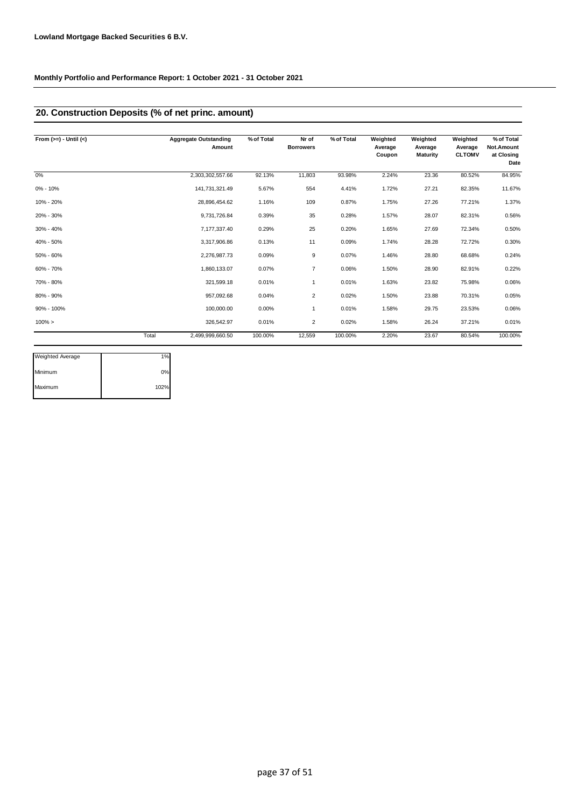## **20. Construction Deposits (% of net princ. amount)**

| From $(>=) -$ Until $(<)$ |       | <b>Aggregate Outstanding</b><br>Amount | % of Total | Nr of<br><b>Borrowers</b> | % of Total | Weighted<br>Average<br>Coupon | Weighted<br>Average<br><b>Maturity</b> | Weighted<br>Average<br><b>CLTOMV</b> | % of Total<br>Not.Amount<br>at Closing<br>Date |
|---------------------------|-------|----------------------------------------|------------|---------------------------|------------|-------------------------------|----------------------------------------|--------------------------------------|------------------------------------------------|
| 0%                        |       | 2,303,302,557.66                       | 92.13%     | 11,803                    | 93.98%     | 2.24%                         | 23.36                                  | 80.52%                               | 84.95%                                         |
| 0% - 10%                  |       | 141,731,321.49                         | 5.67%      | 554                       | 4.41%      | 1.72%                         | 27.21                                  | 82.35%                               | 11.67%                                         |
| 10% - 20%                 |       | 28,896,454.62                          | 1.16%      | 109                       | 0.87%      | 1.75%                         | 27.26                                  | 77.21%                               | 1.37%                                          |
| 20% - 30%                 |       | 9,731,726.84                           | 0.39%      | 35                        | 0.28%      | 1.57%                         | 28.07                                  | 82.31%                               | 0.56%                                          |
| 30% - 40%                 |       | 7,177,337.40                           | 0.29%      | 25                        | 0.20%      | 1.65%                         | 27.69                                  | 72.34%                               | 0.50%                                          |
| 40% - 50%                 |       | 3,317,906.86                           | 0.13%      | 11                        | 0.09%      | 1.74%                         | 28.28                                  | 72.72%                               | 0.30%                                          |
| 50% - 60%                 |       | 2,276,987.73                           | 0.09%      | 9                         | 0.07%      | 1.46%                         | 28.80                                  | 68.68%                               | 0.24%                                          |
| 60% - 70%                 |       | 1,860,133.07                           | 0.07%      | $\overline{7}$            | 0.06%      | 1.50%                         | 28.90                                  | 82.91%                               | 0.22%                                          |
| 70% - 80%                 |       | 321,599.18                             | 0.01%      | 1                         | 0.01%      | 1.63%                         | 23.82                                  | 75.98%                               | 0.06%                                          |
| 80% - 90%                 |       | 957,092.68                             | 0.04%      | $\overline{2}$            | 0.02%      | 1.50%                         | 23.88                                  | 70.31%                               | 0.05%                                          |
| 90% - 100%                |       | 100,000.00                             | 0.00%      | 1                         | 0.01%      | 1.58%                         | 29.75                                  | 23.53%                               | 0.06%                                          |
| $100\% >$                 |       | 326,542.97                             | 0.01%      | $\overline{2}$            | 0.02%      | 1.58%                         | 26.24                                  | 37.21%                               | 0.01%                                          |
|                           | Total | 2,499,999,660.50                       | 100.00%    | 12,559                    | 100.00%    | 2.20%                         | 23.67                                  | 80.54%                               | 100.00%                                        |

| <b>Weighted Average</b> | 1%   |
|-------------------------|------|
| Minimum                 | 0%   |
| Maximum                 | 102% |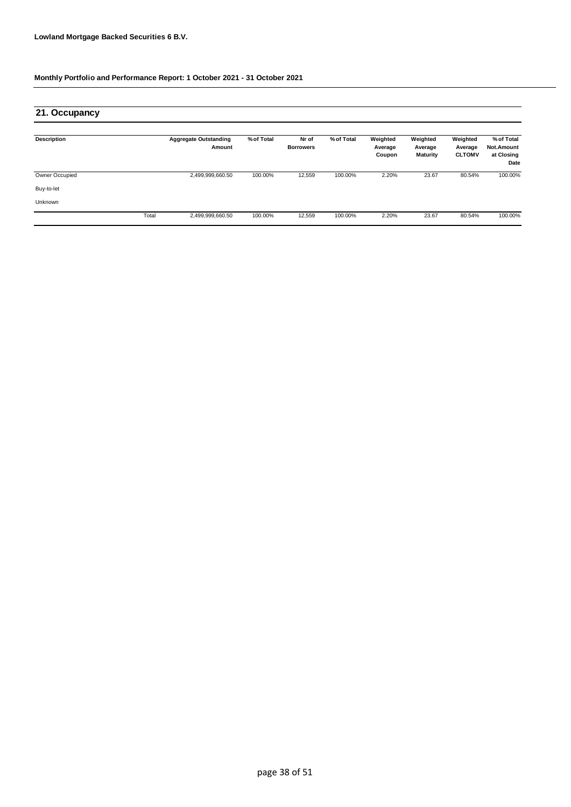| 21. Occupancy         |       |                                        |            |                           |            |                               |                                        |                                      |                                                |
|-----------------------|-------|----------------------------------------|------------|---------------------------|------------|-------------------------------|----------------------------------------|--------------------------------------|------------------------------------------------|
| <b>Description</b>    |       | <b>Aggregate Outstanding</b><br>Amount | % of Total | Nr of<br><b>Borrowers</b> | % of Total | Weighted<br>Average<br>Coupon | Weighted<br>Average<br><b>Maturity</b> | Weighted<br>Average<br><b>CLTOMV</b> | % of Total<br>Not.Amount<br>at Closing<br>Date |
| <b>Owner Occupied</b> |       | 2,499,999,660.50                       | 100.00%    | 12,559                    | 100.00%    | 2.20%                         | 23.67                                  | 80.54%                               | 100.00%                                        |
| Buy-to-let            |       |                                        |            |                           |            |                               |                                        |                                      |                                                |
| Unknown               |       |                                        |            |                           |            |                               |                                        |                                      |                                                |
|                       | Total | 2,499,999,660.50                       | 100.00%    | 12,559                    | 100.00%    | 2.20%                         | 23.67                                  | 80.54%                               | 100.00%                                        |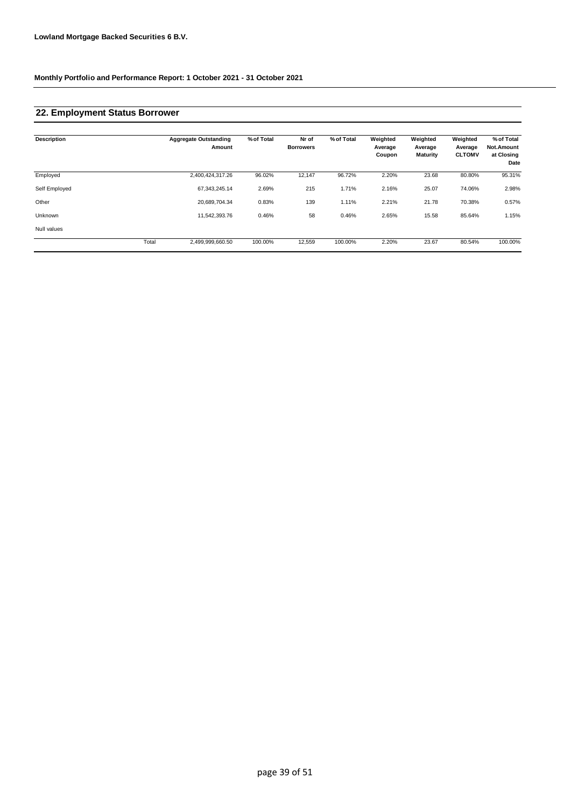## **22. Employment Status Borrower**

| <b>Description</b> |       | <b>Aggregate Outstanding</b><br>Amount | % of Total | Nr of<br><b>Borrowers</b> | % of Total | Weighted<br>Average<br>Coupon | Weighted<br>Average<br><b>Maturity</b> | Weighted<br>Average<br><b>CLTOMV</b> | % of Total<br>Not.Amount<br>at Closing<br>Date |
|--------------------|-------|----------------------------------------|------------|---------------------------|------------|-------------------------------|----------------------------------------|--------------------------------------|------------------------------------------------|
| Employed           |       | 2,400,424,317.26                       | 96.02%     | 12,147                    | 96.72%     | 2.20%                         | 23.68                                  | 80.80%                               | 95.31%                                         |
| Self Employed      |       | 67, 343, 245. 14                       | 2.69%      | 215                       | 1.71%      | 2.16%                         | 25.07                                  | 74.06%                               | 2.98%                                          |
| Other              |       | 20,689,704.34                          | 0.83%      | 139                       | 1.11%      | 2.21%                         | 21.78                                  | 70.38%                               | 0.57%                                          |
| Unknown            |       | 11,542,393.76                          | 0.46%      | 58                        | 0.46%      | 2.65%                         | 15.58                                  | 85.64%                               | 1.15%                                          |
| Null values        |       |                                        |            |                           |            |                               |                                        |                                      |                                                |
|                    | Total | 2,499,999,660.50                       | 100.00%    | 12,559                    | 100.00%    | 2.20%                         | 23.67                                  | 80.54%                               | 100.00%                                        |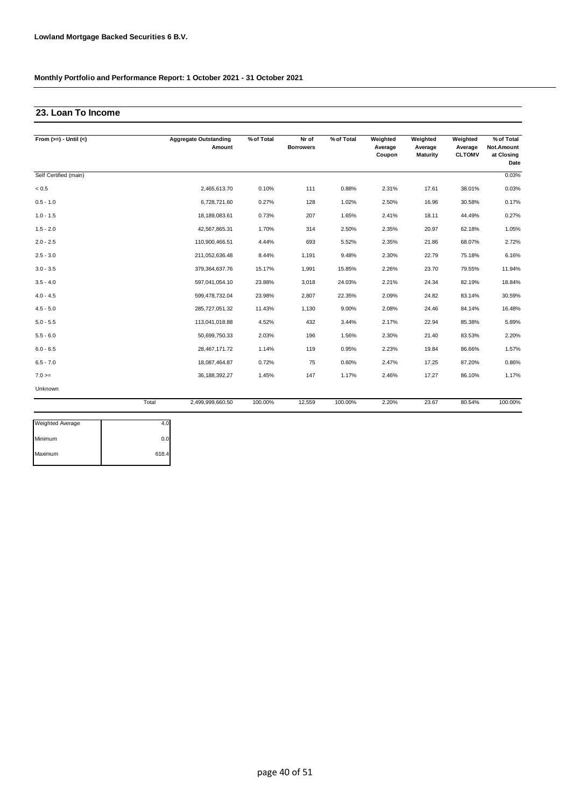### **23. Loan To Income**

| From $(>=) -$ Until $(<)$ |       | <b>Aggregate Outstanding</b><br>Amount | % of Total | Nr of<br><b>Borrowers</b> | % of Total | Weighted<br>Average<br>Coupon | Weighted<br>Average<br>Maturity | Weighted<br>Average<br><b>CLTOMV</b> | % of Total<br>Not.Amount<br>at Closing |
|---------------------------|-------|----------------------------------------|------------|---------------------------|------------|-------------------------------|---------------------------------|--------------------------------------|----------------------------------------|
|                           |       |                                        |            |                           |            |                               |                                 |                                      | Date                                   |
| Self Certified (main)     |       |                                        |            |                           |            |                               |                                 |                                      | 0.03%                                  |
| < 0.5                     |       | 2,465,613.70                           | 0.10%      | 111                       | 0.88%      | 2.31%                         | 17.61                           | 38.01%                               | 0.03%                                  |
| $0.5 - 1.0$               |       | 6,728,721.60                           | 0.27%      | 128                       | 1.02%      | 2.50%                         | 16.96                           | 30.58%                               | 0.17%                                  |
| $1.0 - 1.5$               |       | 18,189,083.61                          | 0.73%      | 207                       | 1.65%      | 2.41%                         | 18.11                           | 44.49%                               | 0.27%                                  |
| $1.5 - 2.0$               |       | 42,567,865.31                          | 1.70%      | 314                       | 2.50%      | 2.35%                         | 20.97                           | 62.18%                               | 1.05%                                  |
| $2.0 - 2.5$               |       | 110,900,466.51                         | 4.44%      | 693                       | 5.52%      | 2.35%                         | 21.86                           | 68.07%                               | 2.72%                                  |
| $2.5 - 3.0$               |       | 211,052,636.48                         | 8.44%      | 1,191                     | 9.48%      | 2.30%                         | 22.79                           | 75.18%                               | 6.16%                                  |
| $3.0 - 3.5$               |       | 379, 364, 637. 76                      | 15.17%     | 1,991                     | 15.85%     | 2.26%                         | 23.70                           | 79.55%                               | 11.94%                                 |
| $3.5 - 4.0$               |       | 597,041,054.10                         | 23.88%     | 3,018                     | 24.03%     | 2.21%                         | 24.34                           | 82.19%                               | 18.84%                                 |
| $4.0 - 4.5$               |       | 599,478,732.04                         | 23.98%     | 2,807                     | 22.35%     | 2.09%                         | 24.82                           | 83.14%                               | 30.59%                                 |
| $4.5 - 5.0$               |       | 285,727,051.32                         | 11.43%     | 1,130                     | 9.00%      | 2.08%                         | 24.46                           | 84.14%                               | 16.48%                                 |
| $5.0 - 5.5$               |       | 113,041,018.88                         | 4.52%      | 432                       | 3.44%      | 2.17%                         | 22.94                           | 85.38%                               | 5.89%                                  |
| $5.5 - 6.0$               |       | 50,699,750.33                          | 2.03%      | 196                       | 1.56%      | 2.30%                         | 21.40                           | 83.53%                               | 2.20%                                  |
| $6.0 - 6.5$               |       | 28,467,171.72                          | 1.14%      | 119                       | 0.95%      | 2.23%                         | 19.84                           | 86.66%                               | 1.57%                                  |
| $6.5 - 7.0$               |       | 18,087,464.87                          | 0.72%      | 75                        | 0.60%      | 2.47%                         | 17.25                           | 87.20%                               | 0.86%                                  |
| $7.0 =$                   |       | 36, 188, 392. 27                       | 1.45%      | 147                       | 1.17%      | 2.46%                         | 17.27                           | 86.10%                               | 1.17%                                  |
| Unknown                   |       |                                        |            |                           |            |                               |                                 |                                      |                                        |
|                           | Total | 2,499,999,660.50                       | 100.00%    | 12,559                    | 100.00%    | 2.20%                         | 23.67                           | 80.54%                               | 100.00%                                |

| <b>Weighted Average</b> | 4.C   |
|-------------------------|-------|
| Minimum                 | 0.0   |
| Maximum                 | 618.4 |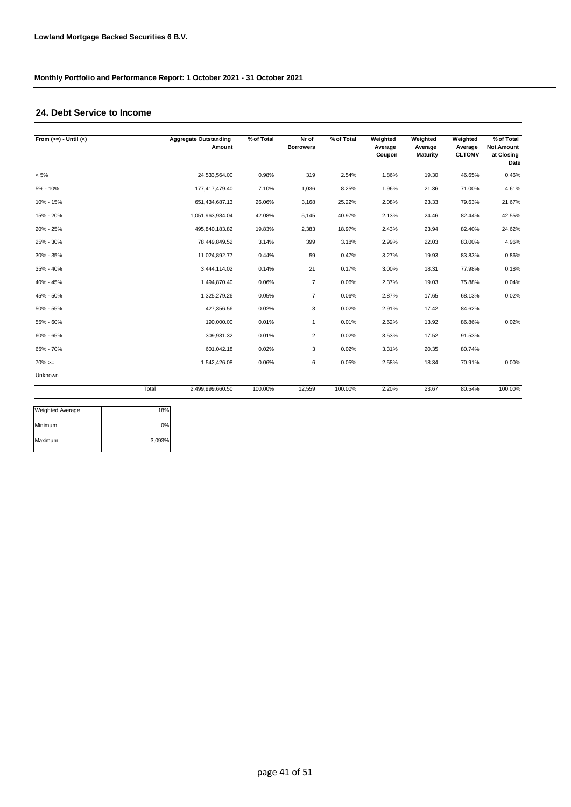### **24. Debt Service to Income**

| From $(>=) -$ Until $(<)$ |       | <b>Aggregate Outstanding</b><br>Amount | % of Total | Nr of<br><b>Borrowers</b> | % of Total | Weighted<br>Average<br>Coupon | Weighted<br>Average<br><b>Maturity</b> | Weighted<br>Average<br><b>CLTOMV</b> | % of Total<br>Not.Amount<br>at Closing<br>Date |
|---------------------------|-------|----------------------------------------|------------|---------------------------|------------|-------------------------------|----------------------------------------|--------------------------------------|------------------------------------------------|
| $< 5\%$                   |       | 24,533,564.00                          | 0.98%      | 319                       | 2.54%      | 1.86%                         | 19.30                                  | 46.65%                               | 0.46%                                          |
| 5% - 10%                  |       | 177,417,479.40                         | 7.10%      | 1,036                     | 8.25%      | 1.96%                         | 21.36                                  | 71.00%                               | 4.61%                                          |
| 10% - 15%                 |       | 651,434,687.13                         | 26.06%     | 3,168                     | 25.22%     | 2.08%                         | 23.33                                  | 79.63%                               | 21.67%                                         |
| 15% - 20%                 |       | 1,051,963,984.04                       | 42.08%     | 5,145                     | 40.97%     | 2.13%                         | 24.46                                  | 82.44%                               | 42.55%                                         |
| 20% - 25%                 |       | 495,840,183.82                         | 19.83%     | 2,383                     | 18.97%     | 2.43%                         | 23.94                                  | 82.40%                               | 24.62%                                         |
| 25% - 30%                 |       | 78,449,849.52                          | 3.14%      | 399                       | 3.18%      | 2.99%                         | 22.03                                  | 83.00%                               | 4.96%                                          |
| 30% - 35%                 |       | 11,024,892.77                          | 0.44%      | 59                        | 0.47%      | 3.27%                         | 19.93                                  | 83.83%                               | 0.86%                                          |
| 35% - 40%                 |       | 3,444,114.02                           | 0.14%      | 21                        | 0.17%      | 3.00%                         | 18.31                                  | 77.98%                               | 0.18%                                          |
| 40% - 45%                 |       | 1,494,870.40                           | 0.06%      | $\overline{7}$            | 0.06%      | 2.37%                         | 19.03                                  | 75.88%                               | 0.04%                                          |
| 45% - 50%                 |       | 1,325,279.26                           | 0.05%      | $\overline{7}$            | 0.06%      | 2.87%                         | 17.65                                  | 68.13%                               | 0.02%                                          |
| 50% - 55%                 |       | 427,356.56                             | 0.02%      | 3                         | 0.02%      | 2.91%                         | 17.42                                  | 84.62%                               |                                                |
| 55% - 60%                 |       | 190,000.00                             | 0.01%      | $\mathbf{1}$              | 0.01%      | 2.62%                         | 13.92                                  | 86.86%                               | 0.02%                                          |
| 60% - 65%                 |       | 309,931.32                             | 0.01%      | $\overline{2}$            | 0.02%      | 3.53%                         | 17.52                                  | 91.53%                               |                                                |
| 65% - 70%                 |       | 601,042.18                             | 0.02%      | 3                         | 0.02%      | 3.31%                         | 20.35                                  | 80.74%                               |                                                |
| $70\%>=$                  |       | 1,542,426.08                           | 0.06%      | 6                         | 0.05%      | 2.58%                         | 18.34                                  | 70.91%                               | 0.00%                                          |
| Unknown                   |       |                                        |            |                           |            |                               |                                        |                                      |                                                |
|                           | Total | 2.499.999.660.50                       | 100.00%    | 12.559                    | 100.00%    | 2.20%                         | 23.67                                  | 80.54%                               | 100.00%                                        |

| <b>Weighted Average</b> | 18%    |
|-------------------------|--------|
| Minimum                 | 0%     |
| Maximum                 | 3,093% |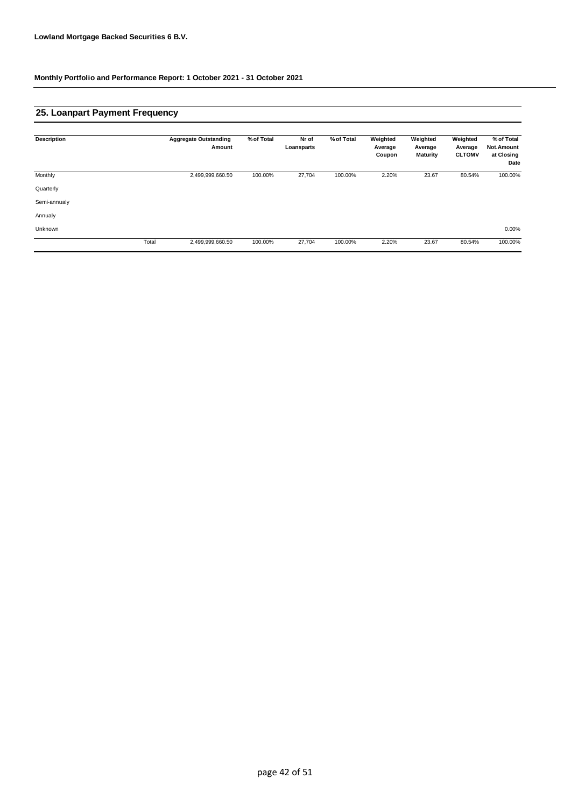### **25. Loanpart Payment Frequency**

| <b>Description</b> |       | <b>Aggregate Outstanding</b><br>Amount | % of Total | Nr of<br>Loansparts | % of Total | Weighted<br>Average<br>Coupon | Weighted<br>Average<br><b>Maturity</b> | Weighted<br>Average<br><b>CLTOMV</b> | % of Total<br>Not.Amount<br>at Closing<br>Date |
|--------------------|-------|----------------------------------------|------------|---------------------|------------|-------------------------------|----------------------------------------|--------------------------------------|------------------------------------------------|
| Monthly            |       | 2,499,999,660.50                       | 100.00%    | 27,704              | 100.00%    | 2.20%                         | 23.67                                  | 80.54%                               | 100.00%                                        |
| Quarterly          |       |                                        |            |                     |            |                               |                                        |                                      |                                                |
| Semi-annualy       |       |                                        |            |                     |            |                               |                                        |                                      |                                                |
| Annualy            |       |                                        |            |                     |            |                               |                                        |                                      |                                                |
| Unknown            |       |                                        |            |                     |            |                               |                                        |                                      | $0.00\%$                                       |
|                    | Total | 2,499,999,660.50                       | 100.00%    | 27,704              | 100.00%    | 2.20%                         | 23.67                                  | 80.54%                               | 100.00%                                        |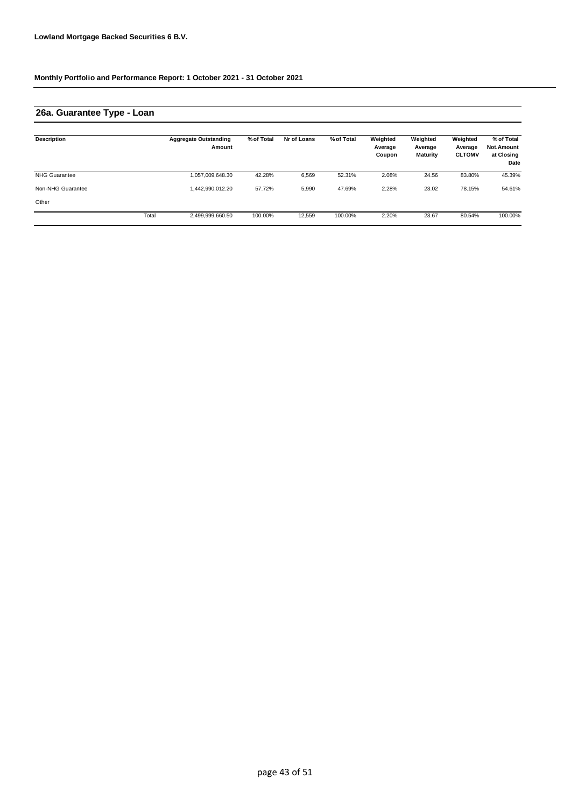## **26a. Guarantee Type - Loan**

| Description          |       | <b>Aggregate Outstanding</b><br>Amount | % of Total | Nr of Loans | % of Total | Weighted<br>Average<br>Coupon | Weighted<br>Average<br><b>Maturity</b> | Weighted<br>Average<br><b>CLTOMV</b> | % of Total<br>Not.Amount<br>at Closing<br>Date |
|----------------------|-------|----------------------------------------|------------|-------------|------------|-------------------------------|----------------------------------------|--------------------------------------|------------------------------------------------|
| <b>NHG Guarantee</b> |       | 1,057,009,648.30                       | 42.28%     | 6,569       | 52.31%     | 2.08%                         | 24.56                                  | 83.80%                               | 45.39%                                         |
| Non-NHG Guarantee    |       | 1,442,990,012.20                       | 57.72%     | 5,990       | 47.69%     | 2.28%                         | 23.02                                  | 78.15%                               | 54.61%                                         |
| Other                |       |                                        |            |             |            |                               |                                        |                                      |                                                |
|                      | Total | 2,499,999,660.50                       | 100.00%    | 12,559      | 100.00%    | 2.20%                         | 23.67                                  | 80.54%                               | 100.00%                                        |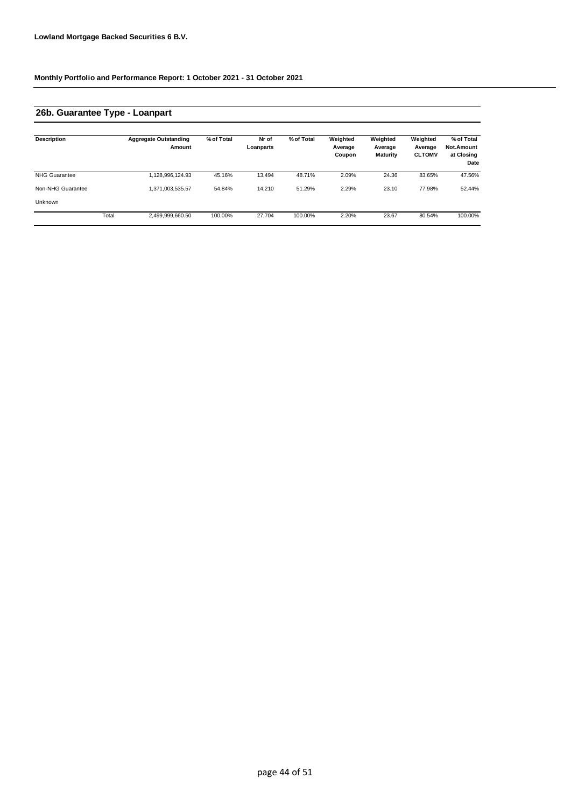## **26b. Guarantee Type - Loanpart**

| <b>Description</b>   |       | <b>Aggregate Outstanding</b><br>Amount | % of Total | Nr of<br>Loanparts | % of Total | Weighted<br>Average<br>Coupon | Weighted<br>Average<br><b>Maturity</b> | Weighted<br>Average<br><b>CLTOMV</b> | % of Total<br><b>Not.Amount</b><br>at Closing<br>Date |
|----------------------|-------|----------------------------------------|------------|--------------------|------------|-------------------------------|----------------------------------------|--------------------------------------|-------------------------------------------------------|
| <b>NHG Guarantee</b> |       | 1,128,996,124.93                       | 45.16%     | 13.494             | 48.71%     | 2.09%                         | 24.36                                  | 83.65%                               | 47.56%                                                |
| Non-NHG Guarantee    |       | 1,371,003,535.57                       | 54.84%     | 14,210             | 51.29%     | 2.29%                         | 23.10                                  | 77.98%                               | 52.44%                                                |
| Unknown              |       |                                        |            |                    |            |                               |                                        |                                      |                                                       |
|                      | Total | 2,499,999,660.50                       | 100.00%    | 27.704             | 100.00%    | 2.20%                         | 23.67                                  | 80.54%                               | 100.00%                                               |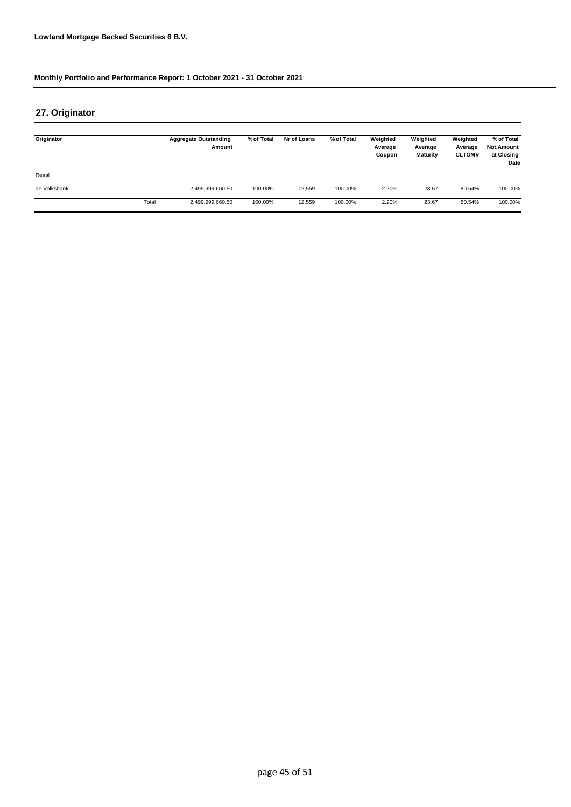| 27. Originator |       |                                        |            |             |            |                               |                                        |                                      |                                                |
|----------------|-------|----------------------------------------|------------|-------------|------------|-------------------------------|----------------------------------------|--------------------------------------|------------------------------------------------|
| Originator     |       | <b>Aggregate Outstanding</b><br>Amount | % of Total | Nr of Loans | % of Total | Weighted<br>Average<br>Coupon | Weighted<br>Average<br><b>Maturity</b> | Weighted<br>Average<br><b>CLTOMV</b> | % of Total<br>Not.Amount<br>at Closing<br>Date |
| Reaal          |       |                                        |            |             |            |                               |                                        |                                      |                                                |
| de Volksbank   |       | 2,499,999,660.50                       | 100.00%    | 12.559      | 100.00%    | 2.20%                         | 23.67                                  | 80.54%                               | 100.00%                                        |
|                | Total | 2,499,999,660.50                       | 100.00%    | 12,559      | 100.00%    | 2.20%                         | 23.67                                  | 80.54%                               | 100.00%                                        |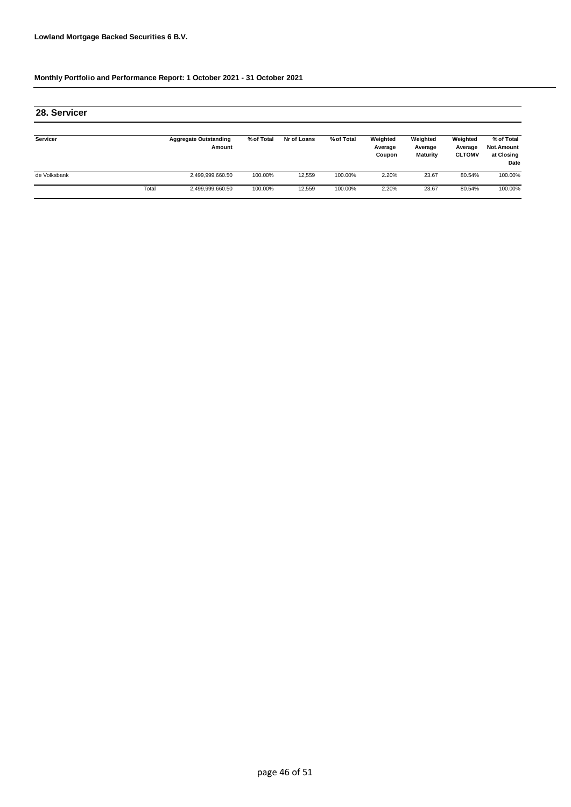| 28. Servicer |       |                                        |            |             |            |                               |                                 |                                      |                                                |
|--------------|-------|----------------------------------------|------------|-------------|------------|-------------------------------|---------------------------------|--------------------------------------|------------------------------------------------|
| Servicer     |       | <b>Aggregate Outstanding</b><br>Amount | % of Total | Nr of Loans | % of Total | Weighted<br>Average<br>Coupon | Weighted<br>Average<br>Maturity | Weighted<br>Average<br><b>CLTOMV</b> | % of Total<br>Not.Amount<br>at Closing<br>Date |
| de Volksbank |       | 2,499,999,660.50                       | 100.00%    | 12,559      | 100.00%    | 2.20%                         | 23.67                           | 80.54%                               | 100.00%                                        |
|              | Total | 2,499,999,660.50                       | 100.00%    | 12,559      | 100.00%    | 2.20%                         | 23.67                           | 80.54%                               | 100.00%                                        |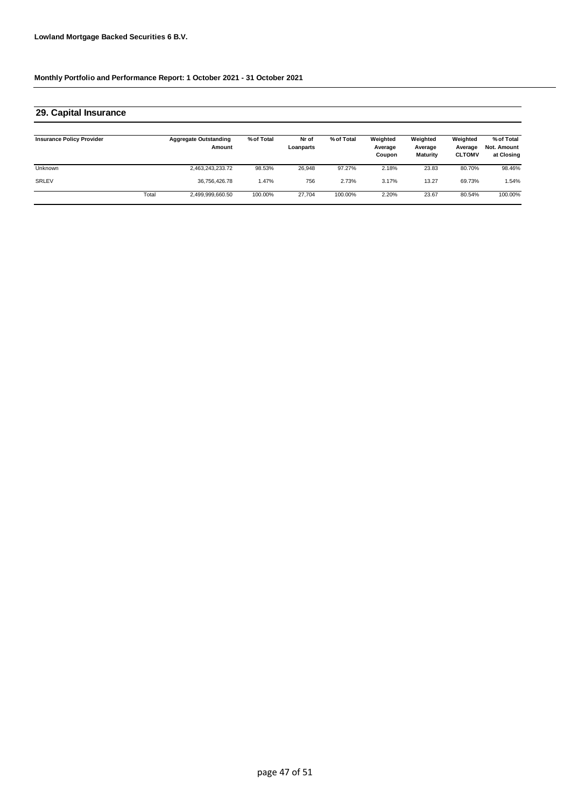#### **Insurance Policy Provider Aggregate Outstanding Amount % of Total Nr of Loanparts Weighted % of Total Weighted Average Coupon Weighted Average CLTOMV % of Total Not. Amount at Closing** Unknown 2,463,243,233.72 98.53% 26,948 2.18% 80.70% 98.46% SRLEV 36,756,426.78 1.47% 756 3.17% 69.73% 1.54% Total 2,499,999,660.50 100.00% 27,704 100.00% 2.20% 23.67 80.54% 100.00% **29. Capital Insurance** 100.00% **Average Maturity** 97.27% 23.83 2.73% 13.27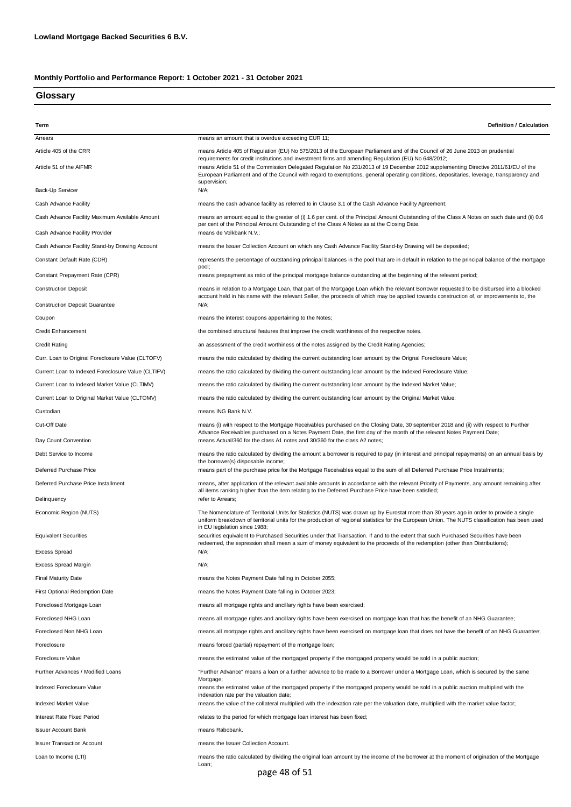### **Glossary**

| Term                                                                             | <b>Definition / Calculation</b>                                                                                                                                                                                                                                                                                                                                                                                                                                    |
|----------------------------------------------------------------------------------|--------------------------------------------------------------------------------------------------------------------------------------------------------------------------------------------------------------------------------------------------------------------------------------------------------------------------------------------------------------------------------------------------------------------------------------------------------------------|
| Arrears                                                                          | means an amount that is overdue exceeding EUR 11;                                                                                                                                                                                                                                                                                                                                                                                                                  |
| Article 405 of the CRR                                                           | means Article 405 of Regulation (EU) No 575/2013 of the European Parliament and of the Council of 26 June 2013 on prudential                                                                                                                                                                                                                                                                                                                                       |
| Article 51 of the AIFMR                                                          | requirements for credit institutions and investment firms and amending Regulation (EU) No 648/2012;<br>means Article 51 of the Commission Delegated Regulation No 231/2013 of 19 December 2012 supplementing Directive 2011/61/EU of the<br>European Parliament and of the Council with regard to exemptions, general operating conditions, depositaries, leverage, transparency and<br>supervision;                                                               |
| Back-Up Servicer                                                                 | N/A;                                                                                                                                                                                                                                                                                                                                                                                                                                                               |
| Cash Advance Facility                                                            | means the cash advance facility as referred to in Clause 3.1 of the Cash Advance Facility Agreement;                                                                                                                                                                                                                                                                                                                                                               |
| Cash Advance Facility Maximum Available Amount<br>Cash Advance Facility Provider | means an amount equal to the greater of (i) 1.6 per cent. of the Principal Amount Outstanding of the Class A Notes on such date and (ii) 0.6<br>per cent of the Principal Amount Outstanding of the Class A Notes as at the Closing Date.<br>means de Volkbank N.V.;                                                                                                                                                                                               |
| Cash Advance Facility Stand-by Drawing Account                                   | means the Issuer Collection Account on which any Cash Advance Facility Stand-by Drawing will be deposited;                                                                                                                                                                                                                                                                                                                                                         |
| Constant Default Rate (CDR)                                                      | represents the percentage of outstanding principal balances in the pool that are in default in relation to the principal balance of the mortgage                                                                                                                                                                                                                                                                                                                   |
|                                                                                  | pool;                                                                                                                                                                                                                                                                                                                                                                                                                                                              |
| Constant Prepayment Rate (CPR)                                                   | means prepayment as ratio of the principal mortgage balance outstanding at the beginning of the relevant period;                                                                                                                                                                                                                                                                                                                                                   |
| <b>Construction Deposit</b><br><b>Construction Deposit Guarantee</b>             | means in relation to a Mortgage Loan, that part of the Mortgage Loan which the relevant Borrower requested to be disbursed into a blocked<br>account held in his name with the relevant Seller, the proceeds of which may be applied towards construction of, or improvements to, the<br>N/A;                                                                                                                                                                      |
|                                                                                  |                                                                                                                                                                                                                                                                                                                                                                                                                                                                    |
| Coupon                                                                           | means the interest coupons appertaining to the Notes;                                                                                                                                                                                                                                                                                                                                                                                                              |
| Credit Enhancement                                                               | the combined structural features that improve the credit worthiness of the respective notes.                                                                                                                                                                                                                                                                                                                                                                       |
| <b>Credit Rating</b>                                                             | an assessment of the credit worthiness of the notes assigned by the Credit Rating Agencies;                                                                                                                                                                                                                                                                                                                                                                        |
| Curr. Loan to Original Foreclosure Value (CLTOFV)                                | means the ratio calculated by dividing the current outstanding loan amount by the Orignal Foreclosure Value;                                                                                                                                                                                                                                                                                                                                                       |
| Current Loan to Indexed Foreclosure Value (CLTIFV)                               | means the ratio calculated by dividing the current outstanding loan amount by the Indexed Foreclosure Value;                                                                                                                                                                                                                                                                                                                                                       |
| Current Loan to Indexed Market Value (CLTIMV)                                    | means the ratio calculated by dividing the current outstanding loan amount by the Indexed Market Value;                                                                                                                                                                                                                                                                                                                                                            |
| Current Loan to Original Market Value (CLTOMV)                                   | means the ratio calculated by dividing the current outstanding loan amount by the Original Market Value;                                                                                                                                                                                                                                                                                                                                                           |
| Custodian                                                                        | means ING Bank N.V.                                                                                                                                                                                                                                                                                                                                                                                                                                                |
| Cut-Off Date                                                                     | means (i) with respect to the Mortgage Receivables purchased on the Closing Date, 30 september 2018 and (ii) with respect to Further<br>Advance Receivables purchased on a Notes Payment Date, the first day of the month of the relevant Notes Payment Date;<br>means Actual/360 for the class A1 notes and 30/360 for the class A2 notes;                                                                                                                        |
| Day Count Convention                                                             |                                                                                                                                                                                                                                                                                                                                                                                                                                                                    |
| Debt Service to Income                                                           | means the ratio calculated by dividing the amount a borrower is required to pay (in interest and principal repayments) on an annual basis by<br>the borrower(s) disposable income;                                                                                                                                                                                                                                                                                 |
| Deferred Purchase Price                                                          | means part of the purchase price for the Mortgage Receivables equal to the sum of all Deferred Purchase Price Instalments;                                                                                                                                                                                                                                                                                                                                         |
| Deferred Purchase Price Installment                                              | means, after application of the relevant available amounts in accordance with the relevant Priority of Payments, any amount remaining after<br>all items ranking higher than the item relating to the Deferred Purchase Price have been satisfied;<br>refer to Arrears;                                                                                                                                                                                            |
| Delinquency                                                                      |                                                                                                                                                                                                                                                                                                                                                                                                                                                                    |
| Economic Region (NUTS)<br><b>Equivalent Securities</b>                           | The Nomenclature of Territorial Units for Statistics (NUTS) was drawn up by Eurostat more than 30 years ago in order to provide a single<br>uniform breakdown of territorial units for the production of regional statistics for the European Union. The NUTS classification has been used<br>in EU legislation since 1988;<br>securities equivalent to Purchased Securities under that Transaction. If and to the extent that such Purchased Securities have been |
|                                                                                  | redeemed, the expression shall mean a sum of money equivalent to the proceeds of the redemption (other than Distributions);                                                                                                                                                                                                                                                                                                                                        |
| <b>Excess Spread</b>                                                             | N/A:                                                                                                                                                                                                                                                                                                                                                                                                                                                               |
| <b>Excess Spread Margin</b>                                                      | N/A;                                                                                                                                                                                                                                                                                                                                                                                                                                                               |
| <b>Final Maturity Date</b>                                                       | means the Notes Payment Date falling in October 2055;                                                                                                                                                                                                                                                                                                                                                                                                              |
| First Optional Redemption Date                                                   | means the Notes Payment Date falling in October 2023;                                                                                                                                                                                                                                                                                                                                                                                                              |
| Foreclosed Mortgage Loan                                                         | means all mortgage rights and ancillary rights have been exercised;                                                                                                                                                                                                                                                                                                                                                                                                |
| Foreclosed NHG Loan                                                              | means all mortgage rights and ancillary rights have been exercised on mortgage loan that has the benefit of an NHG Guarantee;                                                                                                                                                                                                                                                                                                                                      |
| Foreclosed Non NHG Loan                                                          | means all mortgage rights and ancillary rights have been exercised on mortgage loan that does not have the benefit of an NHG Guarantee;                                                                                                                                                                                                                                                                                                                            |
| Foreclosure                                                                      | means forced (partial) repayment of the mortgage loan;                                                                                                                                                                                                                                                                                                                                                                                                             |
| Foreclosure Value                                                                | means the estimated value of the mortgaged property if the mortgaged property would be sold in a public auction;                                                                                                                                                                                                                                                                                                                                                   |
| Further Advances / Modified Loans                                                | "Further Advance" means a loan or a further advance to be made to a Borrower under a Mortgage Loan, which is secured by the same<br>Mortgage;                                                                                                                                                                                                                                                                                                                      |
| Indexed Foreclosure Value                                                        | means the estimated value of the mortgaged property if the mortgaged property would be sold in a public auction multiplied with the<br>indexation rate per the valuation date;                                                                                                                                                                                                                                                                                     |
| Indexed Market Value                                                             | means the value of the collateral multiplied with the indexation rate per the valuation date, multiplied with the market value factor;                                                                                                                                                                                                                                                                                                                             |
| Interest Rate Fixed Period                                                       | relates to the period for which mortgage loan interest has been fixed;                                                                                                                                                                                                                                                                                                                                                                                             |
| <b>Issuer Account Bank</b>                                                       | means Rabobank.                                                                                                                                                                                                                                                                                                                                                                                                                                                    |
| <b>Issuer Transaction Account</b>                                                | means the Issuer Collection Account.                                                                                                                                                                                                                                                                                                                                                                                                                               |
| Loan to Income (LTI)                                                             | means the ratio calculated by dividing the original loan amount by the income of the borrower at the moment of origination of the Mortgage<br>Loan;                                                                                                                                                                                                                                                                                                                |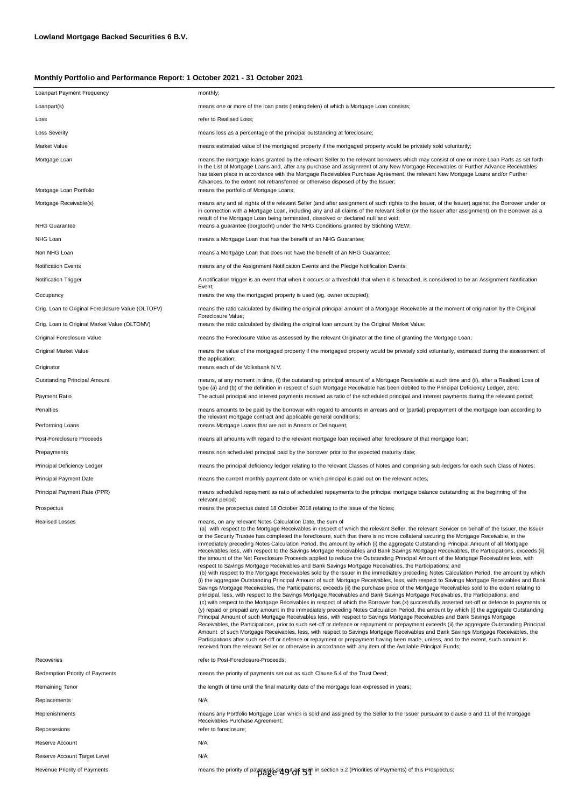| Loanpart Payment Frequency                        | monthly;                                                                                                                                                                                                                                                                                                                                                                                                                                                                                                                                                                                                                                                                                                                                                                                                                                                                                                                                                                                                                                                                                                                                                                                                                                                                                                                                                                                                                                                                                                                                                                                                                                                                                                                                                                                                                                                                                                                                                                                                                                                                                                                                                                                                                                                                                                                                                                                                                                            |
|---------------------------------------------------|-----------------------------------------------------------------------------------------------------------------------------------------------------------------------------------------------------------------------------------------------------------------------------------------------------------------------------------------------------------------------------------------------------------------------------------------------------------------------------------------------------------------------------------------------------------------------------------------------------------------------------------------------------------------------------------------------------------------------------------------------------------------------------------------------------------------------------------------------------------------------------------------------------------------------------------------------------------------------------------------------------------------------------------------------------------------------------------------------------------------------------------------------------------------------------------------------------------------------------------------------------------------------------------------------------------------------------------------------------------------------------------------------------------------------------------------------------------------------------------------------------------------------------------------------------------------------------------------------------------------------------------------------------------------------------------------------------------------------------------------------------------------------------------------------------------------------------------------------------------------------------------------------------------------------------------------------------------------------------------------------------------------------------------------------------------------------------------------------------------------------------------------------------------------------------------------------------------------------------------------------------------------------------------------------------------------------------------------------------------------------------------------------------------------------------------------------------|
| Loanpart(s)                                       | means one or more of the loan parts (leningdelen) of which a Mortgage Loan consists;                                                                                                                                                                                                                                                                                                                                                                                                                                                                                                                                                                                                                                                                                                                                                                                                                                                                                                                                                                                                                                                                                                                                                                                                                                                                                                                                                                                                                                                                                                                                                                                                                                                                                                                                                                                                                                                                                                                                                                                                                                                                                                                                                                                                                                                                                                                                                                |
| Loss                                              | refer to Realised Loss;                                                                                                                                                                                                                                                                                                                                                                                                                                                                                                                                                                                                                                                                                                                                                                                                                                                                                                                                                                                                                                                                                                                                                                                                                                                                                                                                                                                                                                                                                                                                                                                                                                                                                                                                                                                                                                                                                                                                                                                                                                                                                                                                                                                                                                                                                                                                                                                                                             |
| Loss Severity                                     | means loss as a percentage of the principal outstanding at foreclosure;                                                                                                                                                                                                                                                                                                                                                                                                                                                                                                                                                                                                                                                                                                                                                                                                                                                                                                                                                                                                                                                                                                                                                                                                                                                                                                                                                                                                                                                                                                                                                                                                                                                                                                                                                                                                                                                                                                                                                                                                                                                                                                                                                                                                                                                                                                                                                                             |
| Market Value                                      | means estimated value of the mortgaged property if the mortgaged property would be privately sold voluntarily;                                                                                                                                                                                                                                                                                                                                                                                                                                                                                                                                                                                                                                                                                                                                                                                                                                                                                                                                                                                                                                                                                                                                                                                                                                                                                                                                                                                                                                                                                                                                                                                                                                                                                                                                                                                                                                                                                                                                                                                                                                                                                                                                                                                                                                                                                                                                      |
| Mortgage Loan                                     | means the mortgage loans granted by the relevant Seller to the relevant borrowers which may consist of one or more Loan Parts as set forth<br>in the List of Mortgage Loans and, after any purchase and assignment of any New Mortgage Receivables or Further Advance Receivables<br>has taken place in accordance with the Mortgage Receivables Purchase Agreement, the relevant New Mortgage Loans and/or Further<br>Advances, to the extent not retransferred or otherwise disposed of by the Issuer;                                                                                                                                                                                                                                                                                                                                                                                                                                                                                                                                                                                                                                                                                                                                                                                                                                                                                                                                                                                                                                                                                                                                                                                                                                                                                                                                                                                                                                                                                                                                                                                                                                                                                                                                                                                                                                                                                                                                            |
| Mortgage Loan Portfolio                           | means the portfolio of Mortgage Loans;                                                                                                                                                                                                                                                                                                                                                                                                                                                                                                                                                                                                                                                                                                                                                                                                                                                                                                                                                                                                                                                                                                                                                                                                                                                                                                                                                                                                                                                                                                                                                                                                                                                                                                                                                                                                                                                                                                                                                                                                                                                                                                                                                                                                                                                                                                                                                                                                              |
| Mortgage Receivable(s)                            | means any and all rights of the relevant Seller (and after assignment of such rights to the Issuer, of the Issuer) against the Borrower under or<br>in connection with a Mortgage Loan, including any and all claims of the relevant Seller (or the Issuer after assignment) on the Borrower as a<br>result of the Mortgage Loan being terminated, dissolved or declared null and void;                                                                                                                                                                                                                                                                                                                                                                                                                                                                                                                                                                                                                                                                                                                                                                                                                                                                                                                                                                                                                                                                                                                                                                                                                                                                                                                                                                                                                                                                                                                                                                                                                                                                                                                                                                                                                                                                                                                                                                                                                                                             |
| <b>NHG Guarantee</b>                              | means a guarantee (borgtocht) under the NHG Conditions granted by Stichting WEW;                                                                                                                                                                                                                                                                                                                                                                                                                                                                                                                                                                                                                                                                                                                                                                                                                                                                                                                                                                                                                                                                                                                                                                                                                                                                                                                                                                                                                                                                                                                                                                                                                                                                                                                                                                                                                                                                                                                                                                                                                                                                                                                                                                                                                                                                                                                                                                    |
| NHG Loan                                          | means a Mortgage Loan that has the benefit of an NHG Guarantee;                                                                                                                                                                                                                                                                                                                                                                                                                                                                                                                                                                                                                                                                                                                                                                                                                                                                                                                                                                                                                                                                                                                                                                                                                                                                                                                                                                                                                                                                                                                                                                                                                                                                                                                                                                                                                                                                                                                                                                                                                                                                                                                                                                                                                                                                                                                                                                                     |
| Non NHG Loan                                      | means a Mortgage Loan that does not have the benefit of an NHG Guarantee;                                                                                                                                                                                                                                                                                                                                                                                                                                                                                                                                                                                                                                                                                                                                                                                                                                                                                                                                                                                                                                                                                                                                                                                                                                                                                                                                                                                                                                                                                                                                                                                                                                                                                                                                                                                                                                                                                                                                                                                                                                                                                                                                                                                                                                                                                                                                                                           |
| <b>Notification Events</b>                        | means any of the Assignment Notification Events and the Pledge Notification Events;                                                                                                                                                                                                                                                                                                                                                                                                                                                                                                                                                                                                                                                                                                                                                                                                                                                                                                                                                                                                                                                                                                                                                                                                                                                                                                                                                                                                                                                                                                                                                                                                                                                                                                                                                                                                                                                                                                                                                                                                                                                                                                                                                                                                                                                                                                                                                                 |
| Notification Trigger                              | A notification trigger is an event that when it occurs or a threshold that when it is breached, is considered to be an Assignment Notification<br>Event;                                                                                                                                                                                                                                                                                                                                                                                                                                                                                                                                                                                                                                                                                                                                                                                                                                                                                                                                                                                                                                                                                                                                                                                                                                                                                                                                                                                                                                                                                                                                                                                                                                                                                                                                                                                                                                                                                                                                                                                                                                                                                                                                                                                                                                                                                            |
| Occupancy                                         | means the way the mortgaged property is used (eg. owner occupied);                                                                                                                                                                                                                                                                                                                                                                                                                                                                                                                                                                                                                                                                                                                                                                                                                                                                                                                                                                                                                                                                                                                                                                                                                                                                                                                                                                                                                                                                                                                                                                                                                                                                                                                                                                                                                                                                                                                                                                                                                                                                                                                                                                                                                                                                                                                                                                                  |
| Orig. Loan to Original Foreclosure Value (OLTOFV) | means the ratio calculated by dividing the original principal amount of a Mortgage Receivable at the moment of origination by the Original<br>Foreclosure Value;                                                                                                                                                                                                                                                                                                                                                                                                                                                                                                                                                                                                                                                                                                                                                                                                                                                                                                                                                                                                                                                                                                                                                                                                                                                                                                                                                                                                                                                                                                                                                                                                                                                                                                                                                                                                                                                                                                                                                                                                                                                                                                                                                                                                                                                                                    |
| Orig. Loan to Original Market Value (OLTOMV)      | means the ratio calculated by dividing the original loan amount by the Original Market Value;                                                                                                                                                                                                                                                                                                                                                                                                                                                                                                                                                                                                                                                                                                                                                                                                                                                                                                                                                                                                                                                                                                                                                                                                                                                                                                                                                                                                                                                                                                                                                                                                                                                                                                                                                                                                                                                                                                                                                                                                                                                                                                                                                                                                                                                                                                                                                       |
| Original Foreclosure Value                        | means the Foreclosure Value as assessed by the relevant Originator at the time of granting the Mortgage Loan;                                                                                                                                                                                                                                                                                                                                                                                                                                                                                                                                                                                                                                                                                                                                                                                                                                                                                                                                                                                                                                                                                                                                                                                                                                                                                                                                                                                                                                                                                                                                                                                                                                                                                                                                                                                                                                                                                                                                                                                                                                                                                                                                                                                                                                                                                                                                       |
| Original Market Value                             | means the value of the mortgaged property if the mortgaged property would be privately sold voluntarily, estimated during the assessment of<br>the application;                                                                                                                                                                                                                                                                                                                                                                                                                                                                                                                                                                                                                                                                                                                                                                                                                                                                                                                                                                                                                                                                                                                                                                                                                                                                                                                                                                                                                                                                                                                                                                                                                                                                                                                                                                                                                                                                                                                                                                                                                                                                                                                                                                                                                                                                                     |
| Originator                                        | means each of de Volksbank N.V.                                                                                                                                                                                                                                                                                                                                                                                                                                                                                                                                                                                                                                                                                                                                                                                                                                                                                                                                                                                                                                                                                                                                                                                                                                                                                                                                                                                                                                                                                                                                                                                                                                                                                                                                                                                                                                                                                                                                                                                                                                                                                                                                                                                                                                                                                                                                                                                                                     |
| Outstanding Principal Amount<br>Payment Ratio     | means, at any moment in time, (i) the outstanding principal amount of a Mortgage Receivable at such time and (ii), after a Realised Loss of<br>type (a) and (b) of the definition in respect of such Mortgage Receivable has been debited to the Principal Deficiency Ledger, zero;<br>The actual principal and interest payments received as ratio of the scheduled principal and interest payments during the relevant period;                                                                                                                                                                                                                                                                                                                                                                                                                                                                                                                                                                                                                                                                                                                                                                                                                                                                                                                                                                                                                                                                                                                                                                                                                                                                                                                                                                                                                                                                                                                                                                                                                                                                                                                                                                                                                                                                                                                                                                                                                    |
| Penalties                                         | means amounts to be paid by the borrower with regard to amounts in arrears and or (partial) prepayment of the mortgage loan according to                                                                                                                                                                                                                                                                                                                                                                                                                                                                                                                                                                                                                                                                                                                                                                                                                                                                                                                                                                                                                                                                                                                                                                                                                                                                                                                                                                                                                                                                                                                                                                                                                                                                                                                                                                                                                                                                                                                                                                                                                                                                                                                                                                                                                                                                                                            |
| Performing Loans                                  | the relevant mortgage contract and applicable general conditions;<br>means Mortgage Loans that are not in Arrears or Delinquent;                                                                                                                                                                                                                                                                                                                                                                                                                                                                                                                                                                                                                                                                                                                                                                                                                                                                                                                                                                                                                                                                                                                                                                                                                                                                                                                                                                                                                                                                                                                                                                                                                                                                                                                                                                                                                                                                                                                                                                                                                                                                                                                                                                                                                                                                                                                    |
| Post-Foreclosure Proceeds                         | means all amounts with regard to the relevant mortgage loan received after foreclosure of that mortgage loan;                                                                                                                                                                                                                                                                                                                                                                                                                                                                                                                                                                                                                                                                                                                                                                                                                                                                                                                                                                                                                                                                                                                                                                                                                                                                                                                                                                                                                                                                                                                                                                                                                                                                                                                                                                                                                                                                                                                                                                                                                                                                                                                                                                                                                                                                                                                                       |
| Prepayments                                       | means non scheduled principal paid by the borrower prior to the expected maturity date;                                                                                                                                                                                                                                                                                                                                                                                                                                                                                                                                                                                                                                                                                                                                                                                                                                                                                                                                                                                                                                                                                                                                                                                                                                                                                                                                                                                                                                                                                                                                                                                                                                                                                                                                                                                                                                                                                                                                                                                                                                                                                                                                                                                                                                                                                                                                                             |
| Principal Deficiency Ledger                       | means the principal deficiency ledger relating to the relevant Classes of Notes and comprising sub-ledgers for each such Class of Notes;                                                                                                                                                                                                                                                                                                                                                                                                                                                                                                                                                                                                                                                                                                                                                                                                                                                                                                                                                                                                                                                                                                                                                                                                                                                                                                                                                                                                                                                                                                                                                                                                                                                                                                                                                                                                                                                                                                                                                                                                                                                                                                                                                                                                                                                                                                            |
| Principal Payment Date                            | means the current monthly payment date on which principal is paid out on the relevant notes;                                                                                                                                                                                                                                                                                                                                                                                                                                                                                                                                                                                                                                                                                                                                                                                                                                                                                                                                                                                                                                                                                                                                                                                                                                                                                                                                                                                                                                                                                                                                                                                                                                                                                                                                                                                                                                                                                                                                                                                                                                                                                                                                                                                                                                                                                                                                                        |
| Principal Payment Rate (PPR)                      | means scheduled repayment as ratio of scheduled repayments to the principal mortgage balance outstanding at the beginning of the<br>relevant period;                                                                                                                                                                                                                                                                                                                                                                                                                                                                                                                                                                                                                                                                                                                                                                                                                                                                                                                                                                                                                                                                                                                                                                                                                                                                                                                                                                                                                                                                                                                                                                                                                                                                                                                                                                                                                                                                                                                                                                                                                                                                                                                                                                                                                                                                                                |
| Prospectus                                        | means the prospectus dated 18 October 2018 relating to the issue of the Notes;                                                                                                                                                                                                                                                                                                                                                                                                                                                                                                                                                                                                                                                                                                                                                                                                                                                                                                                                                                                                                                                                                                                                                                                                                                                                                                                                                                                                                                                                                                                                                                                                                                                                                                                                                                                                                                                                                                                                                                                                                                                                                                                                                                                                                                                                                                                                                                      |
| <b>Realised Losses</b>                            | means, on any relevant Notes Calculation Date, the sum of<br>(a) with respect to the Mortgage Receivables in respect of which the relevant Seller, the relevant Servicer on behalf of the Issuer, the Issuer<br>or the Security Trustee has completed the foreclosure, such that there is no more collateral securing the Mortgage Receivable, in the<br>immediately preceding Notes Calculation Period, the amount by which (i) the aggregate Outstanding Principal Amount of all Mortgage<br>Receivables less, with respect to the Savings Mortgage Receivables and Bank Savings Mortgage Receivables, the Participations, exceeds (ii)<br>the amount of the Net Foreclosure Proceeds applied to reduce the Outstanding Principal Amount of the Mortgage Receivables less, with<br>respect to Savings Mortgage Receivables and Bank Savings Mortgage Receivables, the Participations; and<br>(b) with respect to the Mortgage Receivables sold by the Issuer in the immediately preceding Notes Calculation Period, the amount by which<br>(i) the aggregate Outstanding Principal Amount of such Mortgage Receivables, less, with respect to Savings Mortgage Receivables and Bank<br>Savings Mortgage Receivables, the Participations, exceeds (ii) the purchase price of the Mortgage Receivables sold to the extent relating to<br>principal, less, with respect to the Savings Mortgage Receivables and Bank Savings Mortgage Receivables, the Participations; and<br>(c) with respect to the Mortgage Receivables in respect of which the Borrower has (x) successfully asserted set-off or defence to payments or<br>(y) repaid or prepaid any amount in the immediately preceding Notes Calculation Period, the amount by which (i) the aggregate Outstanding<br>Principal Amount of such Mortgage Receivables less, with respect to Savings Mortgage Receivables and Bank Savings Mortgage<br>Receivables, the Participations, prior to such set-off or defence or repayment or prepayment exceeds (ii) the aggregate Outstanding Principal<br>Amount of such Mortgage Receivables, less, with respect to Savings Mortgage Receivables and Bank Savings Mortgage Receivables, the<br>Participations after such set-off or defence or repayment or prepayment having been made, unless, and to the extent, such amount is<br>received from the relevant Seller or otherwise in accordance with any item of the Available Principal Funds; |
| Recoveries                                        | refer to Post-Foreclosure-Proceeds;                                                                                                                                                                                                                                                                                                                                                                                                                                                                                                                                                                                                                                                                                                                                                                                                                                                                                                                                                                                                                                                                                                                                                                                                                                                                                                                                                                                                                                                                                                                                                                                                                                                                                                                                                                                                                                                                                                                                                                                                                                                                                                                                                                                                                                                                                                                                                                                                                 |
| Redemption Priority of Payments                   | means the priority of payments set out as such Clause 5.4 of the Trust Deed;                                                                                                                                                                                                                                                                                                                                                                                                                                                                                                                                                                                                                                                                                                                                                                                                                                                                                                                                                                                                                                                                                                                                                                                                                                                                                                                                                                                                                                                                                                                                                                                                                                                                                                                                                                                                                                                                                                                                                                                                                                                                                                                                                                                                                                                                                                                                                                        |
| Remaining Tenor                                   | the length of time until the final maturity date of the mortgage loan expressed in years;                                                                                                                                                                                                                                                                                                                                                                                                                                                                                                                                                                                                                                                                                                                                                                                                                                                                                                                                                                                                                                                                                                                                                                                                                                                                                                                                                                                                                                                                                                                                                                                                                                                                                                                                                                                                                                                                                                                                                                                                                                                                                                                                                                                                                                                                                                                                                           |
| Replacements                                      | N/A;                                                                                                                                                                                                                                                                                                                                                                                                                                                                                                                                                                                                                                                                                                                                                                                                                                                                                                                                                                                                                                                                                                                                                                                                                                                                                                                                                                                                                                                                                                                                                                                                                                                                                                                                                                                                                                                                                                                                                                                                                                                                                                                                                                                                                                                                                                                                                                                                                                                |
| Replenishments<br>Repossesions                    | means any Portfolio Mortgage Loan which is sold and assigned by the Seller to the Issuer pursuant to clause 6 and 11 of the Mortgage<br>Receivables Purchase Agreement;<br>refer to foreclosure;                                                                                                                                                                                                                                                                                                                                                                                                                                                                                                                                                                                                                                                                                                                                                                                                                                                                                                                                                                                                                                                                                                                                                                                                                                                                                                                                                                                                                                                                                                                                                                                                                                                                                                                                                                                                                                                                                                                                                                                                                                                                                                                                                                                                                                                    |
| Reserve Account                                   | N/A;                                                                                                                                                                                                                                                                                                                                                                                                                                                                                                                                                                                                                                                                                                                                                                                                                                                                                                                                                                                                                                                                                                                                                                                                                                                                                                                                                                                                                                                                                                                                                                                                                                                                                                                                                                                                                                                                                                                                                                                                                                                                                                                                                                                                                                                                                                                                                                                                                                                |
| Reserve Account Target Level                      | N/A;                                                                                                                                                                                                                                                                                                                                                                                                                                                                                                                                                                                                                                                                                                                                                                                                                                                                                                                                                                                                                                                                                                                                                                                                                                                                                                                                                                                                                                                                                                                                                                                                                                                                                                                                                                                                                                                                                                                                                                                                                                                                                                                                                                                                                                                                                                                                                                                                                                                |
| Revenue Priority of Payments                      | means the priority of payments said of state of Payments) of this Prospectus;<br>$\beta$                                                                                                                                                                                                                                                                                                                                                                                                                                                                                                                                                                                                                                                                                                                                                                                                                                                                                                                                                                                                                                                                                                                                                                                                                                                                                                                                                                                                                                                                                                                                                                                                                                                                                                                                                                                                                                                                                                                                                                                                                                                                                                                                                                                                                                                                                                                                                            |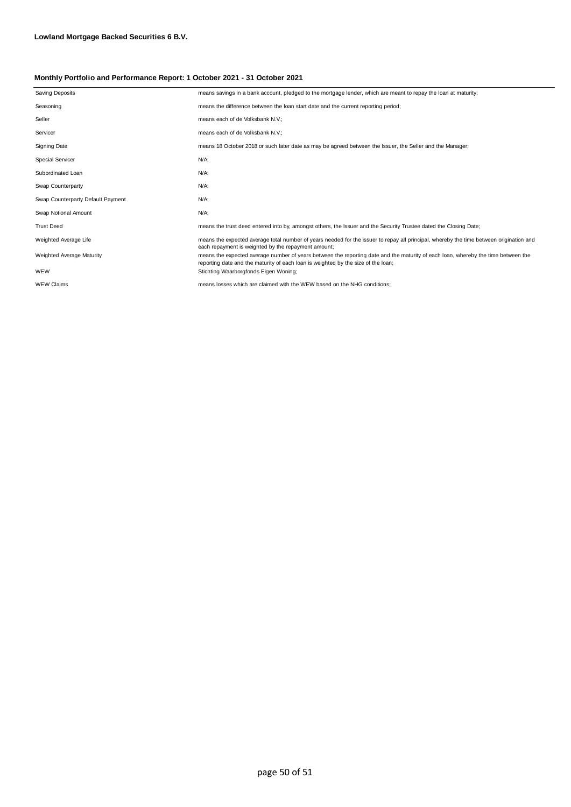| <b>Saving Deposits</b>            | means savings in a bank account, pledged to the mortgage lender, which are meant to repay the loan at maturity;                                                                                                        |
|-----------------------------------|------------------------------------------------------------------------------------------------------------------------------------------------------------------------------------------------------------------------|
| Seasoning                         | means the difference between the loan start date and the current reporting period;                                                                                                                                     |
| Seller                            | means each of de Volksbank N.V.;                                                                                                                                                                                       |
| Servicer                          | means each of de Volksbank N.V.;                                                                                                                                                                                       |
| <b>Signing Date</b>               | means 18 October 2018 or such later date as may be agreed between the Issuer, the Seller and the Manager;                                                                                                              |
| <b>Special Servicer</b>           | N/A;                                                                                                                                                                                                                   |
| Subordinated Loan                 | N/A;                                                                                                                                                                                                                   |
| Swap Counterparty                 | N/A;                                                                                                                                                                                                                   |
| Swap Counterparty Default Payment | N/A;                                                                                                                                                                                                                   |
| Swap Notional Amount              | N/A;                                                                                                                                                                                                                   |
| <b>Trust Deed</b>                 | means the trust deed entered into by, amongst others, the Issuer and the Security Trustee dated the Closing Date;                                                                                                      |
| Weighted Average Life             | means the expected average total number of years needed for the issuer to repay all principal, whereby the time between origination and<br>each repayment is weighted by the repayment amount;                         |
| Weighted Average Maturity         | means the expected average number of years between the reporting date and the maturity of each loan, whereby the time between the<br>reporting date and the maturity of each loan is weighted by the size of the loan; |
| WEW                               | Stichting Waarborgfonds Eigen Woning;                                                                                                                                                                                  |
| <b>WEW Claims</b>                 | means losses which are claimed with the WEW based on the NHG conditions:                                                                                                                                               |